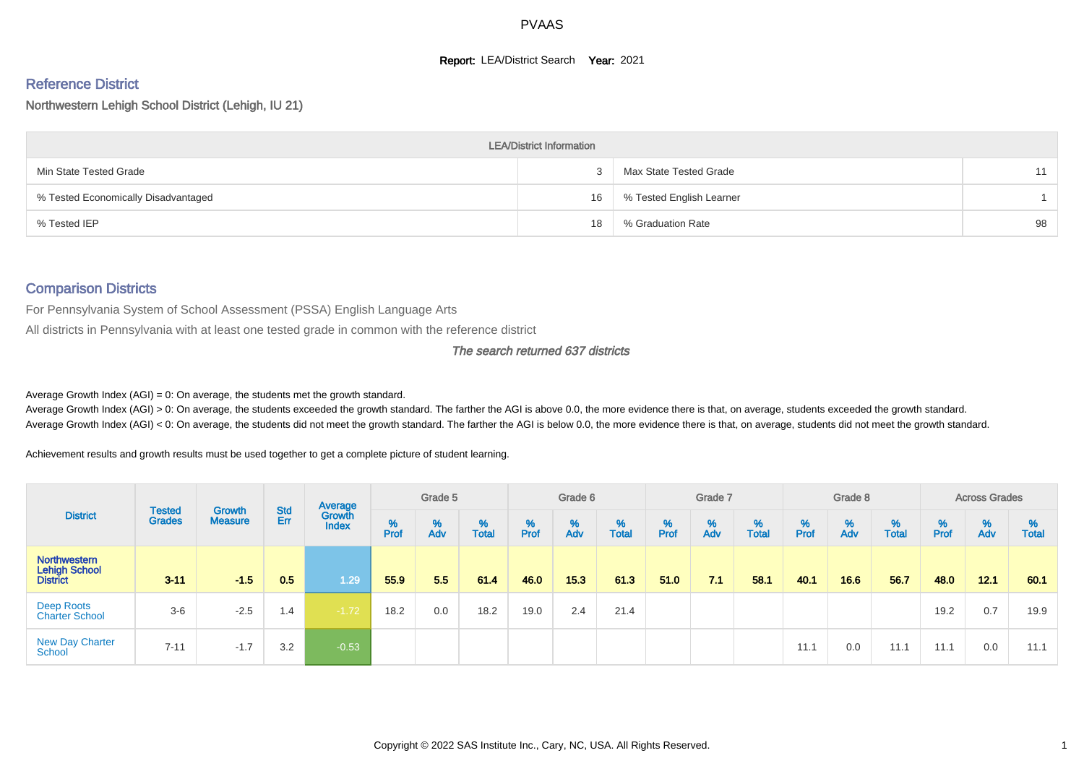#### **Report: LEA/District Search Year: 2021**

# Reference District

Northwestern Lehigh School District (Lehigh, IU 21)

|                                     | <b>LEA/District Information</b> |                          |    |
|-------------------------------------|---------------------------------|--------------------------|----|
| Min State Tested Grade              |                                 | Max State Tested Grade   | 11 |
| % Tested Economically Disadvantaged | 16                              | % Tested English Learner |    |
| % Tested IEP                        | 18                              | % Graduation Rate        | 98 |

#### Comparison Districts

For Pennsylvania System of School Assessment (PSSA) English Language Arts

All districts in Pennsylvania with at least one tested grade in common with the reference district

#### The search returned 637 districts

Average Growth Index  $(AGI) = 0$ : On average, the students met the growth standard.

Average Growth Index (AGI) > 0: On average, the students exceeded the growth standard. The farther the AGI is above 0.0, the more evidence there is that, on average, students exceeded the growth standard. Average Growth Index (AGI) < 0: On average, the students did not meet the growth standard. The farther the AGI is below 0.0, the more evidence there is that, on average, students did not meet the growth standard.

Achievement results and growth results must be used together to get a complete picture of student learning.

| <b>District</b>                                  |                                |                                 |            | Average                |           | Grade 5  |                   |        | Grade 6  |                   |        | Grade 7  |                   |           | Grade 8  |                   |           | <b>Across Grades</b> |                   |
|--------------------------------------------------|--------------------------------|---------------------------------|------------|------------------------|-----------|----------|-------------------|--------|----------|-------------------|--------|----------|-------------------|-----------|----------|-------------------|-----------|----------------------|-------------------|
|                                                  | <b>Tested</b><br><b>Grades</b> | <b>Growth</b><br><b>Measure</b> | Std<br>Err | Growth<br><b>Index</b> | %<br>Prof | %<br>Adv | %<br><b>Total</b> | % Pref | %<br>Adv | %<br><b>Total</b> | % Pref | %<br>Adv | %<br><b>Total</b> | %<br>Prof | %<br>Adv | %<br><b>Total</b> | %<br>Prof | %<br>Adv             | %<br><b>Total</b> |
| <b>Northwestern</b><br>Lehigh School<br>District | $3 - 11$                       | $-1.5$                          | 0.5        | 1.29                   | 55.9      | 5.5      | 61.4              | 46.0   | 15.3     | 61.3              | 51.0   | 7.1      | 58.1              | 40.1      | 16.6     | 56.7              | 48.0      | 12.1                 | 60.1              |
| Deep Roots<br><b>Charter School</b>              | $3-6$                          | $-2.5$                          | 1.4        | $-1.72$                | 18.2      | 0.0      | 18.2              | 19.0   | 2.4      | 21.4              |        |          |                   |           |          |                   | 19.2      | 0.7                  | 19.9              |
| <b>New Day Charter</b><br><b>School</b>          | $7 - 11$                       | $-1.7$                          | 3.2        | $-0.53$                |           |          |                   |        |          |                   |        |          |                   | 11.1      | 0.0      | 11.1              | 11.1      | 0.0                  | 11.1              |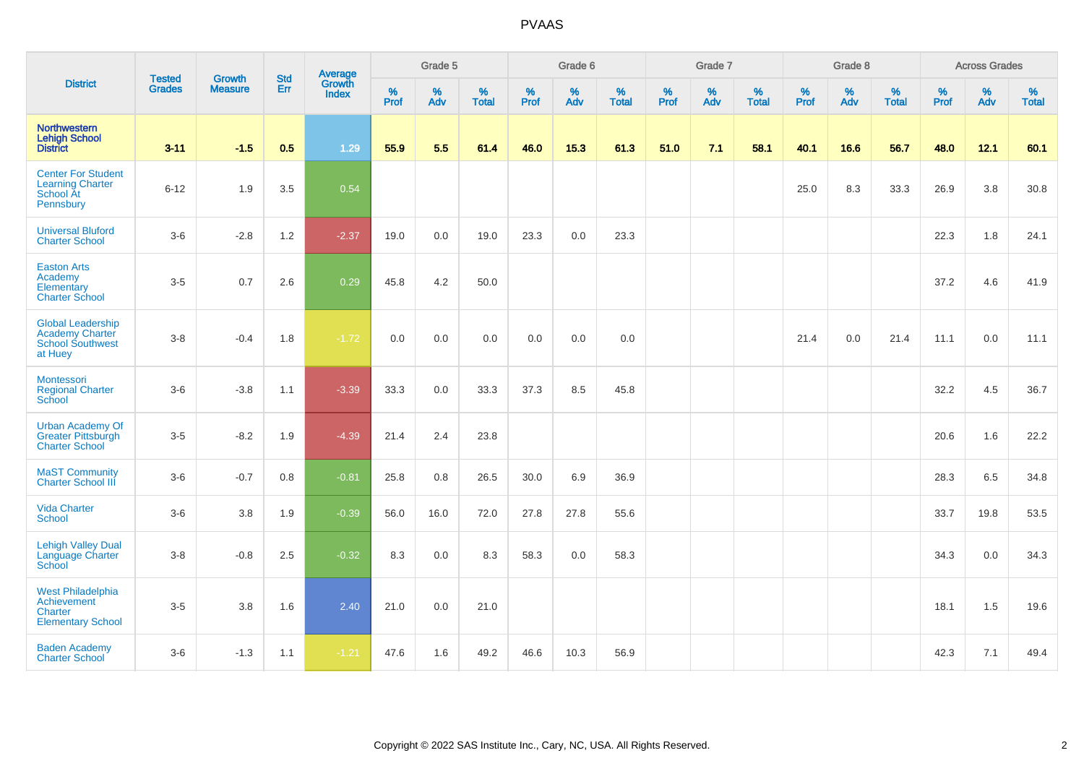|                                                                                          | <b>Tested</b> | <b>Growth</b>  | <b>Std</b> | Average                |              | Grade 5     |                   |              | Grade 6  |                      |              | Grade 7     |                   |              | Grade 8     |                      |              | <b>Across Grades</b> |                      |
|------------------------------------------------------------------------------------------|---------------|----------------|------------|------------------------|--------------|-------------|-------------------|--------------|----------|----------------------|--------------|-------------|-------------------|--------------|-------------|----------------------|--------------|----------------------|----------------------|
| <b>District</b>                                                                          | <b>Grades</b> | <b>Measure</b> | Err        | Growth<br><b>Index</b> | $\%$<br>Prof | $\%$<br>Adv | %<br><b>Total</b> | $\%$<br>Prof | %<br>Adv | $\%$<br><b>Total</b> | $\%$<br>Prof | $\%$<br>Adv | %<br><b>Total</b> | $\%$<br>Prof | $\%$<br>Adv | $\%$<br><b>Total</b> | $\%$<br>Prof | $\%$<br>Adv          | $\%$<br><b>Total</b> |
| <b>Northwestern</b><br><b>Lehigh School</b><br><b>District</b>                           | $3 - 11$      | $-1.5$         | 0.5        | 1.29                   | 55.9         | 5.5         | 61.4              | 46.0         | 15.3     | 61.3                 | 51.0         | 7.1         | 58.1              | 40.1         | 16.6        | 56.7                 | 48.0         | 12.1                 | 60.1                 |
| <b>Center For Student</b><br><b>Learning Charter</b><br>School At<br>Pennsbury           | $6 - 12$      | 1.9            | 3.5        | 0.54                   |              |             |                   |              |          |                      |              |             |                   | 25.0         | 8.3         | 33.3                 | 26.9         | 3.8                  | 30.8                 |
| <b>Universal Bluford</b><br><b>Charter School</b>                                        | $3-6$         | $-2.8$         | 1.2        | $-2.37$                | 19.0         | 0.0         | 19.0              | 23.3         | 0.0      | 23.3                 |              |             |                   |              |             |                      | 22.3         | 1.8                  | 24.1                 |
| <b>Easton Arts</b><br>Academy<br>Elementary<br><b>Charter School</b>                     | $3-5$         | 0.7            | 2.6        | 0.29                   | 45.8         | 4.2         | 50.0              |              |          |                      |              |             |                   |              |             |                      | 37.2         | 4.6                  | 41.9                 |
| <b>Global Leadership</b><br><b>Academy Charter</b><br><b>School Southwest</b><br>at Huey | $3-8$         | $-0.4$         | 1.8        | $-1.72$                | 0.0          | 0.0         | 0.0               | 0.0          | 0.0      | 0.0                  |              |             |                   | 21.4         | 0.0         | 21.4                 | 11.1         | 0.0                  | 11.1                 |
| Montessori<br><b>Regional Charter</b><br>School                                          | $3-6$         | $-3.8$         | 1.1        | $-3.39$                | 33.3         | 0.0         | 33.3              | 37.3         | 8.5      | 45.8                 |              |             |                   |              |             |                      | 32.2         | 4.5                  | 36.7                 |
| <b>Urban Academy Of</b><br><b>Greater Pittsburgh</b><br><b>Charter School</b>            | $3-5$         | $-8.2$         | 1.9        | $-4.39$                | 21.4         | 2.4         | 23.8              |              |          |                      |              |             |                   |              |             |                      | 20.6         | 1.6                  | 22.2                 |
| <b>MaST Community</b><br><b>Charter School III</b>                                       | $3-6$         | $-0.7$         | $0.8\,$    | $-0.81$                | 25.8         | $0.8\,$     | 26.5              | 30.0         | 6.9      | 36.9                 |              |             |                   |              |             |                      | 28.3         | 6.5                  | 34.8                 |
| <b>Vida Charter</b><br><b>School</b>                                                     | $3-6$         | 3.8            | 1.9        | $-0.39$                | 56.0         | 16.0        | 72.0              | 27.8         | 27.8     | 55.6                 |              |             |                   |              |             |                      | 33.7         | 19.8                 | 53.5                 |
| <b>Lehigh Valley Dual</b><br>Language Charter<br>School                                  | $3-8$         | $-0.8$         | 2.5        | $-0.32$                | 8.3          | 0.0         | 8.3               | 58.3         | 0.0      | 58.3                 |              |             |                   |              |             |                      | 34.3         | 0.0                  | 34.3                 |
| <b>West Philadelphia</b><br>Achievement<br>Charter<br><b>Elementary School</b>           | $3-5$         | 3.8            | 1.6        | 2.40                   | 21.0         | 0.0         | 21.0              |              |          |                      |              |             |                   |              |             |                      | 18.1         | 1.5                  | 19.6                 |
| <b>Baden Academy</b><br><b>Charter School</b>                                            | $3-6$         | $-1.3$         | 1.1        | $-1.21$                | 47.6         | 1.6         | 49.2              | 46.6         | 10.3     | 56.9                 |              |             |                   |              |             |                      | 42.3         | 7.1                  | 49.4                 |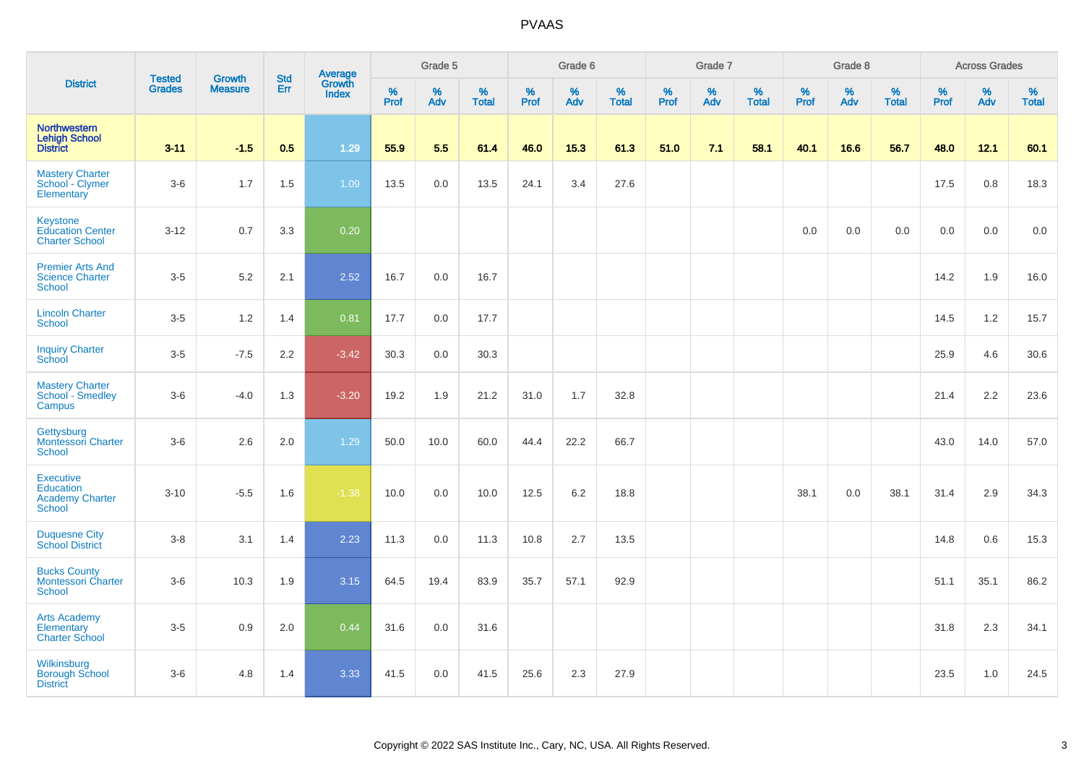|                                                                          |                                |                                 |                   | Average                |          | Grade 5  |                   |          | Grade 6  |                   |           | Grade 7  |                   |           | Grade 8  |                   |           | <b>Across Grades</b> |                   |
|--------------------------------------------------------------------------|--------------------------------|---------------------------------|-------------------|------------------------|----------|----------|-------------------|----------|----------|-------------------|-----------|----------|-------------------|-----------|----------|-------------------|-----------|----------------------|-------------------|
| <b>District</b>                                                          | <b>Tested</b><br><b>Grades</b> | <b>Growth</b><br><b>Measure</b> | <b>Std</b><br>Err | Growth<br><b>Index</b> | $%$ Prof | %<br>Adv | %<br><b>Total</b> | $%$ Prof | %<br>Adv | %<br><b>Total</b> | %<br>Prof | %<br>Adv | %<br><b>Total</b> | %<br>Prof | %<br>Adv | %<br><b>Total</b> | %<br>Prof | %<br>Adv             | %<br><b>Total</b> |
| <b>Northwestern</b><br><b>Lehigh School</b><br><b>District</b>           | $3 - 11$                       | $-1.5$                          | 0.5               | 1.29                   | 55.9     | 5.5      | 61.4              | 46.0     | 15.3     | 61.3              | 51.0      | 7.1      | 58.1              | 40.1      | 16.6     | 56.7              | 48.0      | 12.1                 | 60.1              |
| <b>Mastery Charter</b><br>School - Clymer<br>Elementary                  | $3-6$                          | 1.7                             | 1.5               | 1.09                   | 13.5     | 0.0      | 13.5              | 24.1     | 3.4      | 27.6              |           |          |                   |           |          |                   | 17.5      | 0.8                  | 18.3              |
| Keystone<br><b>Education Center</b><br><b>Charter School</b>             | $3 - 12$                       | 0.7                             | 3.3               | 0.20                   |          |          |                   |          |          |                   |           |          |                   | 0.0       | 0.0      | 0.0               | 0.0       | 0.0                  | 0.0               |
| <b>Premier Arts And</b><br><b>Science Charter</b><br>School              | $3 - 5$                        | 5.2                             | 2.1               | 2.52                   | 16.7     | 0.0      | 16.7              |          |          |                   |           |          |                   |           |          |                   | 14.2      | 1.9                  | 16.0              |
| <b>Lincoln Charter</b><br><b>School</b>                                  | $3-5$                          | 1.2                             | 1.4               | 0.81                   | 17.7     | 0.0      | 17.7              |          |          |                   |           |          |                   |           |          |                   | 14.5      | 1.2                  | 15.7              |
| <b>Inquiry Charter</b><br>School                                         | $3-5$                          | $-7.5$                          | 2.2               | $-3.42$                | 30.3     | 0.0      | 30.3              |          |          |                   |           |          |                   |           |          |                   | 25.9      | 4.6                  | 30.6              |
| <b>Mastery Charter</b><br>School - Smedley<br>Campus                     | $3-6$                          | $-4.0$                          | 1.3               | $-3.20$                | 19.2     | 1.9      | 21.2              | 31.0     | 1.7      | 32.8              |           |          |                   |           |          |                   | 21.4      | 2.2                  | 23.6              |
| Gettysburg<br><b>Montessori Charter</b><br><b>School</b>                 | $3-6$                          | 2.6                             | 2.0               | 1.29                   | 50.0     | 10.0     | 60.0              | 44.4     | 22.2     | 66.7              |           |          |                   |           |          |                   | 43.0      | 14.0                 | 57.0              |
| <b>Executive</b><br>Education<br><b>Academy Charter</b><br><b>School</b> | $3 - 10$                       | $-5.5$                          | 1.6               | $-1.38$                | 10.0     | 0.0      | 10.0              | 12.5     | 6.2      | 18.8              |           |          |                   | 38.1      | 0.0      | 38.1              | 31.4      | 2.9                  | 34.3              |
| <b>Duquesne City</b><br><b>School District</b>                           | $3-8$                          | 3.1                             | 1.4               | 2.23                   | 11.3     | 0.0      | 11.3              | 10.8     | 2.7      | 13.5              |           |          |                   |           |          |                   | 14.8      | 0.6                  | 15.3              |
| <b>Bucks County</b><br>Montessori Charter<br>School                      | $3-6$                          | 10.3                            | 1.9               | 3.15                   | 64.5     | 19.4     | 83.9              | 35.7     | 57.1     | 92.9              |           |          |                   |           |          |                   | 51.1      | 35.1                 | 86.2              |
| <b>Arts Academy</b><br>Elementary<br><b>Charter School</b>               | $3-5$                          | 0.9                             | 2.0               | 0.44                   | 31.6     | 0.0      | 31.6              |          |          |                   |           |          |                   |           |          |                   | 31.8      | 2.3                  | 34.1              |
| Wilkinsburg<br><b>Borough School</b><br><b>District</b>                  | $3-6$                          | 4.8                             | 1.4               | 3.33                   | 41.5     | 0.0      | 41.5              | 25.6     | 2.3      | 27.9              |           |          |                   |           |          |                   | 23.5      | 1.0                  | 24.5              |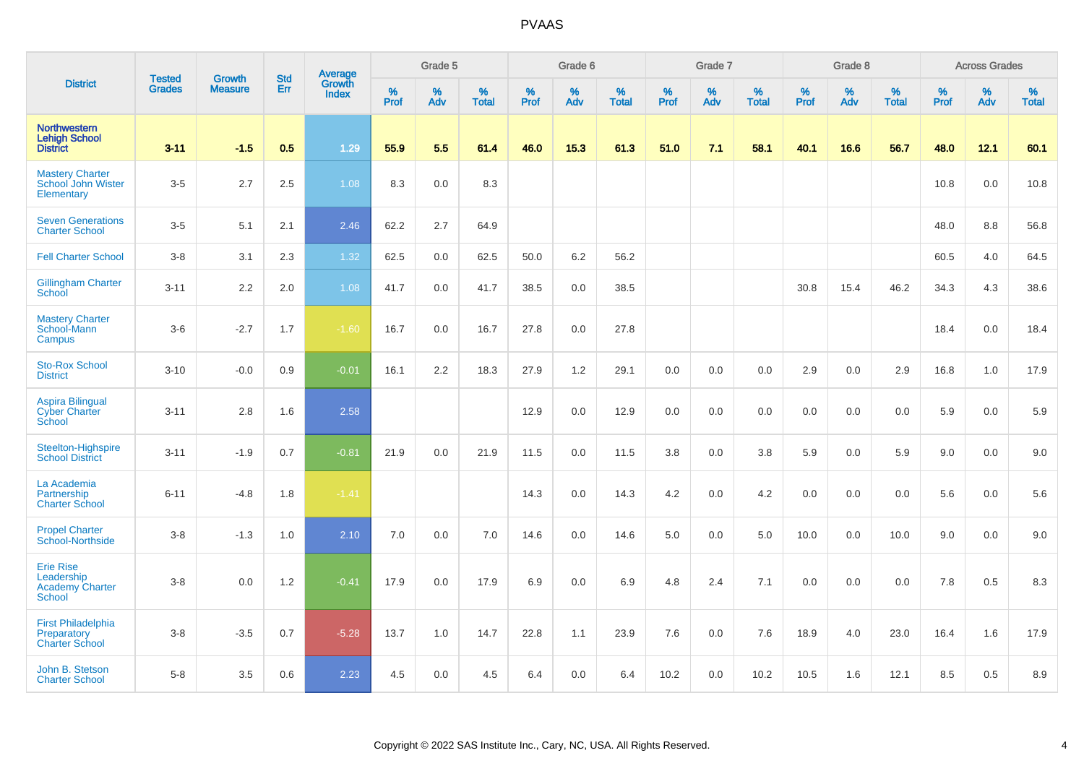|                                                                           | <b>Tested</b> | <b>Growth</b>  | <b>Std</b> | Average                |           | Grade 5  |                   |           | Grade 6  |                   |           | Grade 7  |                   |           | Grade 8  |                   |           | <b>Across Grades</b> |                   |
|---------------------------------------------------------------------------|---------------|----------------|------------|------------------------|-----------|----------|-------------------|-----------|----------|-------------------|-----------|----------|-------------------|-----------|----------|-------------------|-----------|----------------------|-------------------|
| <b>District</b>                                                           | <b>Grades</b> | <b>Measure</b> | Err        | Growth<br><b>Index</b> | %<br>Prof | %<br>Adv | %<br><b>Total</b> | %<br>Prof | %<br>Adv | %<br><b>Total</b> | %<br>Prof | %<br>Adv | %<br><b>Total</b> | %<br>Prof | %<br>Adv | %<br><b>Total</b> | %<br>Prof | %<br>Adv             | %<br><b>Total</b> |
| <b>Northwestern</b><br><b>Lehigh School</b><br><b>District</b>            | $3 - 11$      | $-1.5$         | 0.5        | 1.29                   | 55.9      | 5.5      | 61.4              | 46.0      | 15.3     | 61.3              | 51.0      | 7.1      | 58.1              | 40.1      | 16.6     | 56.7              | 48.0      | 12.1                 | 60.1              |
| <b>Mastery Charter</b><br>School John Wister<br>Elementary                | $3-5$         | 2.7            | 2.5        | 1.08                   | 8.3       | 0.0      | 8.3               |           |          |                   |           |          |                   |           |          |                   | 10.8      | 0.0                  | 10.8              |
| <b>Seven Generations</b><br><b>Charter School</b>                         | $3-5$         | 5.1            | 2.1        | 2.46                   | 62.2      | 2.7      | 64.9              |           |          |                   |           |          |                   |           |          |                   | 48.0      | 8.8                  | 56.8              |
| <b>Fell Charter School</b>                                                | $3 - 8$       | 3.1            | 2.3        | 1.32                   | 62.5      | 0.0      | 62.5              | 50.0      | 6.2      | 56.2              |           |          |                   |           |          |                   | 60.5      | 4.0                  | 64.5              |
| <b>Gillingham Charter</b><br>School                                       | $3 - 11$      | 2.2            | 2.0        | 1.08                   | 41.7      | 0.0      | 41.7              | 38.5      | 0.0      | 38.5              |           |          |                   | 30.8      | 15.4     | 46.2              | 34.3      | 4.3                  | 38.6              |
| <b>Mastery Charter</b><br>School-Mann<br>Campus                           | $3-6$         | $-2.7$         | 1.7        | $-1.60$                | 16.7      | 0.0      | 16.7              | 27.8      | 0.0      | 27.8              |           |          |                   |           |          |                   | 18.4      | 0.0                  | 18.4              |
| <b>Sto-Rox School</b><br><b>District</b>                                  | $3 - 10$      | $-0.0$         | 0.9        | $-0.01$                | 16.1      | 2.2      | 18.3              | 27.9      | 1.2      | 29.1              | 0.0       | 0.0      | 0.0               | 2.9       | 0.0      | 2.9               | 16.8      | 1.0                  | 17.9              |
| <b>Aspira Bilingual</b><br><b>Cyber Charter</b><br>School                 | $3 - 11$      | 2.8            | 1.6        | 2.58                   |           |          |                   | 12.9      | 0.0      | 12.9              | 0.0       | 0.0      | 0.0               | $0.0\,$   | 0.0      | 0.0               | 5.9       | $0.0\,$              | 5.9               |
| Steelton-Highspire<br><b>School District</b>                              | $3 - 11$      | $-1.9$         | 0.7        | $-0.81$                | 21.9      | 0.0      | 21.9              | 11.5      | 0.0      | 11.5              | 3.8       | 0.0      | 3.8               | 5.9       | 0.0      | 5.9               | 9.0       | 0.0                  | 9.0               |
| La Academia<br>Partnership<br><b>Charter School</b>                       | $6 - 11$      | $-4.8$         | 1.8        | $-1.41$                |           |          |                   | 14.3      | 0.0      | 14.3              | 4.2       | 0.0      | 4.2               | 0.0       | 0.0      | 0.0               | 5.6       | 0.0                  | 5.6               |
| <b>Propel Charter</b><br>School-Northside                                 | $3-8$         | $-1.3$         | 1.0        | 2.10                   | 7.0       | 0.0      | 7.0               | 14.6      | 0.0      | 14.6              | 5.0       | 0.0      | 5.0               | 10.0      | 0.0      | 10.0              | 9.0       | 0.0                  | 9.0               |
| <b>Erie Rise</b><br>Leadership<br><b>Academy Charter</b><br><b>School</b> | $3-8$         | 0.0            | 1.2        | $-0.41$                | 17.9      | 0.0      | 17.9              | 6.9       | 0.0      | 6.9               | 4.8       | 2.4      | 7.1               | 0.0       | 0.0      | 0.0               | 7.8       | 0.5                  | 8.3               |
| <b>First Philadelphia</b><br>Preparatory<br><b>Charter School</b>         | $3-8$         | $-3.5$         | 0.7        | $-5.28$                | 13.7      | 1.0      | 14.7              | 22.8      | 1.1      | 23.9              | 7.6       | 0.0      | 7.6               | 18.9      | 4.0      | 23.0              | 16.4      | 1.6                  | 17.9              |
| John B. Stetson<br><b>Charter School</b>                                  | $5 - 8$       | 3.5            | 0.6        | 2.23                   | 4.5       | 0.0      | 4.5               | 6.4       | 0.0      | 6.4               | 10.2      | 0.0      | 10.2              | 10.5      | 1.6      | 12.1              | 8.5       | 0.5                  | 8.9               |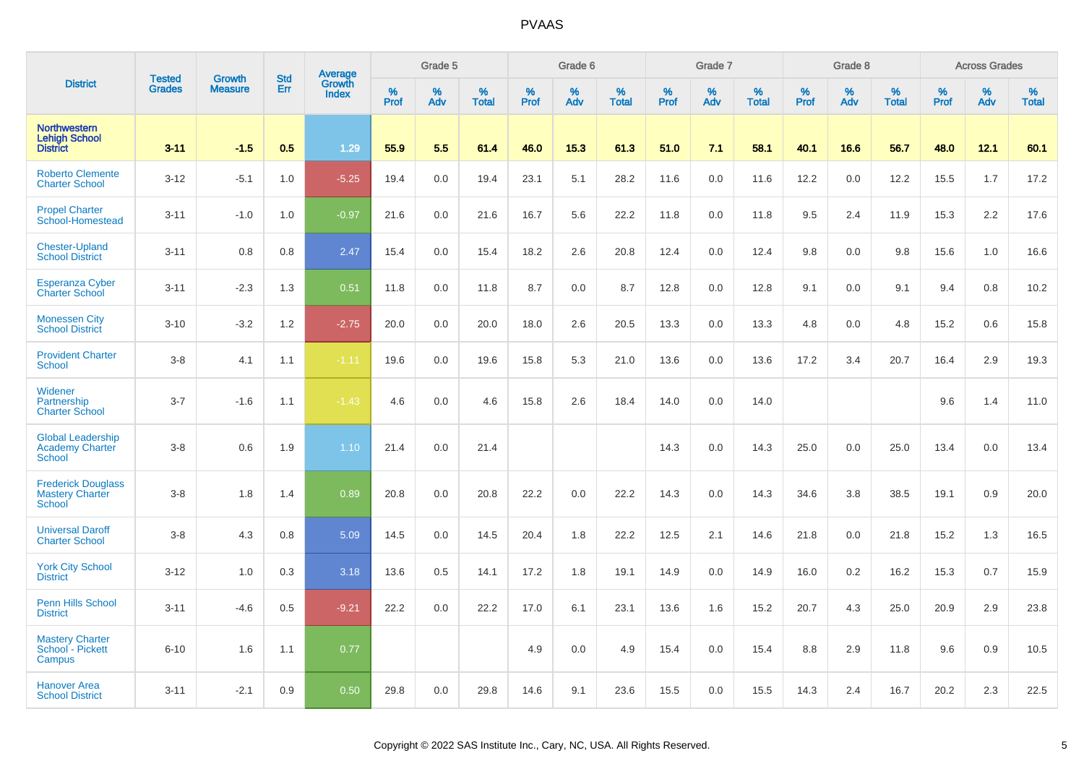|                                                                      | <b>Tested</b> | <b>Growth</b>  | <b>Std</b> | <b>Average</b><br>Growth |                     | Grade 5  |                   |                  | Grade 6  |                   |                  | Grade 7  |                   |                  | Grade 8  |                   |           | <b>Across Grades</b> |                   |
|----------------------------------------------------------------------|---------------|----------------|------------|--------------------------|---------------------|----------|-------------------|------------------|----------|-------------------|------------------|----------|-------------------|------------------|----------|-------------------|-----------|----------------------|-------------------|
| <b>District</b>                                                      | <b>Grades</b> | <b>Measure</b> | Err        | <b>Index</b>             | $\%$<br><b>Prof</b> | %<br>Adv | %<br><b>Total</b> | %<br><b>Prof</b> | %<br>Adv | %<br><b>Total</b> | %<br><b>Prof</b> | %<br>Adv | %<br><b>Total</b> | %<br><b>Prof</b> | %<br>Adv | %<br><b>Total</b> | %<br>Prof | %<br>Adv             | %<br><b>Total</b> |
| <b>Northwestern</b><br><b>Lehigh School</b><br><b>District</b>       | $3 - 11$      | $-1.5$         | 0.5        | 1.29                     | 55.9                | 5.5      | 61.4              | 46.0             | 15.3     | 61.3              | 51.0             | 7.1      | 58.1              | 40.1             | 16.6     | 56.7              | 48.0      | 12.1                 | 60.1              |
| <b>Roberto Clemente</b><br><b>Charter School</b>                     | $3 - 12$      | $-5.1$         | 1.0        | $-5.25$                  | 19.4                | 0.0      | 19.4              | 23.1             | 5.1      | 28.2              | 11.6             | 0.0      | 11.6              | 12.2             | 0.0      | 12.2              | 15.5      | 1.7                  | 17.2              |
| <b>Propel Charter</b><br>School-Homestead                            | $3 - 11$      | $-1.0$         | 1.0        | $-0.97$                  | 21.6                | 0.0      | 21.6              | 16.7             | 5.6      | 22.2              | 11.8             | 0.0      | 11.8              | 9.5              | 2.4      | 11.9              | 15.3      | 2.2                  | 17.6              |
| <b>Chester-Upland</b><br><b>School District</b>                      | $3 - 11$      | 0.8            | 0.8        | 2.47                     | 15.4                | 0.0      | 15.4              | 18.2             | 2.6      | 20.8              | 12.4             | 0.0      | 12.4              | 9.8              | 0.0      | 9.8               | 15.6      | 1.0                  | 16.6              |
| <b>Esperanza Cyber</b><br><b>Charter School</b>                      | $3 - 11$      | $-2.3$         | 1.3        | 0.51                     | 11.8                | 0.0      | 11.8              | 8.7              | 0.0      | 8.7               | 12.8             | 0.0      | 12.8              | 9.1              | 0.0      | 9.1               | 9.4       | 0.8                  | 10.2              |
| <b>Monessen City</b><br><b>School District</b>                       | $3 - 10$      | $-3.2$         | 1.2        | $-2.75$                  | 20.0                | 0.0      | 20.0              | 18.0             | 2.6      | 20.5              | 13.3             | 0.0      | 13.3              | 4.8              | 0.0      | 4.8               | 15.2      | 0.6                  | 15.8              |
| <b>Provident Charter</b><br><b>School</b>                            | $3 - 8$       | 4.1            | 1.1        | $-1.11$                  | 19.6                | 0.0      | 19.6              | 15.8             | 5.3      | 21.0              | 13.6             | 0.0      | 13.6              | 17.2             | 3.4      | 20.7              | 16.4      | 2.9                  | 19.3              |
| Widener<br>Partnership<br><b>Charter School</b>                      | $3 - 7$       | $-1.6$         | 1.1        | $-1.43$                  | 4.6                 | 0.0      | 4.6               | 15.8             | 2.6      | 18.4              | 14.0             | 0.0      | 14.0              |                  |          |                   | 9.6       | 1.4                  | 11.0              |
| <b>Global Leadership</b><br><b>Academy Charter</b><br><b>School</b>  | $3 - 8$       | 0.6            | 1.9        | 1.10                     | 21.4                | 0.0      | 21.4              |                  |          |                   | 14.3             | 0.0      | 14.3              | 25.0             | 0.0      | 25.0              | 13.4      | 0.0                  | 13.4              |
| <b>Frederick Douglass</b><br><b>Mastery Charter</b><br><b>School</b> | $3 - 8$       | 1.8            | 1.4        | 0.89                     | 20.8                | 0.0      | 20.8              | 22.2             | 0.0      | 22.2              | 14.3             | 0.0      | 14.3              | 34.6             | 3.8      | 38.5              | 19.1      | 0.9                  | 20.0              |
| <b>Universal Daroff</b><br><b>Charter School</b>                     | $3 - 8$       | 4.3            | 0.8        | 5.09                     | 14.5                | 0.0      | 14.5              | 20.4             | 1.8      | 22.2              | 12.5             | 2.1      | 14.6              | 21.8             | 0.0      | 21.8              | 15.2      | 1.3                  | 16.5              |
| <b>York City School</b><br><b>District</b>                           | $3 - 12$      | 1.0            | 0.3        | 3.18                     | 13.6                | 0.5      | 14.1              | 17.2             | 1.8      | 19.1              | 14.9             | 0.0      | 14.9              | 16.0             | 0.2      | 16.2              | 15.3      | 0.7                  | 15.9              |
| <b>Penn Hills School</b><br><b>District</b>                          | $3 - 11$      | $-4.6$         | 0.5        | $-9.21$                  | 22.2                | 0.0      | 22.2              | 17.0             | 6.1      | 23.1              | 13.6             | 1.6      | 15.2              | 20.7             | 4.3      | 25.0              | 20.9      | 2.9                  | 23.8              |
| <b>Mastery Charter</b><br>School - Pickett<br>Campus                 | $6 - 10$      | 1.6            | 1.1        | 0.77                     |                     |          |                   | 4.9              | 0.0      | 4.9               | 15.4             | 0.0      | 15.4              | 8.8              | 2.9      | 11.8              | 9.6       | 0.9                  | 10.5              |
| <b>Hanover Area</b><br><b>School District</b>                        | $3 - 11$      | $-2.1$         | 0.9        | 0.50                     | 29.8                | 0.0      | 29.8              | 14.6             | 9.1      | 23.6              | 15.5             | 0.0      | 15.5              | 14.3             | 2.4      | 16.7              | 20.2      | 2.3                  | 22.5              |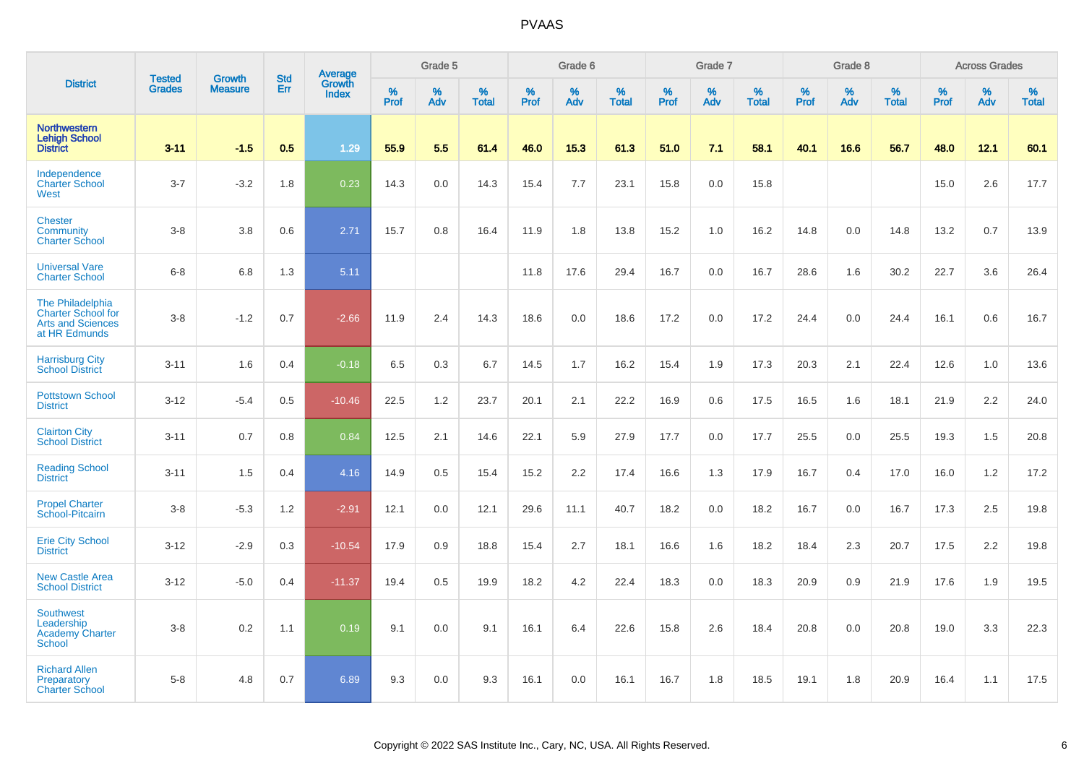|                                                                                            |                                |                                 |                   | Average                |           | Grade 5  |                   |           | Grade 6  |                   |           | Grade 7  |                   |           | Grade 8  |                   |           | <b>Across Grades</b> |                   |
|--------------------------------------------------------------------------------------------|--------------------------------|---------------------------------|-------------------|------------------------|-----------|----------|-------------------|-----------|----------|-------------------|-----------|----------|-------------------|-----------|----------|-------------------|-----------|----------------------|-------------------|
| <b>District</b>                                                                            | <b>Tested</b><br><b>Grades</b> | <b>Growth</b><br><b>Measure</b> | <b>Std</b><br>Err | Growth<br><b>Index</b> | %<br>Prof | %<br>Adv | %<br><b>Total</b> | %<br>Prof | %<br>Adv | %<br><b>Total</b> | %<br>Prof | %<br>Adv | %<br><b>Total</b> | %<br>Prof | %<br>Adv | %<br><b>Total</b> | %<br>Prof | %<br>Adv             | %<br><b>Total</b> |
| <b>Northwestern</b><br><b>Lehigh School</b><br><b>District</b>                             | $3 - 11$                       | $-1.5$                          | 0.5               | 1.29                   | 55.9      | 5.5      | 61.4              | 46.0      | 15.3     | 61.3              | 51.0      | 7.1      | 58.1              | 40.1      | 16.6     | 56.7              | 48.0      | 12.1                 | 60.1              |
| Independence<br><b>Charter School</b><br>West                                              | $3 - 7$                        | $-3.2$                          | 1.8               | 0.23                   | 14.3      | 0.0      | 14.3              | 15.4      | 7.7      | 23.1              | 15.8      | $0.0\,$  | 15.8              |           |          |                   | 15.0      | 2.6                  | 17.7              |
| <b>Chester</b><br>Community<br><b>Charter School</b>                                       | $3 - 8$                        | 3.8                             | 0.6               | 2.71                   | 15.7      | 0.8      | 16.4              | 11.9      | 1.8      | 13.8              | 15.2      | 1.0      | 16.2              | 14.8      | 0.0      | 14.8              | 13.2      | 0.7                  | 13.9              |
| <b>Universal Vare</b><br><b>Charter School</b>                                             | $6 - 8$                        | 6.8                             | 1.3               | 5.11                   |           |          |                   | 11.8      | 17.6     | 29.4              | 16.7      | 0.0      | 16.7              | 28.6      | 1.6      | 30.2              | 22.7      | 3.6                  | 26.4              |
| The Philadelphia<br><b>Charter School for</b><br><b>Arts and Sciences</b><br>at HR Edmunds | $3 - 8$                        | $-1.2$                          | 0.7               | $-2.66$                | 11.9      | 2.4      | 14.3              | 18.6      | 0.0      | 18.6              | 17.2      | 0.0      | 17.2              | 24.4      | 0.0      | 24.4              | 16.1      | 0.6                  | 16.7              |
| <b>Harrisburg City</b><br><b>School District</b>                                           | $3 - 11$                       | 1.6                             | 0.4               | $-0.18$                | 6.5       | 0.3      | 6.7               | 14.5      | 1.7      | 16.2              | 15.4      | 1.9      | 17.3              | 20.3      | 2.1      | 22.4              | 12.6      | 1.0                  | 13.6              |
| <b>Pottstown School</b><br><b>District</b>                                                 | $3 - 12$                       | $-5.4$                          | 0.5               | $-10.46$               | 22.5      | 1.2      | 23.7              | 20.1      | 2.1      | 22.2              | 16.9      | 0.6      | 17.5              | 16.5      | 1.6      | 18.1              | 21.9      | 2.2                  | 24.0              |
| <b>Clairton City</b><br><b>School District</b>                                             | $3 - 11$                       | 0.7                             | 0.8               | 0.84                   | 12.5      | 2.1      | 14.6              | 22.1      | 5.9      | 27.9              | 17.7      | 0.0      | 17.7              | 25.5      | 0.0      | 25.5              | 19.3      | 1.5                  | 20.8              |
| <b>Reading School</b><br><b>District</b>                                                   | $3 - 11$                       | 1.5                             | 0.4               | 4.16                   | 14.9      | 0.5      | 15.4              | 15.2      | 2.2      | 17.4              | 16.6      | 1.3      | 17.9              | 16.7      | 0.4      | 17.0              | 16.0      | 1.2                  | 17.2              |
| <b>Propel Charter</b><br>School-Pitcairn                                                   | $3-8$                          | $-5.3$                          | 1.2               | $-2.91$                | 12.1      | 0.0      | 12.1              | 29.6      | 11.1     | 40.7              | 18.2      | 0.0      | 18.2              | 16.7      | 0.0      | 16.7              | 17.3      | 2.5                  | 19.8              |
| <b>Erie City School</b><br><b>District</b>                                                 | $3 - 12$                       | $-2.9$                          | 0.3               | $-10.54$               | 17.9      | 0.9      | 18.8              | 15.4      | 2.7      | 18.1              | 16.6      | 1.6      | 18.2              | 18.4      | 2.3      | 20.7              | 17.5      | 2.2                  | 19.8              |
| <b>New Castle Area</b><br><b>School District</b>                                           | $3 - 12$                       | $-5.0$                          | 0.4               | $-11.37$               | 19.4      | 0.5      | 19.9              | 18.2      | 4.2      | 22.4              | 18.3      | 0.0      | 18.3              | 20.9      | 0.9      | 21.9              | 17.6      | 1.9                  | 19.5              |
| <b>Southwest</b><br>Leadership<br><b>Academy Charter</b><br><b>School</b>                  | $3 - 8$                        | 0.2                             | 1.1               | 0.19                   | 9.1       | 0.0      | 9.1               | 16.1      | 6.4      | 22.6              | 15.8      | 2.6      | 18.4              | 20.8      | 0.0      | 20.8              | 19.0      | 3.3                  | 22.3              |
| <b>Richard Allen</b><br>Preparatory<br><b>Charter School</b>                               | $5 - 8$                        | 4.8                             | 0.7               | 6.89                   | 9.3       | 0.0      | 9.3               | 16.1      | 0.0      | 16.1              | 16.7      | 1.8      | 18.5              | 19.1      | 1.8      | 20.9              | 16.4      | 1.1                  | 17.5              |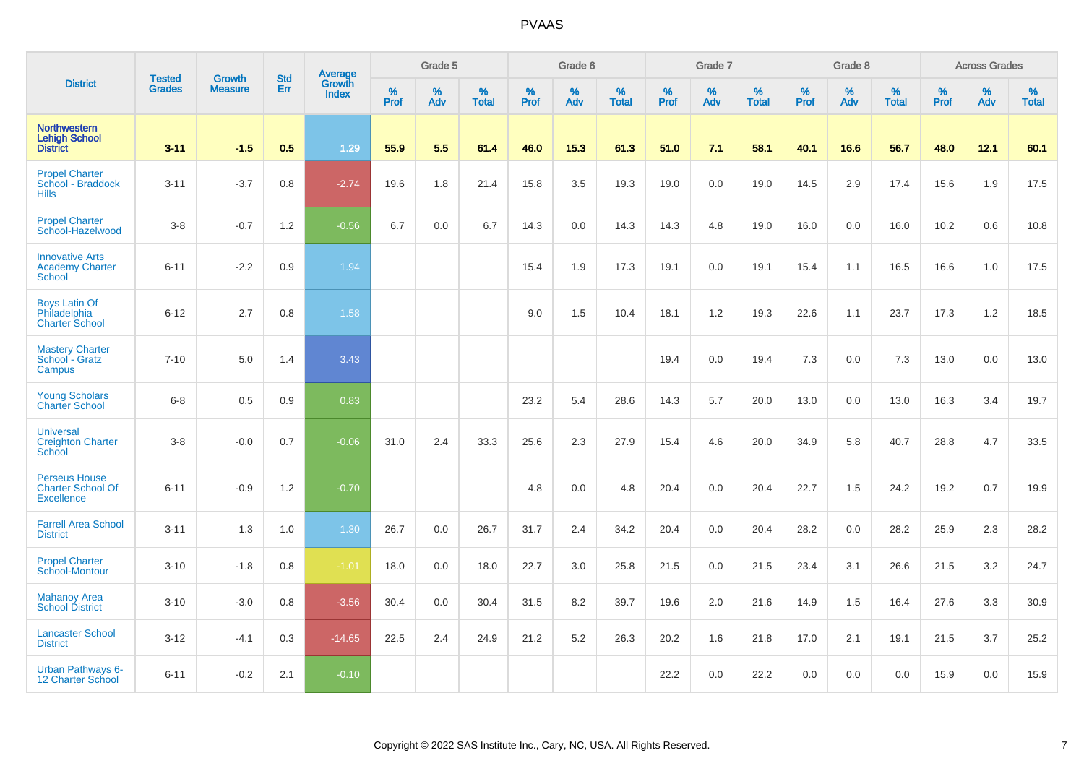|                                                                       |                                |                                 | <b>Std</b> | Average                |           | Grade 5  |                      |           | Grade 6  |                   |           | Grade 7  |                   |                  | Grade 8  |                   |                  | <b>Across Grades</b> |                   |
|-----------------------------------------------------------------------|--------------------------------|---------------------------------|------------|------------------------|-----------|----------|----------------------|-----------|----------|-------------------|-----------|----------|-------------------|------------------|----------|-------------------|------------------|----------------------|-------------------|
| <b>District</b>                                                       | <b>Tested</b><br><b>Grades</b> | <b>Growth</b><br><b>Measure</b> | Err        | Growth<br><b>Index</b> | %<br>Prof | %<br>Adv | $\%$<br><b>Total</b> | %<br>Prof | %<br>Adv | %<br><b>Total</b> | %<br>Prof | %<br>Adv | %<br><b>Total</b> | %<br><b>Prof</b> | %<br>Adv | %<br><b>Total</b> | %<br><b>Prof</b> | %<br>Adv             | %<br><b>Total</b> |
| <b>Northwestern</b><br><b>Lehigh School</b><br><b>District</b>        | $3 - 11$                       | $-1.5$                          | 0.5        | 1.29                   | 55.9      | 5.5      | 61.4                 | 46.0      | 15.3     | 61.3              | 51.0      | 7.1      | 58.1              | 40.1             | 16.6     | 56.7              | 48.0             | 12.1                 | 60.1              |
| <b>Propel Charter</b><br>School - Braddock<br><b>Hills</b>            | $3 - 11$                       | $-3.7$                          | 0.8        | $-2.74$                | 19.6      | 1.8      | 21.4                 | 15.8      | 3.5      | 19.3              | 19.0      | 0.0      | 19.0              | 14.5             | 2.9      | 17.4              | 15.6             | 1.9                  | 17.5              |
| <b>Propel Charter</b><br>School-Hazelwood                             | $3-8$                          | $-0.7$                          | 1.2        | $-0.56$                | 6.7       | 0.0      | 6.7                  | 14.3      | 0.0      | 14.3              | 14.3      | 4.8      | 19.0              | 16.0             | 0.0      | 16.0              | 10.2             | 0.6                  | 10.8              |
| <b>Innovative Arts</b><br><b>Academy Charter</b><br><b>School</b>     | $6 - 11$                       | $-2.2$                          | 0.9        | 1.94                   |           |          |                      | 15.4      | 1.9      | 17.3              | 19.1      | 0.0      | 19.1              | 15.4             | 1.1      | 16.5              | 16.6             | 1.0                  | 17.5              |
| <b>Boys Latin Of</b><br>Philadelphia<br><b>Charter School</b>         | $6 - 12$                       | 2.7                             | 0.8        | 1.58                   |           |          |                      | 9.0       | 1.5      | 10.4              | 18.1      | 1.2      | 19.3              | 22.6             | 1.1      | 23.7              | 17.3             | 1.2                  | 18.5              |
| <b>Mastery Charter</b><br>School - Gratz<br>Campus                    | $7 - 10$                       | 5.0                             | 1.4        | 3.43                   |           |          |                      |           |          |                   | 19.4      | 0.0      | 19.4              | 7.3              | 0.0      | 7.3               | 13.0             | 0.0                  | 13.0              |
| <b>Young Scholars</b><br><b>Charter School</b>                        | $6 - 8$                        | 0.5                             | 0.9        | 0.83                   |           |          |                      | 23.2      | 5.4      | 28.6              | 14.3      | 5.7      | 20.0              | 13.0             | 0.0      | 13.0              | 16.3             | 3.4                  | 19.7              |
| <b>Universal</b><br><b>Creighton Charter</b><br>School                | $3-8$                          | $-0.0$                          | 0.7        | $-0.06$                | 31.0      | 2.4      | 33.3                 | 25.6      | 2.3      | 27.9              | 15.4      | 4.6      | 20.0              | 34.9             | 5.8      | 40.7              | 28.8             | 4.7                  | 33.5              |
| <b>Perseus House</b><br><b>Charter School Of</b><br><b>Excellence</b> | $6 - 11$                       | $-0.9$                          | 1.2        | $-0.70$                |           |          |                      | 4.8       | 0.0      | 4.8               | 20.4      | 0.0      | 20.4              | 22.7             | 1.5      | 24.2              | 19.2             | 0.7                  | 19.9              |
| <b>Farrell Area School</b><br><b>District</b>                         | $3 - 11$                       | 1.3                             | 1.0        | 1.30                   | 26.7      | 0.0      | 26.7                 | 31.7      | 2.4      | 34.2              | 20.4      | 0.0      | 20.4              | 28.2             | 0.0      | 28.2              | 25.9             | 2.3                  | 28.2              |
| <b>Propel Charter</b><br>School-Montour                               | $3 - 10$                       | $-1.8$                          | 0.8        | $-1.01$                | 18.0      | 0.0      | 18.0                 | 22.7      | 3.0      | 25.8              | 21.5      | 0.0      | 21.5              | 23.4             | 3.1      | 26.6              | 21.5             | 3.2                  | 24.7              |
| <b>Mahanoy Area</b><br><b>School District</b>                         | $3 - 10$                       | $-3.0$                          | 0.8        | $-3.56$                | 30.4      | 0.0      | 30.4                 | 31.5      | 8.2      | 39.7              | 19.6      | 2.0      | 21.6              | 14.9             | 1.5      | 16.4              | 27.6             | 3.3                  | 30.9              |
| <b>Lancaster School</b><br><b>District</b>                            | $3 - 12$                       | $-4.1$                          | 0.3        | $-14.65$               | 22.5      | 2.4      | 24.9                 | 21.2      | 5.2      | 26.3              | 20.2      | 1.6      | 21.8              | 17.0             | 2.1      | 19.1              | 21.5             | 3.7                  | 25.2              |
| <b>Urban Pathways 6-</b><br>12 Charter School                         | $6 - 11$                       | $-0.2$                          | 2.1        | $-0.10$                |           |          |                      |           |          |                   | 22.2      | 0.0      | 22.2              | 0.0              | 0.0      | 0.0               | 15.9             | 0.0                  | 15.9              |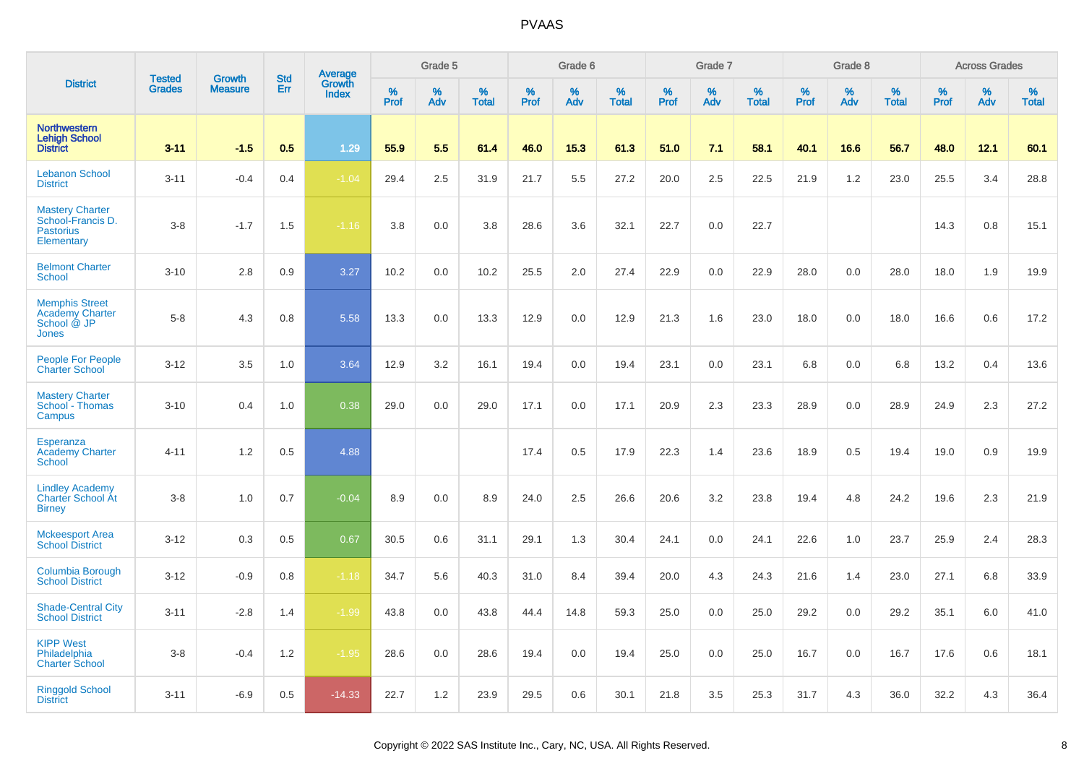|                                                                                | <b>Tested</b> | <b>Growth</b>  | <b>Std</b> | Average                |           | Grade 5  |                   |           | Grade 6  |                   |           | Grade 7  |                   |           | Grade 8  |                   |           | <b>Across Grades</b> |                   |
|--------------------------------------------------------------------------------|---------------|----------------|------------|------------------------|-----------|----------|-------------------|-----------|----------|-------------------|-----------|----------|-------------------|-----------|----------|-------------------|-----------|----------------------|-------------------|
| <b>District</b>                                                                | <b>Grades</b> | <b>Measure</b> | Err        | Growth<br><b>Index</b> | %<br>Prof | %<br>Adv | %<br><b>Total</b> | %<br>Prof | %<br>Adv | %<br><b>Total</b> | %<br>Prof | %<br>Adv | %<br><b>Total</b> | %<br>Prof | %<br>Adv | %<br><b>Total</b> | %<br>Prof | %<br>Adv             | %<br><b>Total</b> |
| <b>Northwestern</b><br><b>Lehigh School</b><br><b>District</b>                 | $3 - 11$      | $-1.5$         | 0.5        | 1.29                   | 55.9      | 5.5      | 61.4              | 46.0      | 15.3     | 61.3              | 51.0      | 7.1      | 58.1              | 40.1      | 16.6     | 56.7              | 48.0      | 12.1                 | 60.1              |
| <b>Lebanon School</b><br><b>District</b>                                       | $3 - 11$      | $-0.4$         | 0.4        | $-1.04$                | 29.4      | 2.5      | 31.9              | 21.7      | 5.5      | 27.2              | 20.0      | 2.5      | 22.5              | 21.9      | 1.2      | 23.0              | 25.5      | 3.4                  | 28.8              |
| <b>Mastery Charter</b><br>School-Francis D.<br><b>Pastorius</b><br>Elementary  | $3 - 8$       | $-1.7$         | 1.5        | $-1.16$                | 3.8       | 0.0      | 3.8               | 28.6      | 3.6      | 32.1              | 22.7      | 0.0      | 22.7              |           |          |                   | 14.3      | 0.8                  | 15.1              |
| <b>Belmont Charter</b><br><b>School</b>                                        | $3 - 10$      | 2.8            | 0.9        | 3.27                   | 10.2      | 0.0      | 10.2              | 25.5      | 2.0      | 27.4              | 22.9      | 0.0      | 22.9              | 28.0      | 0.0      | 28.0              | 18.0      | 1.9                  | 19.9              |
| <b>Memphis Street</b><br><b>Academy Charter</b><br>School @ JP<br><b>Jones</b> | $5 - 8$       | 4.3            | 0.8        | 5.58                   | 13.3      | 0.0      | 13.3              | 12.9      | 0.0      | 12.9              | 21.3      | 1.6      | 23.0              | 18.0      | 0.0      | 18.0              | 16.6      | 0.6                  | 17.2              |
| People For People<br><b>Charter School</b>                                     | $3 - 12$      | 3.5            | 1.0        | 3.64                   | 12.9      | 3.2      | 16.1              | 19.4      | 0.0      | 19.4              | 23.1      | 0.0      | 23.1              | 6.8       | 0.0      | 6.8               | 13.2      | 0.4                  | 13.6              |
| <b>Mastery Charter</b><br>School - Thomas<br>Campus                            | $3 - 10$      | 0.4            | 1.0        | 0.38                   | 29.0      | 0.0      | 29.0              | 17.1      | 0.0      | 17.1              | 20.9      | 2.3      | 23.3              | 28.9      | 0.0      | 28.9              | 24.9      | 2.3                  | 27.2              |
| Esperanza<br><b>Academy Charter</b><br>School                                  | $4 - 11$      | 1.2            | 0.5        | 4.88                   |           |          |                   | 17.4      | 0.5      | 17.9              | 22.3      | 1.4      | 23.6              | 18.9      | 0.5      | 19.4              | 19.0      | 0.9                  | 19.9              |
| <b>Lindley Academy</b><br>Charter School At<br><b>Birney</b>                   | $3 - 8$       | 1.0            | 0.7        | $-0.04$                | 8.9       | 0.0      | 8.9               | 24.0      | 2.5      | 26.6              | 20.6      | 3.2      | 23.8              | 19.4      | 4.8      | 24.2              | 19.6      | 2.3                  | 21.9              |
| <b>Mckeesport Area</b><br><b>School District</b>                               | $3 - 12$      | 0.3            | 0.5        | 0.67                   | 30.5      | 0.6      | 31.1              | 29.1      | 1.3      | 30.4              | 24.1      | 0.0      | 24.1              | 22.6      | 1.0      | 23.7              | 25.9      | 2.4                  | 28.3              |
| <b>Columbia Borough</b><br><b>School District</b>                              | $3 - 12$      | $-0.9$         | 0.8        | $-1.18$                | 34.7      | 5.6      | 40.3              | 31.0      | 8.4      | 39.4              | 20.0      | 4.3      | 24.3              | 21.6      | 1.4      | 23.0              | 27.1      | 6.8                  | 33.9              |
| <b>Shade-Central City</b><br><b>School District</b>                            | $3 - 11$      | $-2.8$         | 1.4        | $-1.99$                | 43.8      | 0.0      | 43.8              | 44.4      | 14.8     | 59.3              | 25.0      | 0.0      | 25.0              | 29.2      | 0.0      | 29.2              | 35.1      | 6.0                  | 41.0              |
| <b>KIPP West</b><br>Philadelphia<br><b>Charter School</b>                      | $3 - 8$       | $-0.4$         | 1.2        | $-1.95$                | 28.6      | 0.0      | 28.6              | 19.4      | 0.0      | 19.4              | 25.0      | 0.0      | 25.0              | 16.7      | 0.0      | 16.7              | 17.6      | 0.6                  | 18.1              |
| <b>Ringgold School</b><br><b>District</b>                                      | $3 - 11$      | $-6.9$         | 0.5        | $-14.33$               | 22.7      | 1.2      | 23.9              | 29.5      | 0.6      | 30.1              | 21.8      | 3.5      | 25.3              | 31.7      | 4.3      | 36.0              | 32.2      | 4.3                  | 36.4              |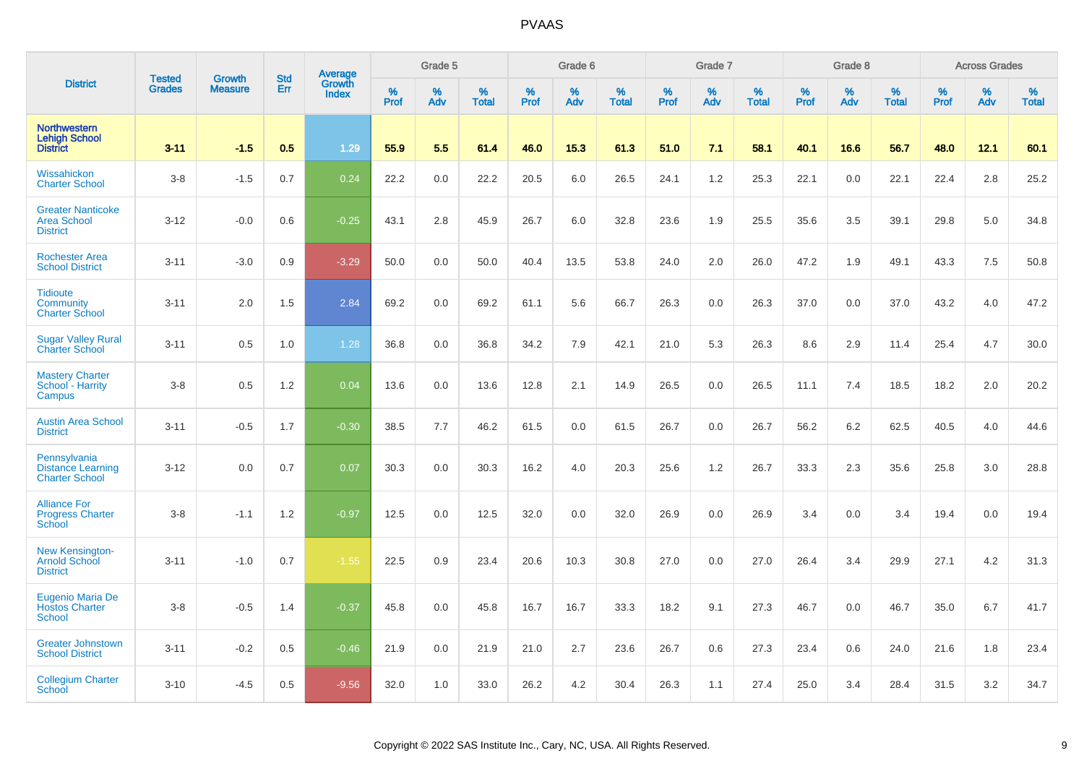|                                                                   | <b>Tested</b> | <b>Growth</b>  | <b>Std</b> | Average                |           | Grade 5  |                   |           | Grade 6  |                   |           | Grade 7  |                   |           | Grade 8  |                   |           | <b>Across Grades</b> |                   |
|-------------------------------------------------------------------|---------------|----------------|------------|------------------------|-----------|----------|-------------------|-----------|----------|-------------------|-----------|----------|-------------------|-----------|----------|-------------------|-----------|----------------------|-------------------|
| <b>District</b>                                                   | <b>Grades</b> | <b>Measure</b> | Err        | Growth<br><b>Index</b> | %<br>Prof | %<br>Adv | %<br><b>Total</b> | %<br>Prof | %<br>Adv | %<br><b>Total</b> | %<br>Prof | %<br>Adv | %<br><b>Total</b> | %<br>Prof | %<br>Adv | %<br><b>Total</b> | %<br>Prof | %<br>Adv             | %<br><b>Total</b> |
| <b>Northwestern</b><br><b>Lehigh School</b><br><b>District</b>    | $3 - 11$      | $-1.5$         | 0.5        | 1.29                   | 55.9      | 5.5      | 61.4              | 46.0      | 15.3     | 61.3              | 51.0      | 7.1      | 58.1              | 40.1      | 16.6     | 56.7              | 48.0      | 12.1                 | 60.1              |
| Wissahickon<br><b>Charter School</b>                              | $3-8$         | $-1.5$         | 0.7        | 0.24                   | 22.2      | 0.0      | 22.2              | 20.5      | 6.0      | 26.5              | 24.1      | 1.2      | 25.3              | 22.1      | 0.0      | 22.1              | 22.4      | 2.8                  | 25.2              |
| <b>Greater Nanticoke</b><br><b>Area School</b><br><b>District</b> | $3 - 12$      | $-0.0$         | 0.6        | $-0.25$                | 43.1      | 2.8      | 45.9              | 26.7      | 6.0      | 32.8              | 23.6      | 1.9      | 25.5              | 35.6      | 3.5      | 39.1              | 29.8      | 5.0                  | 34.8              |
| <b>Rochester Area</b><br><b>School District</b>                   | $3 - 11$      | $-3.0$         | 0.9        | $-3.29$                | 50.0      | 0.0      | 50.0              | 40.4      | 13.5     | 53.8              | 24.0      | 2.0      | 26.0              | 47.2      | 1.9      | 49.1              | 43.3      | 7.5                  | 50.8              |
| <b>Tidioute</b><br>Community<br><b>Charter School</b>             | $3 - 11$      | 2.0            | 1.5        | 2.84                   | 69.2      | 0.0      | 69.2              | 61.1      | 5.6      | 66.7              | 26.3      | 0.0      | 26.3              | 37.0      | 0.0      | 37.0              | 43.2      | 4.0                  | 47.2              |
| <b>Sugar Valley Rural</b><br><b>Charter School</b>                | $3 - 11$      | 0.5            | 1.0        | 1.28                   | 36.8      | 0.0      | 36.8              | 34.2      | 7.9      | 42.1              | 21.0      | 5.3      | 26.3              | 8.6       | 2.9      | 11.4              | 25.4      | 4.7                  | 30.0              |
| <b>Mastery Charter</b><br>School - Harrity<br>Campus              | $3 - 8$       | 0.5            | 1.2        | 0.04                   | 13.6      | 0.0      | 13.6              | 12.8      | 2.1      | 14.9              | 26.5      | 0.0      | 26.5              | 11.1      | 7.4      | 18.5              | 18.2      | 2.0                  | 20.2              |
| <b>Austin Area School</b><br><b>District</b>                      | $3 - 11$      | $-0.5$         | 1.7        | $-0.30$                | 38.5      | 7.7      | 46.2              | 61.5      | 0.0      | 61.5              | 26.7      | 0.0      | 26.7              | 56.2      | 6.2      | 62.5              | 40.5      | 4.0                  | 44.6              |
| Pennsylvania<br><b>Distance Learning</b><br><b>Charter School</b> | $3 - 12$      | 0.0            | 0.7        | 0.07                   | 30.3      | 0.0      | 30.3              | 16.2      | 4.0      | 20.3              | 25.6      | 1.2      | 26.7              | 33.3      | 2.3      | 35.6              | 25.8      | 3.0                  | 28.8              |
| <b>Alliance For</b><br><b>Progress Charter</b><br>School          | $3-8$         | $-1.1$         | 1.2        | $-0.97$                | 12.5      | 0.0      | 12.5              | 32.0      | 0.0      | 32.0              | 26.9      | 0.0      | 26.9              | 3.4       | 0.0      | 3.4               | 19.4      | 0.0                  | 19.4              |
| <b>New Kensington-</b><br><b>Arnold School</b><br><b>District</b> | $3 - 11$      | $-1.0$         | 0.7        | $-1.55$                | 22.5      | 0.9      | 23.4              | 20.6      | 10.3     | 30.8              | 27.0      | 0.0      | 27.0              | 26.4      | 3.4      | 29.9              | 27.1      | 4.2                  | 31.3              |
| Eugenio Maria De<br><b>Hostos Charter</b><br><b>School</b>        | $3-8$         | $-0.5$         | 1.4        | $-0.37$                | 45.8      | 0.0      | 45.8              | 16.7      | 16.7     | 33.3              | 18.2      | 9.1      | 27.3              | 46.7      | 0.0      | 46.7              | 35.0      | 6.7                  | 41.7              |
| <b>Greater Johnstown</b><br><b>School District</b>                | $3 - 11$      | $-0.2$         | 0.5        | $-0.46$                | 21.9      | 0.0      | 21.9              | 21.0      | 2.7      | 23.6              | 26.7      | 0.6      | 27.3              | 23.4      | 0.6      | 24.0              | 21.6      | 1.8                  | 23.4              |
| <b>Collegium Charter</b><br>School                                | $3 - 10$      | $-4.5$         | 0.5        | $-9.56$                | 32.0      | 1.0      | 33.0              | 26.2      | 4.2      | 30.4              | 26.3      | 1.1      | 27.4              | 25.0      | 3.4      | 28.4              | 31.5      | 3.2                  | 34.7              |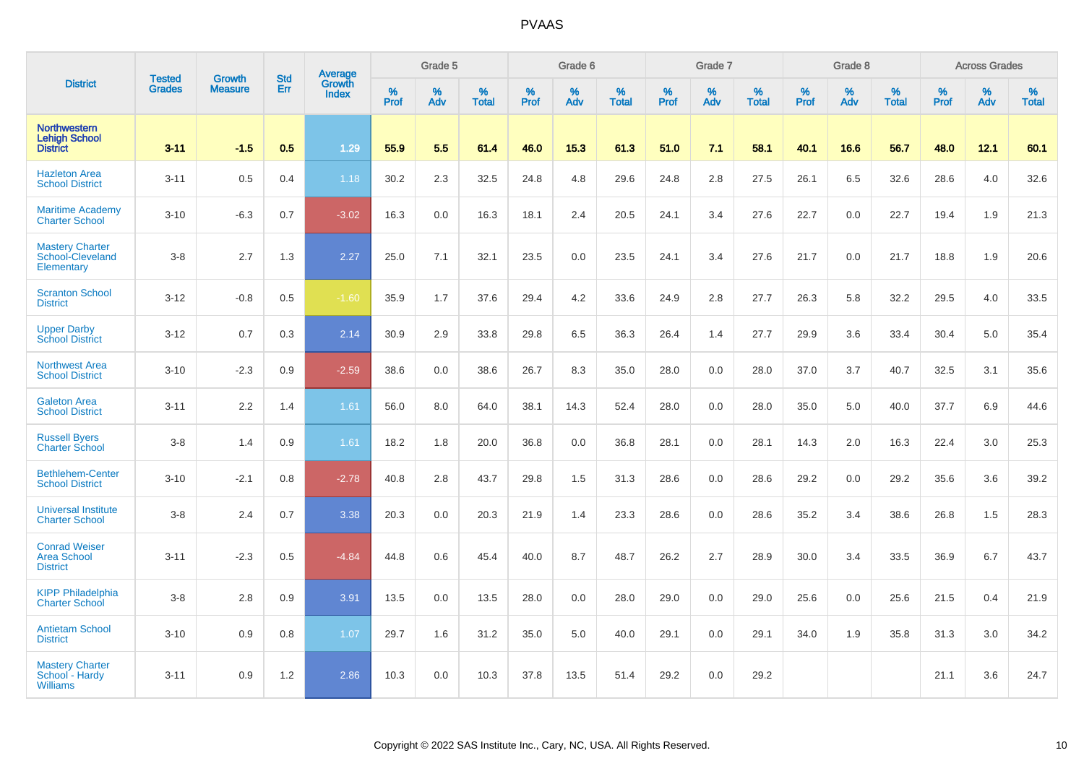|                                                               |                                |                                 |                   | Average                |              | Grade 5  |                   |           | Grade 6  |                   |           | Grade 7  |                   |           | Grade 8  |                   |           | <b>Across Grades</b> |                   |
|---------------------------------------------------------------|--------------------------------|---------------------------------|-------------------|------------------------|--------------|----------|-------------------|-----------|----------|-------------------|-----------|----------|-------------------|-----------|----------|-------------------|-----------|----------------------|-------------------|
| <b>District</b>                                               | <b>Tested</b><br><b>Grades</b> | <b>Growth</b><br><b>Measure</b> | <b>Std</b><br>Err | Growth<br><b>Index</b> | $\%$<br>Prof | %<br>Adv | %<br><b>Total</b> | %<br>Prof | %<br>Adv | %<br><b>Total</b> | %<br>Prof | %<br>Adv | %<br><b>Total</b> | %<br>Prof | %<br>Adv | %<br><b>Total</b> | %<br>Prof | %<br>Adv             | %<br><b>Total</b> |
| Northwestern<br><b>Lehigh School</b><br><b>District</b>       | $3 - 11$                       | $-1.5$                          | 0.5               | 1.29                   | 55.9         | 5.5      | 61.4              | 46.0      | 15.3     | 61.3              | 51.0      | 7.1      | 58.1              | 40.1      | 16.6     | 56.7              | 48.0      | 12.1                 | 60.1              |
| <b>Hazleton Area</b><br><b>School District</b>                | $3 - 11$                       | 0.5                             | 0.4               | 1.18                   | 30.2         | 2.3      | 32.5              | 24.8      | 4.8      | 29.6              | 24.8      | 2.8      | 27.5              | 26.1      | 6.5      | 32.6              | 28.6      | 4.0                  | 32.6              |
| <b>Maritime Academy</b><br><b>Charter School</b>              | $3 - 10$                       | $-6.3$                          | 0.7               | $-3.02$                | 16.3         | 0.0      | 16.3              | 18.1      | 2.4      | 20.5              | 24.1      | 3.4      | 27.6              | 22.7      | 0.0      | 22.7              | 19.4      | 1.9                  | 21.3              |
| <b>Mastery Charter</b><br>School-Cleveland<br>Elementary      | $3-8$                          | 2.7                             | 1.3               | 2.27                   | 25.0         | 7.1      | 32.1              | 23.5      | 0.0      | 23.5              | 24.1      | 3.4      | 27.6              | 21.7      | 0.0      | 21.7              | 18.8      | 1.9                  | 20.6              |
| <b>Scranton School</b><br><b>District</b>                     | $3 - 12$                       | $-0.8$                          | 0.5               | $-1.60$                | 35.9         | 1.7      | 37.6              | 29.4      | 4.2      | 33.6              | 24.9      | 2.8      | 27.7              | 26.3      | 5.8      | 32.2              | 29.5      | 4.0                  | 33.5              |
| <b>Upper Darby</b><br><b>School District</b>                  | $3 - 12$                       | 0.7                             | 0.3               | 2.14                   | 30.9         | 2.9      | 33.8              | 29.8      | 6.5      | 36.3              | 26.4      | 1.4      | 27.7              | 29.9      | 3.6      | 33.4              | 30.4      | 5.0                  | 35.4              |
| <b>Northwest Area</b><br><b>School District</b>               | $3 - 10$                       | $-2.3$                          | 0.9               | $-2.59$                | 38.6         | 0.0      | 38.6              | 26.7      | 8.3      | 35.0              | 28.0      | 0.0      | 28.0              | 37.0      | 3.7      | 40.7              | 32.5      | 3.1                  | 35.6              |
| <b>Galeton Area</b><br><b>School District</b>                 | $3 - 11$                       | 2.2                             | 1.4               | 1.61                   | 56.0         | 8.0      | 64.0              | 38.1      | 14.3     | 52.4              | 28.0      | 0.0      | 28.0              | 35.0      | 5.0      | 40.0              | 37.7      | 6.9                  | 44.6              |
| <b>Russell Byers</b><br><b>Charter School</b>                 | $3-8$                          | 1.4                             | 0.9               | 1.61                   | 18.2         | 1.8      | 20.0              | 36.8      | 0.0      | 36.8              | 28.1      | 0.0      | 28.1              | 14.3      | 2.0      | 16.3              | 22.4      | 3.0                  | 25.3              |
| <b>Bethlehem-Center</b><br><b>School District</b>             | $3 - 10$                       | $-2.1$                          | 0.8               | $-2.78$                | 40.8         | 2.8      | 43.7              | 29.8      | 1.5      | 31.3              | 28.6      | 0.0      | 28.6              | 29.2      | 0.0      | 29.2              | 35.6      | 3.6                  | 39.2              |
| <b>Universal Institute</b><br><b>Charter School</b>           | $3-8$                          | 2.4                             | 0.7               | 3.38                   | 20.3         | 0.0      | 20.3              | 21.9      | 1.4      | 23.3              | 28.6      | 0.0      | 28.6              | 35.2      | 3.4      | 38.6              | 26.8      | 1.5                  | 28.3              |
| <b>Conrad Weiser</b><br><b>Area School</b><br><b>District</b> | $3 - 11$                       | $-2.3$                          | 0.5               | $-4.84$                | 44.8         | 0.6      | 45.4              | 40.0      | 8.7      | 48.7              | 26.2      | 2.7      | 28.9              | 30.0      | 3.4      | 33.5              | 36.9      | 6.7                  | 43.7              |
| <b>KIPP Philadelphia</b><br><b>Charter School</b>             | $3-8$                          | 2.8                             | 0.9               | 3.91                   | 13.5         | 0.0      | 13.5              | 28.0      | 0.0      | 28.0              | 29.0      | 0.0      | 29.0              | 25.6      | 0.0      | 25.6              | 21.5      | 0.4                  | 21.9              |
| <b>Antietam School</b><br><b>District</b>                     | $3 - 10$                       | 0.9                             | 0.8               | 1.07                   | 29.7         | 1.6      | 31.2              | 35.0      | 5.0      | 40.0              | 29.1      | 0.0      | 29.1              | 34.0      | 1.9      | 35.8              | 31.3      | 3.0                  | 34.2              |
| <b>Mastery Charter</b><br>School - Hardy<br><b>Williams</b>   | $3 - 11$                       | 0.9                             | 1.2               | 2.86                   | 10.3         | 0.0      | 10.3              | 37.8      | 13.5     | 51.4              | 29.2      | 0.0      | 29.2              |           |          |                   | 21.1      | 3.6                  | 24.7              |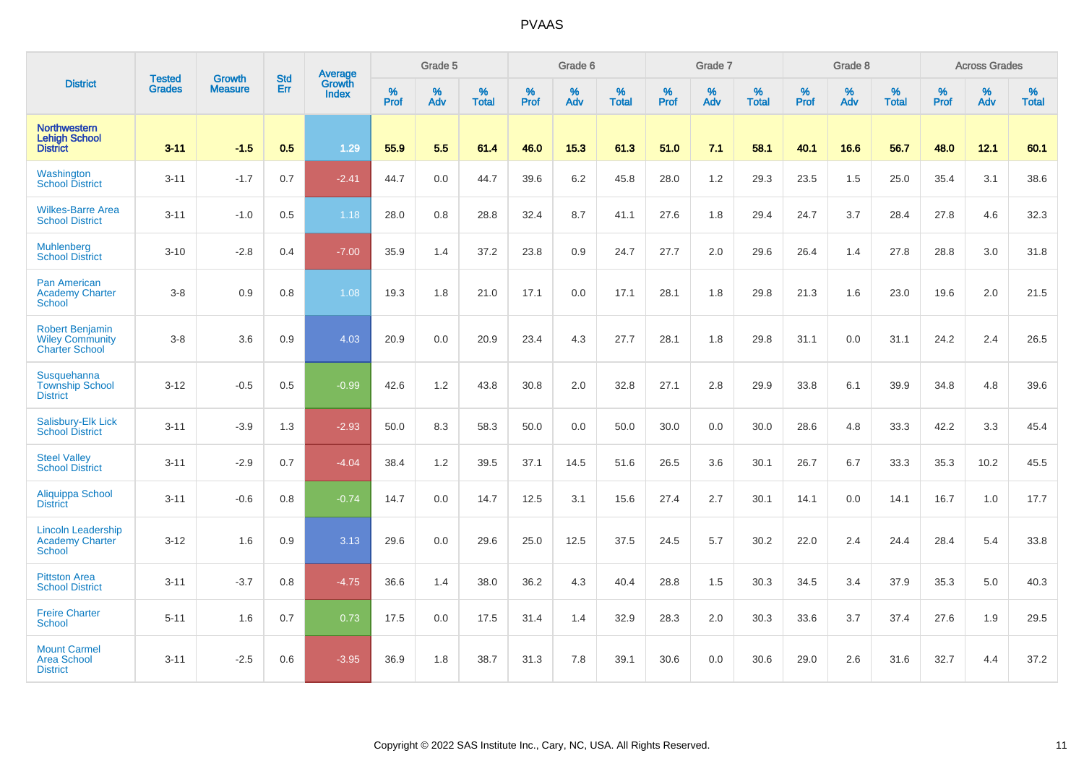|                                                                           |                                |                                 |                   | Average                |              | Grade 5  |                   |           | Grade 6  |                   |           | Grade 7  |                   |           | Grade 8  |                   |           | <b>Across Grades</b> |                   |
|---------------------------------------------------------------------------|--------------------------------|---------------------------------|-------------------|------------------------|--------------|----------|-------------------|-----------|----------|-------------------|-----------|----------|-------------------|-----------|----------|-------------------|-----------|----------------------|-------------------|
| <b>District</b>                                                           | <b>Tested</b><br><b>Grades</b> | <b>Growth</b><br><b>Measure</b> | <b>Std</b><br>Err | Growth<br><b>Index</b> | $\%$<br>Prof | %<br>Adv | %<br><b>Total</b> | %<br>Prof | %<br>Adv | %<br><b>Total</b> | %<br>Prof | %<br>Adv | %<br><b>Total</b> | %<br>Prof | %<br>Adv | %<br><b>Total</b> | %<br>Prof | %<br>Adv             | %<br><b>Total</b> |
| <b>Northwestern</b><br><b>Lehigh School</b><br><b>District</b>            | $3 - 11$                       | $-1.5$                          | 0.5               | 1.29                   | 55.9         | 5.5      | 61.4              | 46.0      | 15.3     | 61.3              | 51.0      | 7.1      | 58.1              | 40.1      | 16.6     | 56.7              | 48.0      | 12.1                 | 60.1              |
| Washington<br><b>School District</b>                                      | $3 - 11$                       | $-1.7$                          | 0.7               | $-2.41$                | 44.7         | 0.0      | 44.7              | 39.6      | 6.2      | 45.8              | 28.0      | 1.2      | 29.3              | 23.5      | 1.5      | 25.0              | 35.4      | 3.1                  | 38.6              |
| <b>Wilkes-Barre Area</b><br><b>School District</b>                        | $3 - 11$                       | $-1.0$                          | 0.5               | 1.18                   | 28.0         | 0.8      | 28.8              | 32.4      | 8.7      | 41.1              | 27.6      | 1.8      | 29.4              | 24.7      | 3.7      | 28.4              | 27.8      | 4.6                  | 32.3              |
| <b>Muhlenberg</b><br><b>School District</b>                               | $3 - 10$                       | $-2.8$                          | 0.4               | $-7.00$                | 35.9         | 1.4      | 37.2              | 23.8      | 0.9      | 24.7              | 27.7      | 2.0      | 29.6              | 26.4      | 1.4      | 27.8              | 28.8      | 3.0                  | 31.8              |
| <b>Pan American</b><br><b>Academy Charter</b><br><b>School</b>            | $3-8$                          | 0.9                             | 0.8               | 1.08                   | 19.3         | 1.8      | 21.0              | 17.1      | 0.0      | 17.1              | 28.1      | 1.8      | 29.8              | 21.3      | 1.6      | 23.0              | 19.6      | 2.0                  | 21.5              |
| <b>Robert Benjamin</b><br><b>Wiley Community</b><br><b>Charter School</b> | $3-8$                          | 3.6                             | 0.9               | 4.03                   | 20.9         | 0.0      | 20.9              | 23.4      | 4.3      | 27.7              | 28.1      | 1.8      | 29.8              | 31.1      | 0.0      | 31.1              | 24.2      | 2.4                  | 26.5              |
| Susquehanna<br><b>Township School</b><br><b>District</b>                  | $3 - 12$                       | $-0.5$                          | 0.5               | $-0.99$                | 42.6         | 1.2      | 43.8              | 30.8      | 2.0      | 32.8              | 27.1      | 2.8      | 29.9              | 33.8      | 6.1      | 39.9              | 34.8      | 4.8                  | 39.6              |
| Salisbury-Elk Lick<br><b>School District</b>                              | $3 - 11$                       | $-3.9$                          | 1.3               | $-2.93$                | 50.0         | 8.3      | 58.3              | 50.0      | 0.0      | 50.0              | 30.0      | 0.0      | 30.0              | 28.6      | 4.8      | 33.3              | 42.2      | 3.3                  | 45.4              |
| <b>Steel Valley</b><br><b>School District</b>                             | $3 - 11$                       | $-2.9$                          | 0.7               | $-4.04$                | 38.4         | 1.2      | 39.5              | 37.1      | 14.5     | 51.6              | 26.5      | 3.6      | 30.1              | 26.7      | 6.7      | 33.3              | 35.3      | 10.2                 | 45.5              |
| Aliquippa School<br><b>District</b>                                       | $3 - 11$                       | $-0.6$                          | 0.8               | $-0.74$                | 14.7         | 0.0      | 14.7              | 12.5      | 3.1      | 15.6              | 27.4      | 2.7      | 30.1              | 14.1      | 0.0      | 14.1              | 16.7      | 1.0                  | 17.7              |
| <b>Lincoln Leadership</b><br><b>Academy Charter</b><br><b>School</b>      | $3 - 12$                       | 1.6                             | 0.9               | 3.13                   | 29.6         | 0.0      | 29.6              | 25.0      | 12.5     | 37.5              | 24.5      | 5.7      | 30.2              | 22.0      | 2.4      | 24.4              | 28.4      | 5.4                  | 33.8              |
| <b>Pittston Area</b><br><b>School District</b>                            | $3 - 11$                       | $-3.7$                          | 0.8               | $-4.75$                | 36.6         | 1.4      | 38.0              | 36.2      | 4.3      | 40.4              | 28.8      | 1.5      | 30.3              | 34.5      | 3.4      | 37.9              | 35.3      | 5.0                  | 40.3              |
| <b>Freire Charter</b><br><b>School</b>                                    | $5 - 11$                       | 1.6                             | 0.7               | 0.73                   | 17.5         | 0.0      | 17.5              | 31.4      | 1.4      | 32.9              | 28.3      | 2.0      | 30.3              | 33.6      | 3.7      | 37.4              | 27.6      | 1.9                  | 29.5              |
| <b>Mount Carmel</b><br><b>Area School</b><br><b>District</b>              | $3 - 11$                       | $-2.5$                          | 0.6               | $-3.95$                | 36.9         | 1.8      | 38.7              | 31.3      | 7.8      | 39.1              | 30.6      | 0.0      | 30.6              | 29.0      | 2.6      | 31.6              | 32.7      | 4.4                  | 37.2              |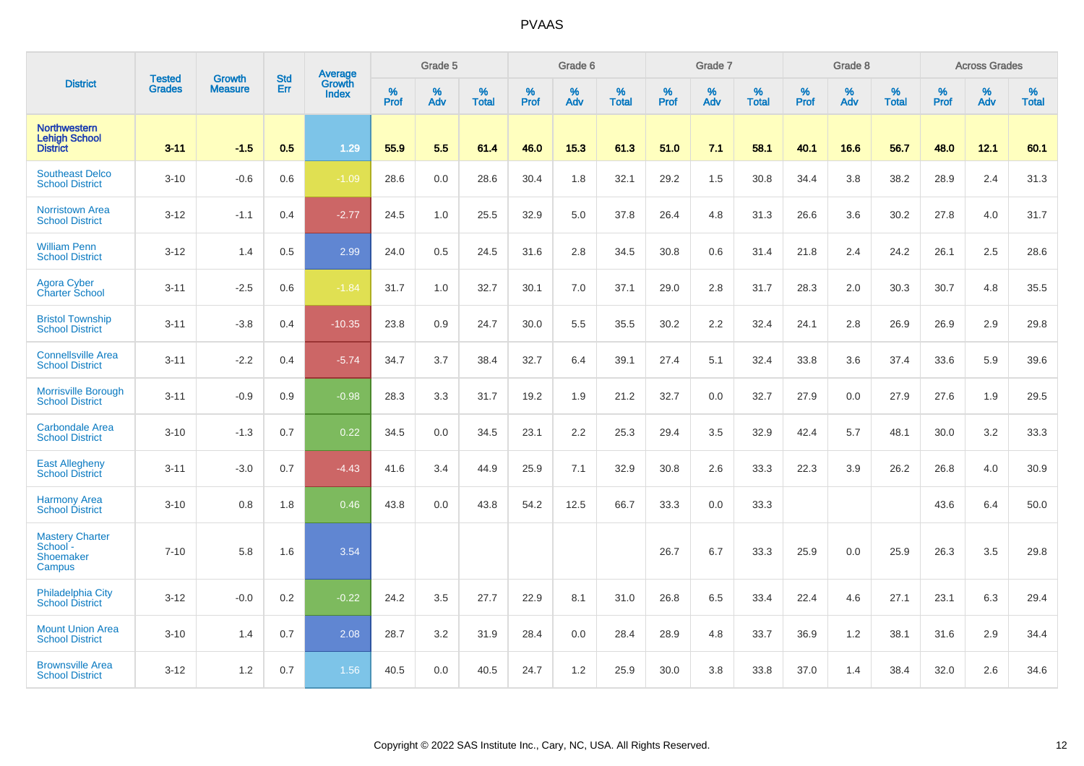|                                                                |                                |                                 | <b>Std</b> | Average                |           | Grade 5  |                   |           | Grade 6  |                   |           | Grade 7  |                   |           | Grade 8  |                   |           | <b>Across Grades</b> |                   |
|----------------------------------------------------------------|--------------------------------|---------------------------------|------------|------------------------|-----------|----------|-------------------|-----------|----------|-------------------|-----------|----------|-------------------|-----------|----------|-------------------|-----------|----------------------|-------------------|
| <b>District</b>                                                | <b>Tested</b><br><b>Grades</b> | <b>Growth</b><br><b>Measure</b> | Err        | Growth<br><b>Index</b> | %<br>Prof | %<br>Adv | %<br><b>Total</b> | %<br>Prof | %<br>Adv | %<br><b>Total</b> | %<br>Prof | %<br>Adv | %<br><b>Total</b> | %<br>Prof | %<br>Adv | %<br><b>Total</b> | %<br>Prof | %<br>Adv             | %<br><b>Total</b> |
| <b>Northwestern</b><br><b>Lehigh School</b><br><b>District</b> | $3 - 11$                       | $-1.5$                          | 0.5        | 1.29                   | 55.9      | 5.5      | 61.4              | 46.0      | 15.3     | 61.3              | 51.0      | 7.1      | 58.1              | 40.1      | 16.6     | 56.7              | 48.0      | 12.1                 | 60.1              |
| <b>Southeast Delco</b><br><b>School District</b>               | $3 - 10$                       | $-0.6$                          | 0.6        | $-1.09$                | 28.6      | 0.0      | 28.6              | 30.4      | 1.8      | 32.1              | 29.2      | 1.5      | 30.8              | 34.4      | 3.8      | 38.2              | 28.9      | 2.4                  | 31.3              |
| <b>Norristown Area</b><br><b>School District</b>               | $3 - 12$                       | $-1.1$                          | 0.4        | $-2.77$                | 24.5      | 1.0      | 25.5              | 32.9      | 5.0      | 37.8              | 26.4      | 4.8      | 31.3              | 26.6      | 3.6      | 30.2              | 27.8      | 4.0                  | 31.7              |
| <b>William Penn</b><br><b>School District</b>                  | $3 - 12$                       | 1.4                             | 0.5        | 2.99                   | 24.0      | 0.5      | 24.5              | 31.6      | 2.8      | 34.5              | 30.8      | 0.6      | 31.4              | 21.8      | 2.4      | 24.2              | 26.1      | 2.5                  | 28.6              |
| <b>Agora Cyber</b><br><b>Charter School</b>                    | $3 - 11$                       | $-2.5$                          | 0.6        | $-1.84$                | 31.7      | 1.0      | 32.7              | 30.1      | 7.0      | 37.1              | 29.0      | 2.8      | 31.7              | 28.3      | 2.0      | 30.3              | 30.7      | 4.8                  | 35.5              |
| <b>Bristol Township</b><br><b>School District</b>              | $3 - 11$                       | $-3.8$                          | 0.4        | $-10.35$               | 23.8      | 0.9      | 24.7              | 30.0      | 5.5      | 35.5              | 30.2      | 2.2      | 32.4              | 24.1      | 2.8      | 26.9              | 26.9      | 2.9                  | 29.8              |
| <b>Connellsville Area</b><br><b>School District</b>            | $3 - 11$                       | $-2.2$                          | 0.4        | $-5.74$                | 34.7      | 3.7      | 38.4              | 32.7      | 6.4      | 39.1              | 27.4      | 5.1      | 32.4              | 33.8      | 3.6      | 37.4              | 33.6      | 5.9                  | 39.6              |
| <b>Morrisville Borough</b><br><b>School District</b>           | $3 - 11$                       | $-0.9$                          | 0.9        | $-0.98$                | 28.3      | 3.3      | 31.7              | 19.2      | 1.9      | 21.2              | 32.7      | 0.0      | 32.7              | 27.9      | 0.0      | 27.9              | 27.6      | 1.9                  | 29.5              |
| <b>Carbondale Area</b><br><b>School District</b>               | $3 - 10$                       | $-1.3$                          | 0.7        | 0.22                   | 34.5      | 0.0      | 34.5              | 23.1      | 2.2      | 25.3              | 29.4      | 3.5      | 32.9              | 42.4      | 5.7      | 48.1              | 30.0      | 3.2                  | 33.3              |
| <b>East Allegheny</b><br>School District                       | $3 - 11$                       | $-3.0$                          | 0.7        | $-4.43$                | 41.6      | 3.4      | 44.9              | 25.9      | 7.1      | 32.9              | 30.8      | 2.6      | 33.3              | 22.3      | 3.9      | 26.2              | 26.8      | 4.0                  | 30.9              |
| <b>Harmony Area</b><br><b>School District</b>                  | $3 - 10$                       | 0.8                             | 1.8        | 0.46                   | 43.8      | 0.0      | 43.8              | 54.2      | 12.5     | 66.7              | 33.3      | 0.0      | 33.3              |           |          |                   | 43.6      | 6.4                  | 50.0              |
| <b>Mastery Charter</b><br>School -<br>Shoemaker<br>Campus      | $7 - 10$                       | 5.8                             | 1.6        | 3.54                   |           |          |                   |           |          |                   | 26.7      | 6.7      | 33.3              | 25.9      | 0.0      | 25.9              | 26.3      | 3.5                  | 29.8              |
| <b>Philadelphia City</b><br><b>School District</b>             | $3 - 12$                       | $-0.0$                          | 0.2        | $-0.22$                | 24.2      | 3.5      | 27.7              | 22.9      | 8.1      | 31.0              | 26.8      | 6.5      | 33.4              | 22.4      | 4.6      | 27.1              | 23.1      | 6.3                  | 29.4              |
| <b>Mount Union Area</b><br><b>School District</b>              | $3 - 10$                       | 1.4                             | 0.7        | 2.08                   | 28.7      | 3.2      | 31.9              | 28.4      | 0.0      | 28.4              | 28.9      | 4.8      | 33.7              | 36.9      | 1.2      | 38.1              | 31.6      | 2.9                  | 34.4              |
| <b>Brownsville Area</b><br><b>School District</b>              | $3 - 12$                       | 1.2                             | 0.7        | 1.56                   | 40.5      | 0.0      | 40.5              | 24.7      | 1.2      | 25.9              | 30.0      | 3.8      | 33.8              | 37.0      | 1.4      | 38.4              | 32.0      | 2.6                  | 34.6              |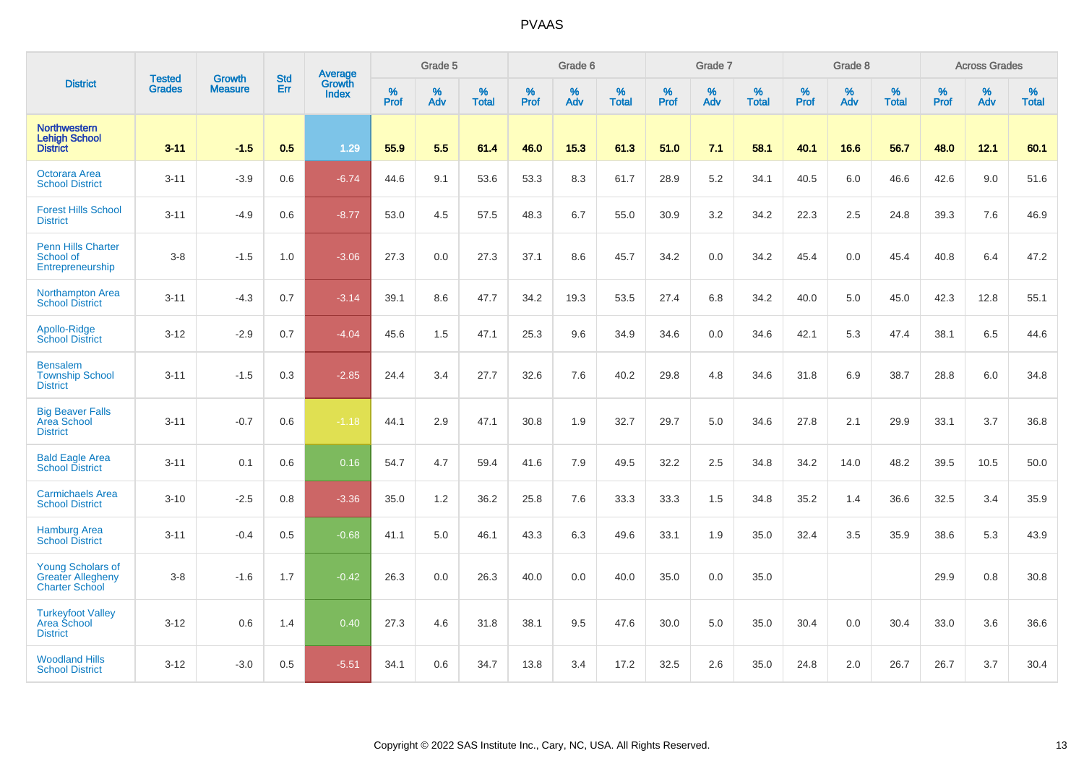|                                                                               |                                |                          | <b>Std</b> | <b>Average</b>         |           | Grade 5  |                   |           | Grade 6  |                   |           | Grade 7  |                   |           | Grade 8  |                   |           | <b>Across Grades</b> |                   |
|-------------------------------------------------------------------------------|--------------------------------|--------------------------|------------|------------------------|-----------|----------|-------------------|-----------|----------|-------------------|-----------|----------|-------------------|-----------|----------|-------------------|-----------|----------------------|-------------------|
| <b>District</b>                                                               | <b>Tested</b><br><b>Grades</b> | Growth<br><b>Measure</b> | Err        | Growth<br><b>Index</b> | %<br>Prof | %<br>Adv | %<br><b>Total</b> | %<br>Prof | %<br>Adv | %<br><b>Total</b> | %<br>Prof | %<br>Adv | %<br><b>Total</b> | %<br>Prof | %<br>Adv | %<br><b>Total</b> | %<br>Prof | %<br>Adv             | %<br><b>Total</b> |
| <b>Northwestern</b><br><b>Lehigh School</b><br><b>District</b>                | $3 - 11$                       | $-1.5$                   | 0.5        | 1.29                   | 55.9      | 5.5      | 61.4              | 46.0      | 15.3     | 61.3              | 51.0      | 7.1      | 58.1              | 40.1      | 16.6     | 56.7              | 48.0      | 12.1                 | 60.1              |
| <b>Octorara Area</b><br><b>School District</b>                                | $3 - 11$                       | $-3.9$                   | 0.6        | $-6.74$                | 44.6      | 9.1      | 53.6              | 53.3      | 8.3      | 61.7              | 28.9      | 5.2      | 34.1              | 40.5      | 6.0      | 46.6              | 42.6      | 9.0                  | 51.6              |
| <b>Forest Hills School</b><br><b>District</b>                                 | $3 - 11$                       | $-4.9$                   | 0.6        | $-8.77$                | 53.0      | 4.5      | 57.5              | 48.3      | 6.7      | 55.0              | 30.9      | 3.2      | 34.2              | 22.3      | 2.5      | 24.8              | 39.3      | 7.6                  | 46.9              |
| <b>Penn Hills Charter</b><br>School of<br>Entrepreneurship                    | $3-8$                          | $-1.5$                   | 1.0        | $-3.06$                | 27.3      | 0.0      | 27.3              | 37.1      | 8.6      | 45.7              | 34.2      | 0.0      | 34.2              | 45.4      | 0.0      | 45.4              | 40.8      | 6.4                  | 47.2              |
| <b>Northampton Area</b><br><b>School District</b>                             | $3 - 11$                       | $-4.3$                   | 0.7        | $-3.14$                | 39.1      | 8.6      | 47.7              | 34.2      | 19.3     | 53.5              | 27.4      | 6.8      | 34.2              | 40.0      | 5.0      | 45.0              | 42.3      | 12.8                 | 55.1              |
| Apollo-Ridge<br><b>School District</b>                                        | $3 - 12$                       | $-2.9$                   | 0.7        | $-4.04$                | 45.6      | 1.5      | 47.1              | 25.3      | 9.6      | 34.9              | 34.6      | 0.0      | 34.6              | 42.1      | 5.3      | 47.4              | 38.1      | 6.5                  | 44.6              |
| <b>Bensalem</b><br><b>Township School</b><br><b>District</b>                  | $3 - 11$                       | $-1.5$                   | 0.3        | $-2.85$                | 24.4      | 3.4      | 27.7              | 32.6      | 7.6      | 40.2              | 29.8      | 4.8      | 34.6              | 31.8      | 6.9      | 38.7              | 28.8      | 6.0                  | 34.8              |
| <b>Big Beaver Falls</b><br><b>Area School</b><br><b>District</b>              | $3 - 11$                       | $-0.7$                   | 0.6        | $-1.18$                | 44.1      | 2.9      | 47.1              | 30.8      | 1.9      | 32.7              | 29.7      | 5.0      | 34.6              | 27.8      | 2.1      | 29.9              | 33.1      | 3.7                  | 36.8              |
| <b>Bald Eagle Area</b><br><b>School District</b>                              | $3 - 11$                       | 0.1                      | 0.6        | 0.16                   | 54.7      | 4.7      | 59.4              | 41.6      | 7.9      | 49.5              | 32.2      | 2.5      | 34.8              | 34.2      | 14.0     | 48.2              | 39.5      | 10.5                 | 50.0              |
| <b>Carmichaels Area</b><br><b>School District</b>                             | $3 - 10$                       | $-2.5$                   | 0.8        | $-3.36$                | 35.0      | 1.2      | 36.2              | 25.8      | 7.6      | 33.3              | 33.3      | 1.5      | 34.8              | 35.2      | 1.4      | 36.6              | 32.5      | 3.4                  | 35.9              |
| <b>Hamburg Area</b><br><b>School District</b>                                 | $3 - 11$                       | $-0.4$                   | 0.5        | $-0.68$                | 41.1      | 5.0      | 46.1              | 43.3      | 6.3      | 49.6              | 33.1      | 1.9      | 35.0              | 32.4      | 3.5      | 35.9              | 38.6      | 5.3                  | 43.9              |
| <b>Young Scholars of</b><br><b>Greater Allegheny</b><br><b>Charter School</b> | $3-8$                          | $-1.6$                   | 1.7        | $-0.42$                | 26.3      | 0.0      | 26.3              | 40.0      | 0.0      | 40.0              | 35.0      | 0.0      | 35.0              |           |          |                   | 29.9      | 0.8                  | 30.8              |
| <b>Turkeyfoot Valley</b><br>Area School<br><b>District</b>                    | $3 - 12$                       | 0.6                      | 1.4        | 0.40                   | 27.3      | 4.6      | 31.8              | 38.1      | 9.5      | 47.6              | 30.0      | 5.0      | 35.0              | 30.4      | 0.0      | 30.4              | 33.0      | 3.6                  | 36.6              |
| <b>Woodland Hills</b><br><b>School District</b>                               | $3 - 12$                       | $-3.0$                   | 0.5        | $-5.51$                | 34.1      | 0.6      | 34.7              | 13.8      | 3.4      | 17.2              | 32.5      | 2.6      | 35.0              | 24.8      | 2.0      | 26.7              | 26.7      | 3.7                  | 30.4              |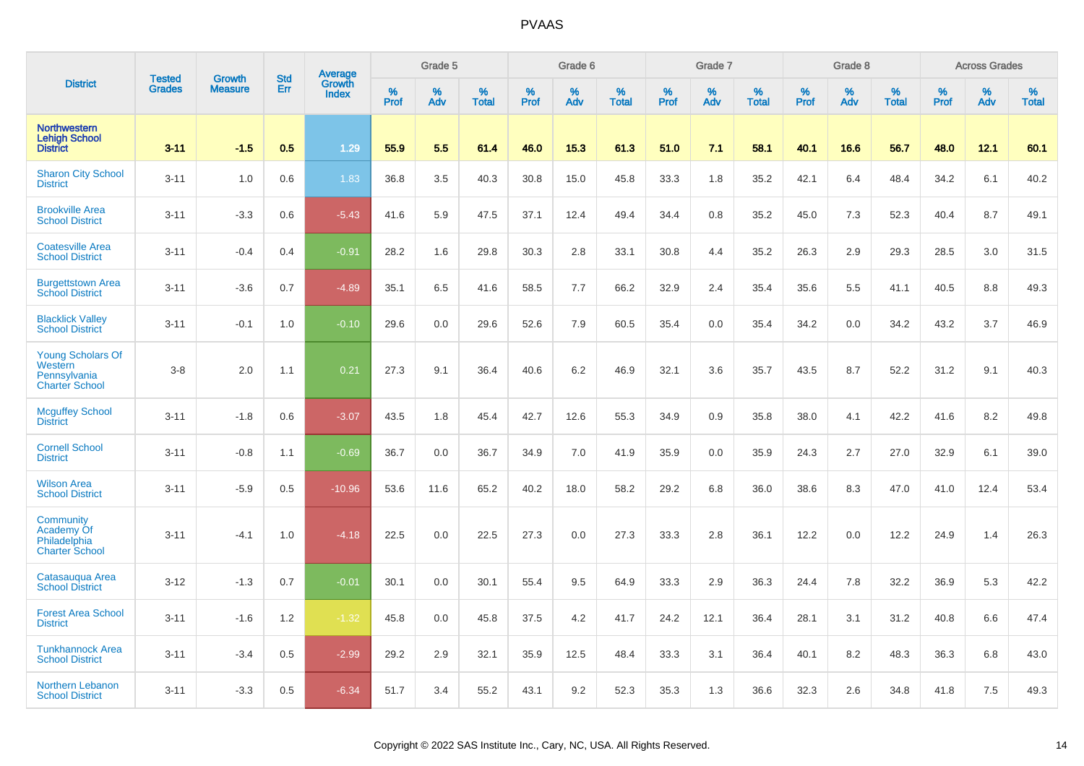|                                                                              |                                | <b>Growth</b>  | <b>Std</b> |                                          |              | Grade 5  |                   |           | Grade 6  |                   |           | Grade 7  |                   |           | Grade 8  |                   |           | <b>Across Grades</b> |                   |
|------------------------------------------------------------------------------|--------------------------------|----------------|------------|------------------------------------------|--------------|----------|-------------------|-----------|----------|-------------------|-----------|----------|-------------------|-----------|----------|-------------------|-----------|----------------------|-------------------|
| <b>District</b>                                                              | <b>Tested</b><br><b>Grades</b> | <b>Measure</b> | Err        | <b>Average</b><br>Growth<br><b>Index</b> | $\%$<br>Prof | %<br>Adv | %<br><b>Total</b> | %<br>Prof | %<br>Adv | %<br><b>Total</b> | %<br>Prof | %<br>Adv | %<br><b>Total</b> | %<br>Prof | %<br>Adv | %<br><b>Total</b> | %<br>Prof | %<br>Adv             | %<br><b>Total</b> |
| <b>Northwestern</b><br><b>Lehigh School</b><br><b>District</b>               | $3 - 11$                       | $-1.5$         | 0.5        | 1.29                                     | 55.9         | 5.5      | 61.4              | 46.0      | 15.3     | 61.3              | 51.0      | 7.1      | 58.1              | 40.1      | 16.6     | 56.7              | 48.0      | 12.1                 | 60.1              |
| <b>Sharon City School</b><br><b>District</b>                                 | $3 - 11$                       | 1.0            | 0.6        | 1.83                                     | 36.8         | 3.5      | 40.3              | 30.8      | 15.0     | 45.8              | 33.3      | 1.8      | 35.2              | 42.1      | 6.4      | 48.4              | 34.2      | 6.1                  | 40.2              |
| <b>Brookville Area</b><br><b>School District</b>                             | $3 - 11$                       | $-3.3$         | 0.6        | $-5.43$                                  | 41.6         | 5.9      | 47.5              | 37.1      | 12.4     | 49.4              | 34.4      | 0.8      | 35.2              | 45.0      | 7.3      | 52.3              | 40.4      | 8.7                  | 49.1              |
| <b>Coatesville Area</b><br><b>School District</b>                            | $3 - 11$                       | $-0.4$         | 0.4        | $-0.91$                                  | 28.2         | 1.6      | 29.8              | 30.3      | 2.8      | 33.1              | 30.8      | 4.4      | 35.2              | 26.3      | 2.9      | 29.3              | 28.5      | 3.0                  | 31.5              |
| <b>Burgettstown Area</b><br><b>School District</b>                           | $3 - 11$                       | $-3.6$         | 0.7        | $-4.89$                                  | 35.1         | 6.5      | 41.6              | 58.5      | 7.7      | 66.2              | 32.9      | 2.4      | 35.4              | 35.6      | 5.5      | 41.1              | 40.5      | 8.8                  | 49.3              |
| <b>Blacklick Valley</b><br><b>School District</b>                            | $3 - 11$                       | $-0.1$         | 1.0        | $-0.10$                                  | 29.6         | 0.0      | 29.6              | 52.6      | 7.9      | 60.5              | 35.4      | 0.0      | 35.4              | 34.2      | 0.0      | 34.2              | 43.2      | 3.7                  | 46.9              |
| <b>Young Scholars Of</b><br>Western<br>Pennsylvania<br><b>Charter School</b> | $3-8$                          | 2.0            | 1.1        | 0.21                                     | 27.3         | 9.1      | 36.4              | 40.6      | 6.2      | 46.9              | 32.1      | 3.6      | 35.7              | 43.5      | 8.7      | 52.2              | 31.2      | 9.1                  | 40.3              |
| <b>Mcguffey School</b><br><b>District</b>                                    | $3 - 11$                       | $-1.8$         | 0.6        | $-3.07$                                  | 43.5         | 1.8      | 45.4              | 42.7      | 12.6     | 55.3              | 34.9      | 0.9      | 35.8              | 38.0      | 4.1      | 42.2              | 41.6      | 8.2                  | 49.8              |
| <b>Cornell School</b><br><b>District</b>                                     | $3 - 11$                       | $-0.8$         | 1.1        | $-0.69$                                  | 36.7         | 0.0      | 36.7              | 34.9      | 7.0      | 41.9              | 35.9      | 0.0      | 35.9              | 24.3      | 2.7      | 27.0              | 32.9      | 6.1                  | 39.0              |
| <b>Wilson Area</b><br><b>School District</b>                                 | $3 - 11$                       | $-5.9$         | 0.5        | $-10.96$                                 | 53.6         | 11.6     | 65.2              | 40.2      | 18.0     | 58.2              | 29.2      | 6.8      | 36.0              | 38.6      | 8.3      | 47.0              | 41.0      | 12.4                 | 53.4              |
| Community<br>Academy Of<br>Philadelphia<br><b>Charter School</b>             | $3 - 11$                       | $-4.1$         | 1.0        | $-4.18$                                  | 22.5         | 0.0      | 22.5              | 27.3      | 0.0      | 27.3              | 33.3      | 2.8      | 36.1              | 12.2      | 0.0      | 12.2              | 24.9      | 1.4                  | 26.3              |
| Catasaugua Area<br><b>School District</b>                                    | $3 - 12$                       | $-1.3$         | 0.7        | $-0.01$                                  | 30.1         | 0.0      | 30.1              | 55.4      | 9.5      | 64.9              | 33.3      | 2.9      | 36.3              | 24.4      | 7.8      | 32.2              | 36.9      | 5.3                  | 42.2              |
| <b>Forest Area School</b><br><b>District</b>                                 | $3 - 11$                       | $-1.6$         | 1.2        | $-1.32$                                  | 45.8         | 0.0      | 45.8              | 37.5      | 4.2      | 41.7              | 24.2      | 12.1     | 36.4              | 28.1      | 3.1      | 31.2              | 40.8      | 6.6                  | 47.4              |
| <b>Tunkhannock Area</b><br><b>School District</b>                            | $3 - 11$                       | $-3.4$         | 0.5        | $-2.99$                                  | 29.2         | 2.9      | 32.1              | 35.9      | 12.5     | 48.4              | 33.3      | 3.1      | 36.4              | 40.1      | 8.2      | 48.3              | 36.3      | 6.8                  | 43.0              |
| Northern Lebanon<br><b>School District</b>                                   | $3 - 11$                       | $-3.3$         | 0.5        | $-6.34$                                  | 51.7         | 3.4      | 55.2              | 43.1      | 9.2      | 52.3              | 35.3      | 1.3      | 36.6              | 32.3      | 2.6      | 34.8              | 41.8      | 7.5                  | 49.3              |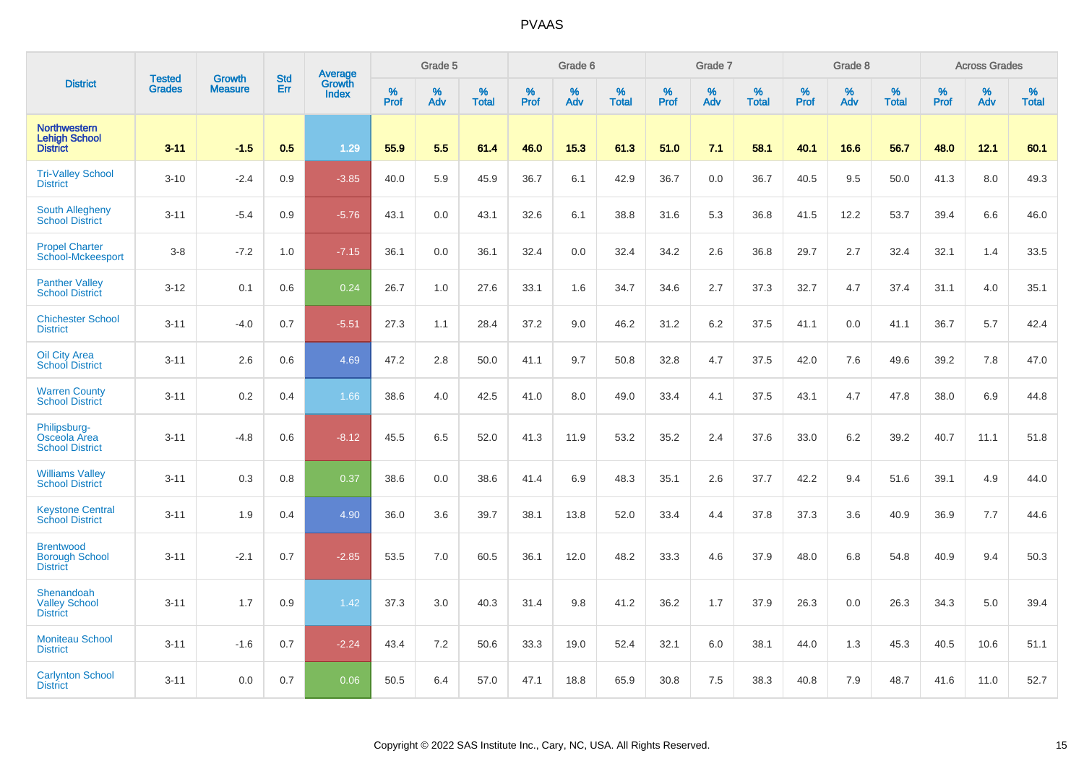|                                                                |                                | <b>Growth</b>  | <b>Std</b> | Average                |              | Grade 5  |                   |           | Grade 6  |                   |              | Grade 7  |                   |           | Grade 8  |                   |           | <b>Across Grades</b> |                   |
|----------------------------------------------------------------|--------------------------------|----------------|------------|------------------------|--------------|----------|-------------------|-----------|----------|-------------------|--------------|----------|-------------------|-----------|----------|-------------------|-----------|----------------------|-------------------|
| <b>District</b>                                                | <b>Tested</b><br><b>Grades</b> | <b>Measure</b> | Err        | Growth<br><b>Index</b> | $\%$<br>Prof | %<br>Adv | %<br><b>Total</b> | %<br>Prof | %<br>Adv | %<br><b>Total</b> | $\%$<br>Prof | %<br>Adv | %<br><b>Total</b> | %<br>Prof | %<br>Adv | %<br><b>Total</b> | %<br>Prof | %<br>Adv             | %<br><b>Total</b> |
| <b>Northwestern</b><br><b>Lehigh School</b><br><b>District</b> | $3 - 11$                       | $-1.5$         | 0.5        | 1.29                   | 55.9         | 5.5      | 61.4              | 46.0      | 15.3     | 61.3              | 51.0         | 7.1      | 58.1              | 40.1      | 16.6     | 56.7              | 48.0      | 12.1                 | 60.1              |
| <b>Tri-Valley School</b><br><b>District</b>                    | $3 - 10$                       | $-2.4$         | 0.9        | $-3.85$                | 40.0         | 5.9      | 45.9              | 36.7      | 6.1      | 42.9              | 36.7         | 0.0      | 36.7              | 40.5      | 9.5      | 50.0              | 41.3      | 8.0                  | 49.3              |
| <b>South Allegheny</b><br><b>School District</b>               | $3 - 11$                       | $-5.4$         | 0.9        | $-5.76$                | 43.1         | 0.0      | 43.1              | 32.6      | 6.1      | 38.8              | 31.6         | 5.3      | 36.8              | 41.5      | 12.2     | 53.7              | 39.4      | 6.6                  | 46.0              |
| <b>Propel Charter</b><br>School-Mckeesport                     | $3 - 8$                        | $-7.2$         | 1.0        | $-7.15$                | 36.1         | 0.0      | 36.1              | 32.4      | 0.0      | 32.4              | 34.2         | 2.6      | 36.8              | 29.7      | 2.7      | 32.4              | 32.1      | 1.4                  | 33.5              |
| <b>Panther Valley</b><br><b>School District</b>                | $3 - 12$                       | 0.1            | 0.6        | 0.24                   | 26.7         | 1.0      | 27.6              | 33.1      | 1.6      | 34.7              | 34.6         | 2.7      | 37.3              | 32.7      | 4.7      | 37.4              | 31.1      | 4.0                  | 35.1              |
| <b>Chichester School</b><br><b>District</b>                    | $3 - 11$                       | $-4.0$         | 0.7        | $-5.51$                | 27.3         | 1.1      | 28.4              | 37.2      | 9.0      | 46.2              | 31.2         | 6.2      | 37.5              | 41.1      | 0.0      | 41.1              | 36.7      | 5.7                  | 42.4              |
| Oil City Area<br><b>School District</b>                        | $3 - 11$                       | 2.6            | 0.6        | 4.69                   | 47.2         | 2.8      | 50.0              | 41.1      | 9.7      | 50.8              | 32.8         | 4.7      | 37.5              | 42.0      | 7.6      | 49.6              | 39.2      | 7.8                  | 47.0              |
| <b>Warren County</b><br><b>School District</b>                 | $3 - 11$                       | 0.2            | 0.4        | 1.66                   | 38.6         | 4.0      | 42.5              | 41.0      | 8.0      | 49.0              | 33.4         | 4.1      | 37.5              | 43.1      | 4.7      | 47.8              | 38.0      | 6.9                  | 44.8              |
| Philipsburg-<br>Osceola Area<br><b>School District</b>         | $3 - 11$                       | $-4.8$         | 0.6        | $-8.12$                | 45.5         | 6.5      | 52.0              | 41.3      | 11.9     | 53.2              | 35.2         | 2.4      | 37.6              | 33.0      | 6.2      | 39.2              | 40.7      | 11.1                 | 51.8              |
| <b>Williams Valley</b><br><b>School District</b>               | $3 - 11$                       | 0.3            | 0.8        | 0.37                   | 38.6         | 0.0      | 38.6              | 41.4      | 6.9      | 48.3              | 35.1         | 2.6      | 37.7              | 42.2      | 9.4      | 51.6              | 39.1      | 4.9                  | 44.0              |
| <b>Keystone Central</b><br><b>School District</b>              | $3 - 11$                       | 1.9            | 0.4        | 4.90                   | 36.0         | 3.6      | 39.7              | 38.1      | 13.8     | 52.0              | 33.4         | 4.4      | 37.8              | 37.3      | 3.6      | 40.9              | 36.9      | 7.7                  | 44.6              |
| <b>Brentwood</b><br><b>Borough School</b><br><b>District</b>   | $3 - 11$                       | $-2.1$         | 0.7        | $-2.85$                | 53.5         | 7.0      | 60.5              | 36.1      | 12.0     | 48.2              | 33.3         | 4.6      | 37.9              | 48.0      | 6.8      | 54.8              | 40.9      | 9.4                  | 50.3              |
| Shenandoah<br><b>Valley School</b><br><b>District</b>          | $3 - 11$                       | 1.7            | 0.9        | 1.42                   | 37.3         | 3.0      | 40.3              | 31.4      | 9.8      | 41.2              | 36.2         | 1.7      | 37.9              | 26.3      | 0.0      | 26.3              | 34.3      | 5.0                  | 39.4              |
| <b>Moniteau School</b><br><b>District</b>                      | $3 - 11$                       | $-1.6$         | 0.7        | $-2.24$                | 43.4         | 7.2      | 50.6              | 33.3      | 19.0     | 52.4              | 32.1         | 6.0      | 38.1              | 44.0      | 1.3      | 45.3              | 40.5      | 10.6                 | 51.1              |
| <b>Carlynton School</b><br><b>District</b>                     | $3 - 11$                       | 0.0            | 0.7        | 0.06                   | 50.5         | 6.4      | 57.0              | 47.1      | 18.8     | 65.9              | 30.8         | 7.5      | 38.3              | 40.8      | 7.9      | 48.7              | 41.6      | 11.0                 | 52.7              |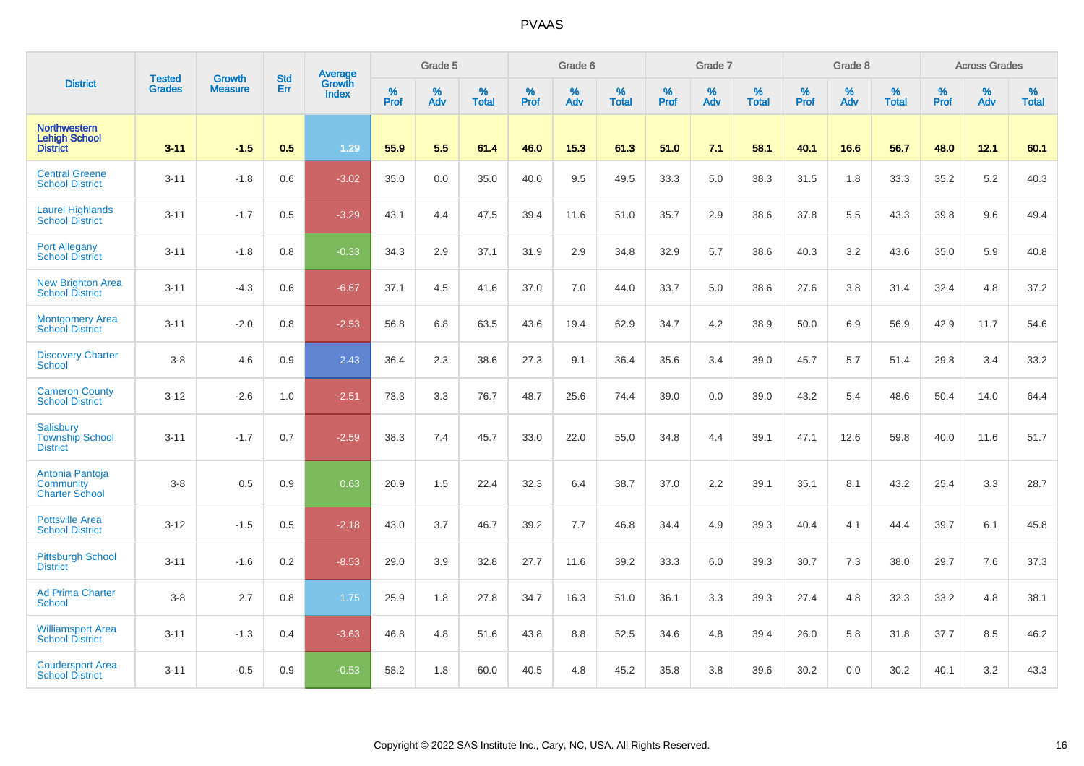|                                                                |                                |                                 | <b>Std</b> | Average                       |           | Grade 5  |                   |           | Grade 6  |                   |           | Grade 7  |                   |           | Grade 8  |                   |           | <b>Across Grades</b> |                   |
|----------------------------------------------------------------|--------------------------------|---------------------------------|------------|-------------------------------|-----------|----------|-------------------|-----------|----------|-------------------|-----------|----------|-------------------|-----------|----------|-------------------|-----------|----------------------|-------------------|
| <b>District</b>                                                | <b>Tested</b><br><b>Grades</b> | <b>Growth</b><br><b>Measure</b> | Err        | <b>Growth</b><br><b>Index</b> | %<br>Prof | %<br>Adv | %<br><b>Total</b> | %<br>Prof | %<br>Adv | %<br><b>Total</b> | %<br>Prof | %<br>Adv | %<br><b>Total</b> | %<br>Prof | %<br>Adv | %<br><b>Total</b> | %<br>Prof | %<br>Adv             | %<br><b>Total</b> |
| <b>Northwestern</b><br><b>Lehigh School</b><br><b>District</b> | $3 - 11$                       | $-1.5$                          | 0.5        | 1.29                          | 55.9      | 5.5      | 61.4              | 46.0      | 15.3     | 61.3              | 51.0      | 7.1      | 58.1              | 40.1      | 16.6     | 56.7              | 48.0      | 12.1                 | 60.1              |
| <b>Central Greene</b><br><b>School District</b>                | $3 - 11$                       | $-1.8$                          | 0.6        | $-3.02$                       | 35.0      | 0.0      | 35.0              | 40.0      | 9.5      | 49.5              | 33.3      | 5.0      | 38.3              | 31.5      | 1.8      | 33.3              | 35.2      | 5.2                  | 40.3              |
| <b>Laurel Highlands</b><br><b>School District</b>              | $3 - 11$                       | $-1.7$                          | 0.5        | $-3.29$                       | 43.1      | 4.4      | 47.5              | 39.4      | 11.6     | 51.0              | 35.7      | 2.9      | 38.6              | 37.8      | 5.5      | 43.3              | 39.8      | 9.6                  | 49.4              |
| <b>Port Allegany</b><br><b>School District</b>                 | $3 - 11$                       | $-1.8$                          | 0.8        | $-0.33$                       | 34.3      | 2.9      | 37.1              | 31.9      | 2.9      | 34.8              | 32.9      | 5.7      | 38.6              | 40.3      | 3.2      | 43.6              | 35.0      | 5.9                  | 40.8              |
| <b>New Brighton Area</b><br><b>School District</b>             | $3 - 11$                       | $-4.3$                          | 0.6        | $-6.67$                       | 37.1      | 4.5      | 41.6              | 37.0      | 7.0      | 44.0              | 33.7      | 5.0      | 38.6              | 27.6      | 3.8      | 31.4              | 32.4      | 4.8                  | 37.2              |
| <b>Montgomery Area</b><br><b>School District</b>               | $3 - 11$                       | $-2.0$                          | 0.8        | $-2.53$                       | 56.8      | 6.8      | 63.5              | 43.6      | 19.4     | 62.9              | 34.7      | 4.2      | 38.9              | 50.0      | 6.9      | 56.9              | 42.9      | 11.7                 | 54.6              |
| <b>Discovery Charter</b><br><b>School</b>                      | $3 - 8$                        | 4.6                             | 0.9        | 2.43                          | 36.4      | 2.3      | 38.6              | 27.3      | 9.1      | 36.4              | 35.6      | 3.4      | 39.0              | 45.7      | 5.7      | 51.4              | 29.8      | 3.4                  | 33.2              |
| <b>Cameron County</b><br><b>School District</b>                | $3 - 12$                       | $-2.6$                          | 1.0        | $-2.51$                       | 73.3      | 3.3      | 76.7              | 48.7      | 25.6     | 74.4              | 39.0      | 0.0      | 39.0              | 43.2      | 5.4      | 48.6              | 50.4      | 14.0                 | 64.4              |
| <b>Salisbury</b><br><b>Township School</b><br><b>District</b>  | $3 - 11$                       | $-1.7$                          | 0.7        | $-2.59$                       | 38.3      | 7.4      | 45.7              | 33.0      | 22.0     | 55.0              | 34.8      | 4.4      | 39.1              | 47.1      | 12.6     | 59.8              | 40.0      | 11.6                 | 51.7              |
| Antonia Pantoja<br>Community<br><b>Charter School</b>          | $3 - 8$                        | 0.5                             | 0.9        | 0.63                          | 20.9      | 1.5      | 22.4              | 32.3      | 6.4      | 38.7              | 37.0      | 2.2      | 39.1              | 35.1      | 8.1      | 43.2              | 25.4      | 3.3                  | 28.7              |
| <b>Pottsville Area</b><br><b>School District</b>               | $3 - 12$                       | $-1.5$                          | 0.5        | $-2.18$                       | 43.0      | 3.7      | 46.7              | 39.2      | 7.7      | 46.8              | 34.4      | 4.9      | 39.3              | 40.4      | 4.1      | 44.4              | 39.7      | 6.1                  | 45.8              |
| <b>Pittsburgh School</b><br><b>District</b>                    | $3 - 11$                       | $-1.6$                          | 0.2        | $-8.53$                       | 29.0      | 3.9      | 32.8              | 27.7      | 11.6     | 39.2              | 33.3      | 6.0      | 39.3              | 30.7      | 7.3      | 38.0              | 29.7      | 7.6                  | 37.3              |
| <b>Ad Prima Charter</b><br><b>School</b>                       | $3 - 8$                        | 2.7                             | 0.8        | 1.75                          | 25.9      | 1.8      | 27.8              | 34.7      | 16.3     | 51.0              | 36.1      | 3.3      | 39.3              | 27.4      | 4.8      | 32.3              | 33.2      | 4.8                  | 38.1              |
| <b>Williamsport Area</b><br><b>School District</b>             | $3 - 11$                       | $-1.3$                          | 0.4        | $-3.63$                       | 46.8      | 4.8      | 51.6              | 43.8      | 8.8      | 52.5              | 34.6      | 4.8      | 39.4              | 26.0      | 5.8      | 31.8              | 37.7      | 8.5                  | 46.2              |
| <b>Coudersport Area</b><br><b>School District</b>              | $3 - 11$                       | $-0.5$                          | 0.9        | $-0.53$                       | 58.2      | 1.8      | 60.0              | 40.5      | 4.8      | 45.2              | 35.8      | 3.8      | 39.6              | 30.2      | 0.0      | 30.2              | 40.1      | 3.2                  | 43.3              |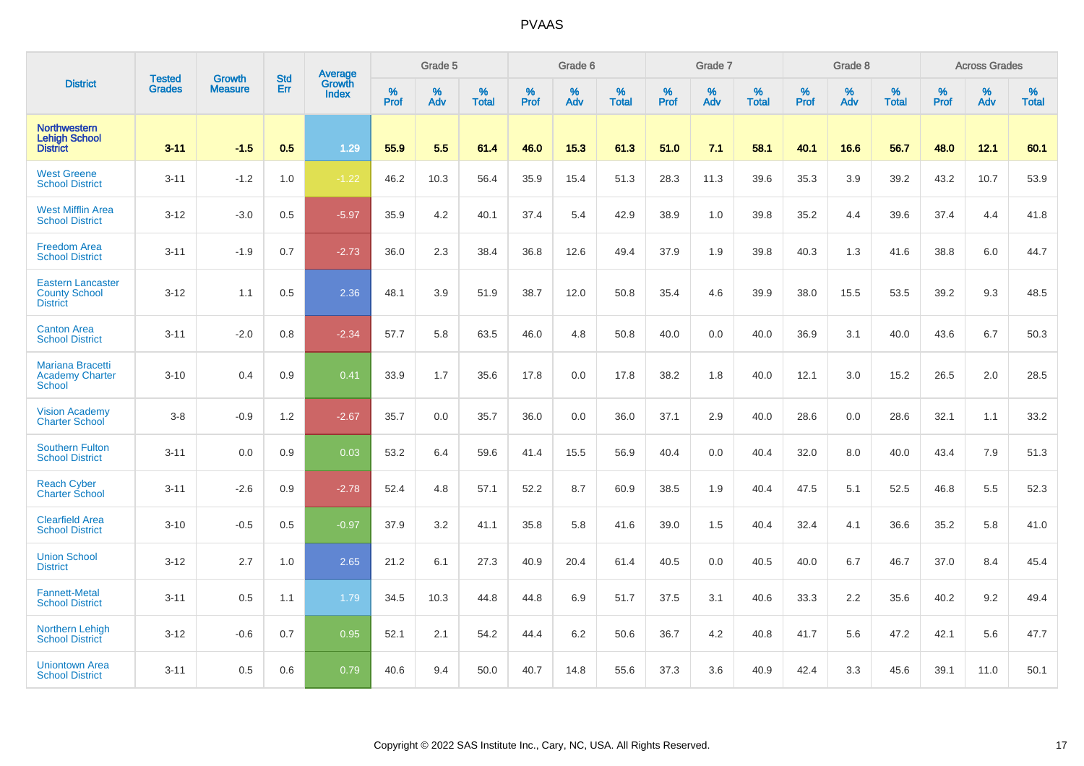|                                                                     | <b>Tested</b> | <b>Growth</b>  | <b>Std</b> | Average                |           | Grade 5  |                   |           | Grade 6  |                   |           | Grade 7  |                   |           | Grade 8  |                   |           | <b>Across Grades</b> |                   |
|---------------------------------------------------------------------|---------------|----------------|------------|------------------------|-----------|----------|-------------------|-----------|----------|-------------------|-----------|----------|-------------------|-----------|----------|-------------------|-----------|----------------------|-------------------|
| <b>District</b>                                                     | <b>Grades</b> | <b>Measure</b> | Err        | Growth<br><b>Index</b> | %<br>Prof | %<br>Adv | %<br><b>Total</b> | %<br>Prof | %<br>Adv | %<br><b>Total</b> | %<br>Prof | %<br>Adv | %<br><b>Total</b> | %<br>Prof | %<br>Adv | %<br><b>Total</b> | %<br>Prof | %<br>Adv             | %<br><b>Total</b> |
| <b>Northwestern</b><br><b>Lehigh School</b><br><b>District</b>      | $3 - 11$      | $-1.5$         | 0.5        | 1.29                   | 55.9      | 5.5      | 61.4              | 46.0      | 15.3     | 61.3              | 51.0      | 7.1      | 58.1              | 40.1      | 16.6     | 56.7              | 48.0      | 12.1                 | 60.1              |
| <b>West Greene</b><br><b>School District</b>                        | $3 - 11$      | $-1.2$         | 1.0        | $-1.22$                | 46.2      | 10.3     | 56.4              | 35.9      | 15.4     | 51.3              | 28.3      | 11.3     | 39.6              | 35.3      | 3.9      | 39.2              | 43.2      | 10.7                 | 53.9              |
| <b>West Mifflin Area</b><br><b>School District</b>                  | $3 - 12$      | $-3.0$         | 0.5        | $-5.97$                | 35.9      | 4.2      | 40.1              | 37.4      | 5.4      | 42.9              | 38.9      | 1.0      | 39.8              | 35.2      | 4.4      | 39.6              | 37.4      | 4.4                  | 41.8              |
| <b>Freedom Area</b><br><b>School District</b>                       | $3 - 11$      | $-1.9$         | 0.7        | $-2.73$                | 36.0      | 2.3      | 38.4              | 36.8      | 12.6     | 49.4              | 37.9      | 1.9      | 39.8              | 40.3      | 1.3      | 41.6              | 38.8      | 6.0                  | 44.7              |
| <b>Eastern Lancaster</b><br><b>County School</b><br><b>District</b> | $3 - 12$      | 1.1            | 0.5        | 2.36                   | 48.1      | 3.9      | 51.9              | 38.7      | 12.0     | 50.8              | 35.4      | 4.6      | 39.9              | 38.0      | 15.5     | 53.5              | 39.2      | 9.3                  | 48.5              |
| <b>Canton Area</b><br><b>School District</b>                        | $3 - 11$      | $-2.0$         | 0.8        | $-2.34$                | 57.7      | 5.8      | 63.5              | 46.0      | 4.8      | 50.8              | 40.0      | 0.0      | 40.0              | 36.9      | 3.1      | 40.0              | 43.6      | 6.7                  | 50.3              |
| <b>Mariana Bracetti</b><br><b>Academy Charter</b><br>School         | $3 - 10$      | 0.4            | 0.9        | 0.41                   | 33.9      | 1.7      | 35.6              | 17.8      | 0.0      | 17.8              | 38.2      | 1.8      | 40.0              | 12.1      | 3.0      | 15.2              | 26.5      | 2.0                  | 28.5              |
| <b>Vision Academy</b><br><b>Charter School</b>                      | $3-8$         | $-0.9$         | 1.2        | $-2.67$                | 35.7      | 0.0      | 35.7              | 36.0      | 0.0      | 36.0              | 37.1      | 2.9      | 40.0              | 28.6      | 0.0      | 28.6              | 32.1      | 1.1                  | 33.2              |
| <b>Southern Fulton</b><br><b>School District</b>                    | $3 - 11$      | 0.0            | 0.9        | 0.03                   | 53.2      | 6.4      | 59.6              | 41.4      | 15.5     | 56.9              | 40.4      | 0.0      | 40.4              | 32.0      | 8.0      | 40.0              | 43.4      | 7.9                  | 51.3              |
| <b>Reach Cyber</b><br><b>Charter School</b>                         | $3 - 11$      | $-2.6$         | 0.9        | $-2.78$                | 52.4      | 4.8      | 57.1              | 52.2      | 8.7      | 60.9              | 38.5      | 1.9      | 40.4              | 47.5      | 5.1      | 52.5              | 46.8      | 5.5                  | 52.3              |
| <b>Clearfield Area</b><br><b>School District</b>                    | $3 - 10$      | $-0.5$         | 0.5        | $-0.97$                | 37.9      | 3.2      | 41.1              | 35.8      | 5.8      | 41.6              | 39.0      | 1.5      | 40.4              | 32.4      | 4.1      | 36.6              | 35.2      | 5.8                  | 41.0              |
| <b>Union School</b><br><b>District</b>                              | $3 - 12$      | 2.7            | 1.0        | 2.65                   | 21.2      | 6.1      | 27.3              | 40.9      | 20.4     | 61.4              | 40.5      | 0.0      | 40.5              | 40.0      | 6.7      | 46.7              | 37.0      | 8.4                  | 45.4              |
| <b>Fannett-Metal</b><br><b>School District</b>                      | $3 - 11$      | 0.5            | 1.1        | 1.79                   | 34.5      | 10.3     | 44.8              | 44.8      | 6.9      | 51.7              | 37.5      | 3.1      | 40.6              | 33.3      | 2.2      | 35.6              | 40.2      | 9.2                  | 49.4              |
| Northern Lehigh<br><b>School District</b>                           | $3 - 12$      | $-0.6$         | 0.7        | 0.95                   | 52.1      | 2.1      | 54.2              | 44.4      | 6.2      | 50.6              | 36.7      | 4.2      | 40.8              | 41.7      | 5.6      | 47.2              | 42.1      | 5.6                  | 47.7              |
| <b>Uniontown Area</b><br><b>School District</b>                     | $3 - 11$      | 0.5            | 0.6        | 0.79                   | 40.6      | 9.4      | 50.0              | 40.7      | 14.8     | 55.6              | 37.3      | 3.6      | 40.9              | 42.4      | 3.3      | 45.6              | 39.1      | 11.0                 | 50.1              |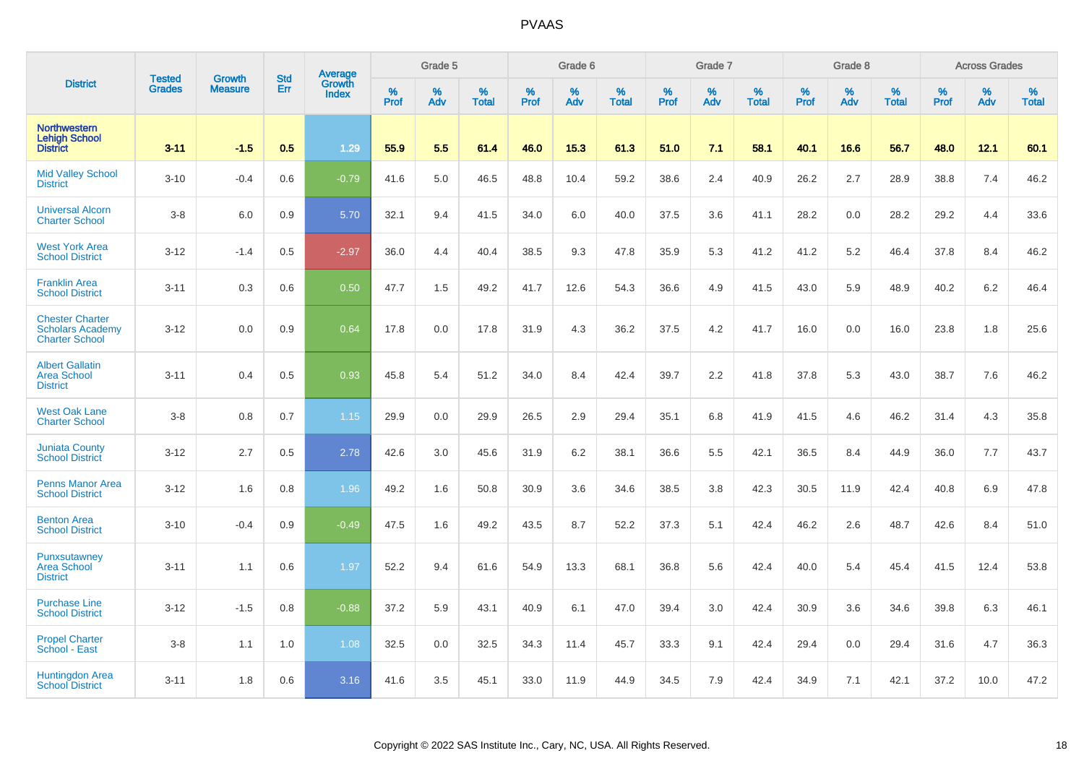|                                                                            |                                | <b>Growth</b>  | <b>Std</b> | <b>Average</b>         |              | Grade 5  |                   |           | Grade 6  |                   |           | Grade 7  |                   |           | Grade 8  |                   |           | <b>Across Grades</b> |                   |
|----------------------------------------------------------------------------|--------------------------------|----------------|------------|------------------------|--------------|----------|-------------------|-----------|----------|-------------------|-----------|----------|-------------------|-----------|----------|-------------------|-----------|----------------------|-------------------|
| <b>District</b>                                                            | <b>Tested</b><br><b>Grades</b> | <b>Measure</b> | Err        | Growth<br><b>Index</b> | $\%$<br>Prof | %<br>Adv | %<br><b>Total</b> | %<br>Prof | %<br>Adv | %<br><b>Total</b> | %<br>Prof | %<br>Adv | %<br><b>Total</b> | %<br>Prof | %<br>Adv | %<br><b>Total</b> | %<br>Prof | %<br>Adv             | %<br><b>Total</b> |
| <b>Northwestern</b><br><b>Lehigh School</b><br><b>District</b>             | $3 - 11$                       | $-1.5$         | 0.5        | 1.29                   | 55.9         | 5.5      | 61.4              | 46.0      | 15.3     | 61.3              | 51.0      | 7.1      | 58.1              | 40.1      | 16.6     | 56.7              | 48.0      | 12.1                 | 60.1              |
| <b>Mid Valley School</b><br><b>District</b>                                | $3 - 10$                       | $-0.4$         | 0.6        | $-0.79$                | 41.6         | 5.0      | 46.5              | 48.8      | 10.4     | 59.2              | 38.6      | 2.4      | 40.9              | 26.2      | 2.7      | 28.9              | 38.8      | 7.4                  | 46.2              |
| <b>Universal Alcorn</b><br><b>Charter School</b>                           | $3-8$                          | 6.0            | 0.9        | 5.70                   | 32.1         | 9.4      | 41.5              | 34.0      | 6.0      | 40.0              | 37.5      | 3.6      | 41.1              | 28.2      | 0.0      | 28.2              | 29.2      | 4.4                  | 33.6              |
| <b>West York Area</b><br><b>School District</b>                            | $3 - 12$                       | $-1.4$         | 0.5        | $-2.97$                | 36.0         | 4.4      | 40.4              | 38.5      | 9.3      | 47.8              | 35.9      | 5.3      | 41.2              | 41.2      | 5.2      | 46.4              | 37.8      | 8.4                  | 46.2              |
| <b>Franklin Area</b><br><b>School District</b>                             | $3 - 11$                       | 0.3            | 0.6        | 0.50                   | 47.7         | 1.5      | 49.2              | 41.7      | 12.6     | 54.3              | 36.6      | 4.9      | 41.5              | 43.0      | 5.9      | 48.9              | 40.2      | 6.2                  | 46.4              |
| <b>Chester Charter</b><br><b>Scholars Academy</b><br><b>Charter School</b> | $3 - 12$                       | 0.0            | 0.9        | 0.64                   | 17.8         | 0.0      | 17.8              | 31.9      | 4.3      | 36.2              | 37.5      | 4.2      | 41.7              | 16.0      | 0.0      | 16.0              | 23.8      | 1.8                  | 25.6              |
| <b>Albert Gallatin</b><br><b>Area School</b><br><b>District</b>            | $3 - 11$                       | 0.4            | 0.5        | 0.93                   | 45.8         | 5.4      | 51.2              | 34.0      | 8.4      | 42.4              | 39.7      | 2.2      | 41.8              | 37.8      | 5.3      | 43.0              | 38.7      | 7.6                  | 46.2              |
| <b>West Oak Lane</b><br><b>Charter School</b>                              | $3-8$                          | 0.8            | 0.7        | 1.15                   | 29.9         | 0.0      | 29.9              | 26.5      | 2.9      | 29.4              | 35.1      | 6.8      | 41.9              | 41.5      | 4.6      | 46.2              | 31.4      | 4.3                  | 35.8              |
| <b>Juniata County</b><br><b>School District</b>                            | $3 - 12$                       | 2.7            | 0.5        | 2.78                   | 42.6         | 3.0      | 45.6              | 31.9      | 6.2      | 38.1              | 36.6      | 5.5      | 42.1              | 36.5      | 8.4      | 44.9              | 36.0      | 7.7                  | 43.7              |
| <b>Penns Manor Area</b><br><b>School District</b>                          | $3 - 12$                       | 1.6            | 0.8        | 1.96                   | 49.2         | 1.6      | 50.8              | 30.9      | 3.6      | 34.6              | 38.5      | 3.8      | 42.3              | 30.5      | 11.9     | 42.4              | 40.8      | 6.9                  | 47.8              |
| <b>Benton Area</b><br><b>School District</b>                               | $3 - 10$                       | $-0.4$         | 0.9        | $-0.49$                | 47.5         | 1.6      | 49.2              | 43.5      | 8.7      | 52.2              | 37.3      | 5.1      | 42.4              | 46.2      | 2.6      | 48.7              | 42.6      | 8.4                  | 51.0              |
| Punxsutawney<br><b>Area School</b><br><b>District</b>                      | $3 - 11$                       | 1.1            | 0.6        | 1.97                   | 52.2         | 9.4      | 61.6              | 54.9      | 13.3     | 68.1              | 36.8      | 5.6      | 42.4              | 40.0      | 5.4      | 45.4              | 41.5      | 12.4                 | 53.8              |
| <b>Purchase Line</b><br><b>School District</b>                             | $3 - 12$                       | $-1.5$         | 0.8        | $-0.88$                | 37.2         | 5.9      | 43.1              | 40.9      | 6.1      | 47.0              | 39.4      | 3.0      | 42.4              | 30.9      | 3.6      | 34.6              | 39.8      | 6.3                  | 46.1              |
| <b>Propel Charter</b><br>School - East                                     | $3-8$                          | 1.1            | 1.0        | 1.08                   | 32.5         | 0.0      | 32.5              | 34.3      | 11.4     | 45.7              | 33.3      | 9.1      | 42.4              | 29.4      | 0.0      | 29.4              | 31.6      | 4.7                  | 36.3              |
| Huntingdon Area<br><b>School District</b>                                  | $3 - 11$                       | 1.8            | 0.6        | 3.16                   | 41.6         | 3.5      | 45.1              | 33.0      | 11.9     | 44.9              | 34.5      | 7.9      | 42.4              | 34.9      | 7.1      | 42.1              | 37.2      | 10.0                 | 47.2              |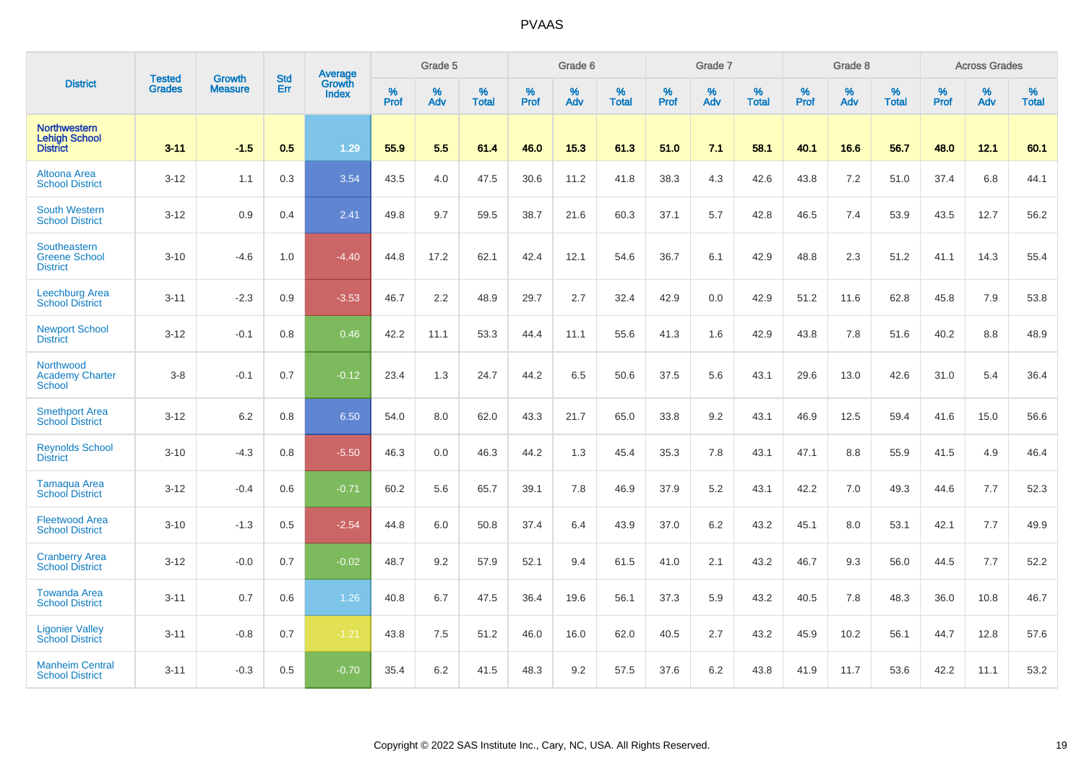|                                                                |                                |                                 | <b>Std</b> | Average                       |           | Grade 5  |                   |           | Grade 6  |                   |           | Grade 7  |                   |           | Grade 8  |                   |           | <b>Across Grades</b> |                   |
|----------------------------------------------------------------|--------------------------------|---------------------------------|------------|-------------------------------|-----------|----------|-------------------|-----------|----------|-------------------|-----------|----------|-------------------|-----------|----------|-------------------|-----------|----------------------|-------------------|
| <b>District</b>                                                | <b>Tested</b><br><b>Grades</b> | <b>Growth</b><br><b>Measure</b> | Err        | <b>Growth</b><br><b>Index</b> | %<br>Prof | %<br>Adv | %<br><b>Total</b> | %<br>Prof | %<br>Adv | %<br><b>Total</b> | %<br>Prof | %<br>Adv | %<br><b>Total</b> | %<br>Prof | %<br>Adv | %<br><b>Total</b> | %<br>Prof | %<br>Adv             | %<br><b>Total</b> |
| <b>Northwestern</b><br><b>Lehigh School</b><br><b>District</b> | $3 - 11$                       | $-1.5$                          | 0.5        | 1.29                          | 55.9      | 5.5      | 61.4              | 46.0      | 15.3     | 61.3              | 51.0      | 7.1      | 58.1              | 40.1      | 16.6     | 56.7              | 48.0      | 12.1                 | 60.1              |
| Altoona Area<br><b>School District</b>                         | $3 - 12$                       | 1.1                             | 0.3        | 3.54                          | 43.5      | 4.0      | 47.5              | 30.6      | 11.2     | 41.8              | 38.3      | 4.3      | 42.6              | 43.8      | 7.2      | 51.0              | 37.4      | 6.8                  | 44.1              |
| <b>South Western</b><br><b>School District</b>                 | $3 - 12$                       | 0.9                             | 0.4        | 2.41                          | 49.8      | 9.7      | 59.5              | 38.7      | 21.6     | 60.3              | 37.1      | 5.7      | 42.8              | 46.5      | 7.4      | 53.9              | 43.5      | 12.7                 | 56.2              |
| Southeastern<br><b>Greene School</b><br><b>District</b>        | $3 - 10$                       | $-4.6$                          | 1.0        | $-4.40$                       | 44.8      | 17.2     | 62.1              | 42.4      | 12.1     | 54.6              | 36.7      | 6.1      | 42.9              | 48.8      | 2.3      | 51.2              | 41.1      | 14.3                 | 55.4              |
| Leechburg Area<br><b>School District</b>                       | $3 - 11$                       | $-2.3$                          | 0.9        | $-3.53$                       | 46.7      | 2.2      | 48.9              | 29.7      | 2.7      | 32.4              | 42.9      | 0.0      | 42.9              | 51.2      | 11.6     | 62.8              | 45.8      | 7.9                  | 53.8              |
| <b>Newport School</b><br><b>District</b>                       | $3 - 12$                       | $-0.1$                          | 0.8        | 0.46                          | 42.2      | 11.1     | 53.3              | 44.4      | 11.1     | 55.6              | 41.3      | 1.6      | 42.9              | 43.8      | 7.8      | 51.6              | 40.2      | 8.8                  | 48.9              |
| Northwood<br><b>Academy Charter</b><br><b>School</b>           | $3-8$                          | $-0.1$                          | 0.7        | $-0.12$                       | 23.4      | 1.3      | 24.7              | 44.2      | 6.5      | 50.6              | 37.5      | 5.6      | 43.1              | 29.6      | 13.0     | 42.6              | 31.0      | 5.4                  | 36.4              |
| <b>Smethport Area</b><br><b>School District</b>                | $3 - 12$                       | 6.2                             | 0.8        | 6.50                          | 54.0      | 8.0      | 62.0              | 43.3      | 21.7     | 65.0              | 33.8      | 9.2      | 43.1              | 46.9      | 12.5     | 59.4              | 41.6      | 15.0                 | 56.6              |
| <b>Reynolds School</b><br><b>District</b>                      | $3 - 10$                       | $-4.3$                          | 0.8        | $-5.50$                       | 46.3      | 0.0      | 46.3              | 44.2      | 1.3      | 45.4              | 35.3      | 7.8      | 43.1              | 47.1      | 8.8      | 55.9              | 41.5      | 4.9                  | 46.4              |
| <b>Tamaqua Area</b><br><b>School District</b>                  | $3 - 12$                       | $-0.4$                          | 0.6        | $-0.71$                       | 60.2      | 5.6      | 65.7              | 39.1      | 7.8      | 46.9              | 37.9      | 5.2      | 43.1              | 42.2      | 7.0      | 49.3              | 44.6      | 7.7                  | 52.3              |
| <b>Fleetwood Area</b><br><b>School District</b>                | $3 - 10$                       | $-1.3$                          | 0.5        | $-2.54$                       | 44.8      | 6.0      | 50.8              | 37.4      | 6.4      | 43.9              | 37.0      | 6.2      | 43.2              | 45.1      | 8.0      | 53.1              | 42.1      | 7.7                  | 49.9              |
| <b>Cranberry Area</b><br><b>School District</b>                | $3 - 12$                       | $-0.0$                          | 0.7        | $-0.02$                       | 48.7      | 9.2      | 57.9              | 52.1      | 9.4      | 61.5              | 41.0      | 2.1      | 43.2              | 46.7      | 9.3      | 56.0              | 44.5      | 7.7                  | 52.2              |
| <b>Towanda Area</b><br><b>School District</b>                  | $3 - 11$                       | 0.7                             | 0.6        | 1.26                          | 40.8      | 6.7      | 47.5              | 36.4      | 19.6     | 56.1              | 37.3      | 5.9      | 43.2              | 40.5      | 7.8      | 48.3              | 36.0      | 10.8                 | 46.7              |
| <b>Ligonier Valley</b><br><b>School District</b>               | $3 - 11$                       | $-0.8$                          | 0.7        | $-1.21$                       | 43.8      | 7.5      | 51.2              | 46.0      | 16.0     | 62.0              | 40.5      | 2.7      | 43.2              | 45.9      | 10.2     | 56.1              | 44.7      | 12.8                 | 57.6              |
| <b>Manheim Central</b><br><b>School District</b>               | $3 - 11$                       | $-0.3$                          | 0.5        | $-0.70$                       | 35.4      | 6.2      | 41.5              | 48.3      | 9.2      | 57.5              | 37.6      | 6.2      | 43.8              | 41.9      | 11.7     | 53.6              | 42.2      | 11.1                 | 53.2              |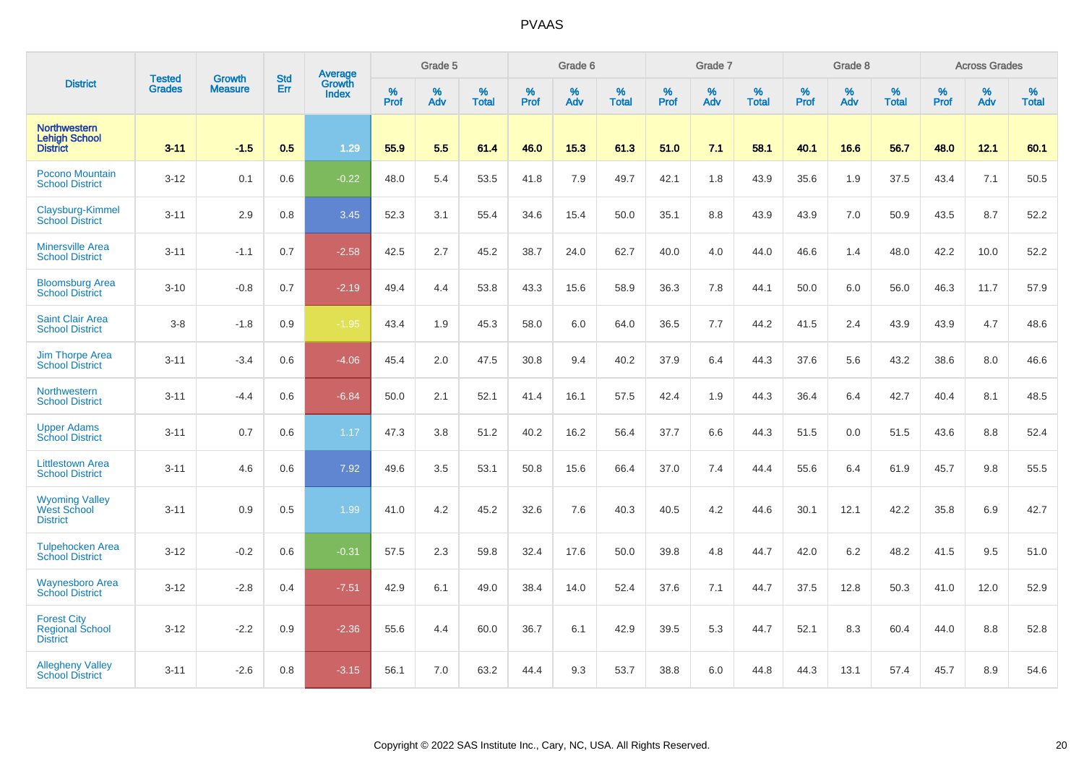|                                                                 |                                |                                 | <b>Std</b> | Average                       |           | Grade 5  |                   |           | Grade 6  |                   |           | Grade 7  |                   |           | Grade 8  |                   |           | <b>Across Grades</b> |                   |
|-----------------------------------------------------------------|--------------------------------|---------------------------------|------------|-------------------------------|-----------|----------|-------------------|-----------|----------|-------------------|-----------|----------|-------------------|-----------|----------|-------------------|-----------|----------------------|-------------------|
| <b>District</b>                                                 | <b>Tested</b><br><b>Grades</b> | <b>Growth</b><br><b>Measure</b> | Err        | <b>Growth</b><br><b>Index</b> | %<br>Prof | %<br>Adv | %<br><b>Total</b> | %<br>Prof | %<br>Adv | %<br><b>Total</b> | %<br>Prof | %<br>Adv | %<br><b>Total</b> | %<br>Prof | %<br>Adv | %<br><b>Total</b> | %<br>Prof | %<br>Adv             | %<br><b>Total</b> |
| <b>Northwestern</b><br><b>Lehigh School</b><br><b>District</b>  | $3 - 11$                       | $-1.5$                          | 0.5        | 1.29                          | 55.9      | 5.5      | 61.4              | 46.0      | 15.3     | 61.3              | 51.0      | 7.1      | 58.1              | 40.1      | 16.6     | 56.7              | 48.0      | 12.1                 | 60.1              |
| <b>Pocono Mountain</b><br><b>School District</b>                | $3 - 12$                       | 0.1                             | 0.6        | $-0.22$                       | 48.0      | 5.4      | 53.5              | 41.8      | 7.9      | 49.7              | 42.1      | 1.8      | 43.9              | 35.6      | 1.9      | 37.5              | 43.4      | 7.1                  | 50.5              |
| Claysburg-Kimmel<br><b>School District</b>                      | $3 - 11$                       | 2.9                             | 0.8        | 3.45                          | 52.3      | 3.1      | 55.4              | 34.6      | 15.4     | 50.0              | 35.1      | 8.8      | 43.9              | 43.9      | 7.0      | 50.9              | 43.5      | 8.7                  | 52.2              |
| <b>Minersville Area</b><br><b>School District</b>               | $3 - 11$                       | $-1.1$                          | 0.7        | $-2.58$                       | 42.5      | 2.7      | 45.2              | 38.7      | 24.0     | 62.7              | 40.0      | 4.0      | 44.0              | 46.6      | 1.4      | 48.0              | 42.2      | 10.0                 | 52.2              |
| <b>Bloomsburg Area</b><br><b>School District</b>                | $3 - 10$                       | $-0.8$                          | 0.7        | $-2.19$                       | 49.4      | 4.4      | 53.8              | 43.3      | 15.6     | 58.9              | 36.3      | 7.8      | 44.1              | 50.0      | 6.0      | 56.0              | 46.3      | 11.7                 | 57.9              |
| <b>Saint Clair Area</b><br><b>School District</b>               | $3 - 8$                        | $-1.8$                          | 0.9        | $-1.95$                       | 43.4      | 1.9      | 45.3              | 58.0      | 6.0      | 64.0              | 36.5      | 7.7      | 44.2              | 41.5      | 2.4      | 43.9              | 43.9      | 4.7                  | 48.6              |
| <b>Jim Thorpe Area</b><br><b>School District</b>                | $3 - 11$                       | $-3.4$                          | 0.6        | $-4.06$                       | 45.4      | 2.0      | 47.5              | 30.8      | 9.4      | 40.2              | 37.9      | 6.4      | 44.3              | 37.6      | 5.6      | 43.2              | 38.6      | 8.0                  | 46.6              |
| <b>Northwestern</b><br><b>School District</b>                   | $3 - 11$                       | $-4.4$                          | 0.6        | $-6.84$                       | 50.0      | 2.1      | 52.1              | 41.4      | 16.1     | 57.5              | 42.4      | 1.9      | 44.3              | 36.4      | 6.4      | 42.7              | 40.4      | 8.1                  | 48.5              |
| <b>Upper Adams</b><br><b>School District</b>                    | $3 - 11$                       | 0.7                             | 0.6        | 1.17                          | 47.3      | 3.8      | 51.2              | 40.2      | 16.2     | 56.4              | 37.7      | 6.6      | 44.3              | 51.5      | 0.0      | 51.5              | 43.6      | 8.8                  | 52.4              |
| <b>Littlestown Area</b><br><b>School District</b>               | $3 - 11$                       | 4.6                             | 0.6        | 7.92                          | 49.6      | 3.5      | 53.1              | 50.8      | 15.6     | 66.4              | 37.0      | 7.4      | 44.4              | 55.6      | 6.4      | 61.9              | 45.7      | 9.8                  | 55.5              |
| <b>Wyoming Valley</b><br><b>West School</b><br><b>District</b>  | $3 - 11$                       | 0.9                             | 0.5        | 1.99                          | 41.0      | 4.2      | 45.2              | 32.6      | 7.6      | 40.3              | 40.5      | 4.2      | 44.6              | 30.1      | 12.1     | 42.2              | 35.8      | 6.9                  | 42.7              |
| <b>Tulpehocken Area</b><br><b>School District</b>               | $3 - 12$                       | $-0.2$                          | 0.6        | $-0.31$                       | 57.5      | 2.3      | 59.8              | 32.4      | 17.6     | 50.0              | 39.8      | 4.8      | 44.7              | 42.0      | 6.2      | 48.2              | 41.5      | 9.5                  | 51.0              |
| <b>Waynesboro Area</b><br><b>School District</b>                | $3-12$                         | $-2.8$                          | 0.4        | $-7.51$                       | 42.9      | 6.1      | 49.0              | 38.4      | 14.0     | 52.4              | 37.6      | 7.1      | 44.7              | 37.5      | 12.8     | 50.3              | 41.0      | 12.0                 | 52.9              |
| <b>Forest City</b><br><b>Regional School</b><br><b>District</b> | $3 - 12$                       | $-2.2$                          | 0.9        | $-2.36$                       | 55.6      | 4.4      | 60.0              | 36.7      | 6.1      | 42.9              | 39.5      | 5.3      | 44.7              | 52.1      | 8.3      | 60.4              | 44.0      | 8.8                  | 52.8              |
| <b>Allegheny Valley</b><br><b>School District</b>               | $3 - 11$                       | $-2.6$                          | 0.8        | $-3.15$                       | 56.1      | 7.0      | 63.2              | 44.4      | 9.3      | 53.7              | 38.8      | 6.0      | 44.8              | 44.3      | 13.1     | 57.4              | 45.7      | 8.9                  | 54.6              |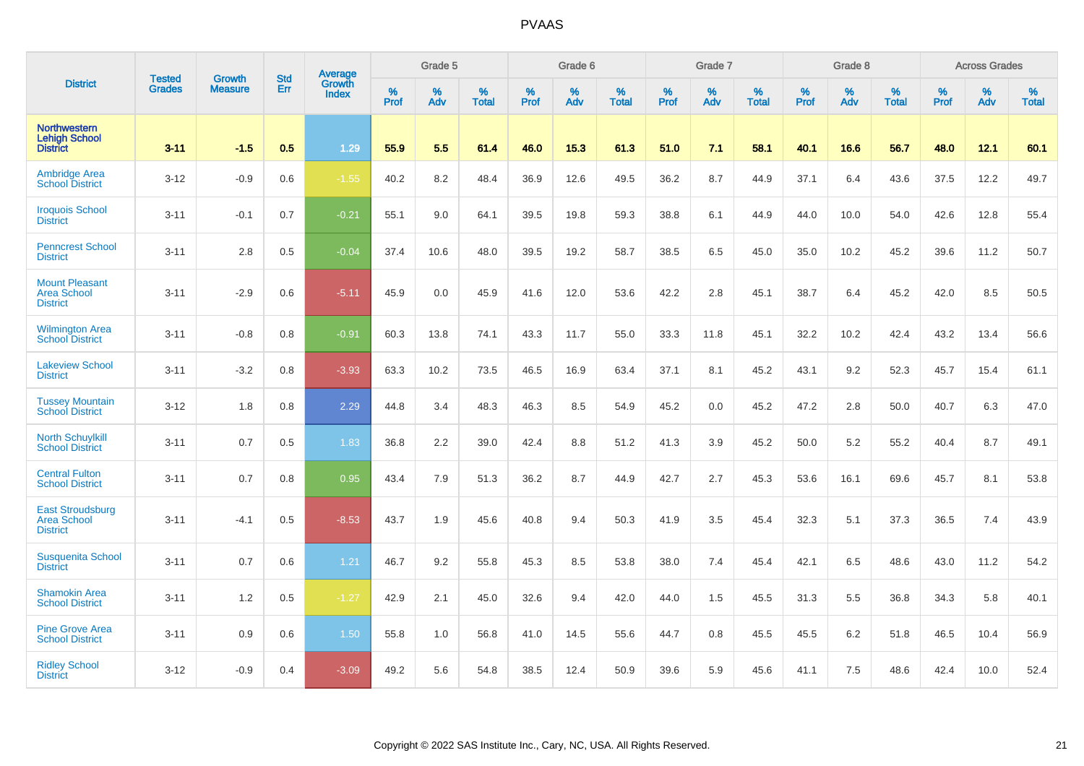|                                                                  | <b>Tested</b> | <b>Growth</b>  | <b>Std</b> | Average                |           | Grade 5  |                   |           | Grade 6  |                   |           | Grade 7  |                   |           | Grade 8  |                   |           | <b>Across Grades</b> |                   |
|------------------------------------------------------------------|---------------|----------------|------------|------------------------|-----------|----------|-------------------|-----------|----------|-------------------|-----------|----------|-------------------|-----------|----------|-------------------|-----------|----------------------|-------------------|
| <b>District</b>                                                  | <b>Grades</b> | <b>Measure</b> | Err        | <b>Growth</b><br>Index | %<br>Prof | %<br>Adv | %<br><b>Total</b> | %<br>Prof | %<br>Adv | %<br><b>Total</b> | %<br>Prof | %<br>Adv | %<br><b>Total</b> | %<br>Prof | %<br>Adv | %<br><b>Total</b> | %<br>Prof | %<br>Adv             | %<br><b>Total</b> |
| <b>Northwestern</b><br><b>Lehigh School</b><br><b>District</b>   | $3 - 11$      | $-1.5$         | 0.5        | 1.29                   | 55.9      | 5.5      | 61.4              | 46.0      | 15.3     | 61.3              | 51.0      | 7.1      | 58.1              | 40.1      | 16.6     | 56.7              | 48.0      | 12.1                 | 60.1              |
| <b>Ambridge Area</b><br><b>School District</b>                   | $3 - 12$      | $-0.9$         | 0.6        | $-1.55$                | 40.2      | 8.2      | 48.4              | 36.9      | 12.6     | 49.5              | 36.2      | 8.7      | 44.9              | 37.1      | 6.4      | 43.6              | 37.5      | 12.2                 | 49.7              |
| <b>Iroquois School</b><br><b>District</b>                        | $3 - 11$      | $-0.1$         | 0.7        | $-0.21$                | 55.1      | 9.0      | 64.1              | 39.5      | 19.8     | 59.3              | 38.8      | 6.1      | 44.9              | 44.0      | 10.0     | 54.0              | 42.6      | 12.8                 | 55.4              |
| <b>Penncrest School</b><br><b>District</b>                       | $3 - 11$      | 2.8            | 0.5        | $-0.04$                | 37.4      | 10.6     | 48.0              | 39.5      | 19.2     | 58.7              | 38.5      | 6.5      | 45.0              | 35.0      | 10.2     | 45.2              | 39.6      | 11.2                 | 50.7              |
| <b>Mount Pleasant</b><br><b>Area School</b><br><b>District</b>   | $3 - 11$      | $-2.9$         | 0.6        | $-5.11$                | 45.9      | 0.0      | 45.9              | 41.6      | 12.0     | 53.6              | 42.2      | 2.8      | 45.1              | 38.7      | 6.4      | 45.2              | 42.0      | 8.5                  | 50.5              |
| <b>Wilmington Area</b><br><b>School District</b>                 | $3 - 11$      | $-0.8$         | 0.8        | $-0.91$                | 60.3      | 13.8     | 74.1              | 43.3      | 11.7     | 55.0              | 33.3      | 11.8     | 45.1              | 32.2      | 10.2     | 42.4              | 43.2      | 13.4                 | 56.6              |
| <b>Lakeview School</b><br><b>District</b>                        | $3 - 11$      | $-3.2$         | 0.8        | $-3.93$                | 63.3      | 10.2     | 73.5              | 46.5      | 16.9     | 63.4              | 37.1      | 8.1      | 45.2              | 43.1      | 9.2      | 52.3              | 45.7      | 15.4                 | 61.1              |
| <b>Tussey Mountain</b><br><b>School District</b>                 | $3 - 12$      | 1.8            | 0.8        | 2.29                   | 44.8      | 3.4      | 48.3              | 46.3      | 8.5      | 54.9              | 45.2      | 0.0      | 45.2              | 47.2      | 2.8      | 50.0              | 40.7      | 6.3                  | 47.0              |
| <b>North Schuylkill</b><br><b>School District</b>                | $3 - 11$      | 0.7            | 0.5        | 1.83                   | 36.8      | 2.2      | 39.0              | 42.4      | 8.8      | 51.2              | 41.3      | 3.9      | 45.2              | 50.0      | 5.2      | 55.2              | 40.4      | 8.7                  | 49.1              |
| <b>Central Fulton</b><br><b>School District</b>                  | $3 - 11$      | 0.7            | 0.8        | 0.95                   | 43.4      | 7.9      | 51.3              | 36.2      | 8.7      | 44.9              | 42.7      | 2.7      | 45.3              | 53.6      | 16.1     | 69.6              | 45.7      | 8.1                  | 53.8              |
| <b>East Stroudsburg</b><br><b>Area School</b><br><b>District</b> | $3 - 11$      | $-4.1$         | 0.5        | $-8.53$                | 43.7      | 1.9      | 45.6              | 40.8      | 9.4      | 50.3              | 41.9      | 3.5      | 45.4              | 32.3      | 5.1      | 37.3              | 36.5      | 7.4                  | 43.9              |
| <b>Susquenita School</b><br><b>District</b>                      | $3 - 11$      | 0.7            | 0.6        | 1.21                   | 46.7      | 9.2      | 55.8              | 45.3      | 8.5      | 53.8              | 38.0      | 7.4      | 45.4              | 42.1      | 6.5      | 48.6              | 43.0      | 11.2                 | 54.2              |
| <b>Shamokin Area</b><br><b>School District</b>                   | $3 - 11$      | 1.2            | 0.5        | $-1.27$                | 42.9      | 2.1      | 45.0              | 32.6      | 9.4      | 42.0              | 44.0      | 1.5      | 45.5              | 31.3      | 5.5      | 36.8              | 34.3      | 5.8                  | 40.1              |
| <b>Pine Grove Area</b><br><b>School District</b>                 | $3 - 11$      | 0.9            | 0.6        | 1.50                   | 55.8      | 1.0      | 56.8              | 41.0      | 14.5     | 55.6              | 44.7      | 0.8      | 45.5              | 45.5      | 6.2      | 51.8              | 46.5      | 10.4                 | 56.9              |
| <b>Ridley School</b><br><b>District</b>                          | $3 - 12$      | $-0.9$         | 0.4        | $-3.09$                | 49.2      | 5.6      | 54.8              | 38.5      | 12.4     | 50.9              | 39.6      | 5.9      | 45.6              | 41.1      | 7.5      | 48.6              | 42.4      | 10.0                 | 52.4              |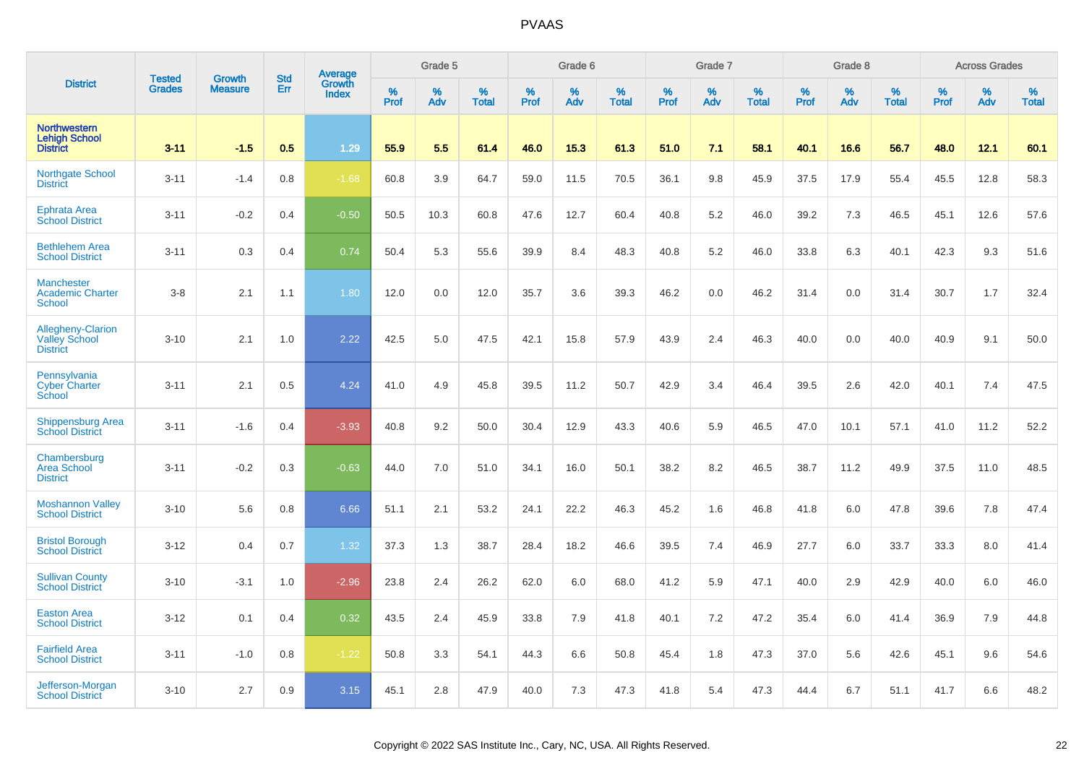|                                                                | <b>Tested</b> | <b>Growth</b>  | <b>Std</b> | <b>Average</b><br>Growth |              | Grade 5  |                   |           | Grade 6  |                   |           | Grade 7  |                   |           | Grade 8  |                   |           | <b>Across Grades</b> |                   |
|----------------------------------------------------------------|---------------|----------------|------------|--------------------------|--------------|----------|-------------------|-----------|----------|-------------------|-----------|----------|-------------------|-----------|----------|-------------------|-----------|----------------------|-------------------|
| <b>District</b>                                                | <b>Grades</b> | <b>Measure</b> | Err        | <b>Index</b>             | $\%$<br>Prof | %<br>Adv | %<br><b>Total</b> | %<br>Prof | %<br>Adv | %<br><b>Total</b> | %<br>Prof | %<br>Adv | %<br><b>Total</b> | %<br>Prof | %<br>Adv | %<br><b>Total</b> | %<br>Prof | %<br>Adv             | %<br><b>Total</b> |
| <b>Northwestern</b><br><b>Lehigh School</b><br><b>District</b> | $3 - 11$      | $-1.5$         | 0.5        | 1.29                     | 55.9         | 5.5      | 61.4              | 46.0      | 15.3     | 61.3              | 51.0      | 7.1      | 58.1              | 40.1      | 16.6     | 56.7              | 48.0      | 12.1                 | 60.1              |
| <b>Northgate School</b><br><b>District</b>                     | $3 - 11$      | $-1.4$         | 0.8        | $-1.68$                  | 60.8         | 3.9      | 64.7              | 59.0      | 11.5     | 70.5              | 36.1      | 9.8      | 45.9              | 37.5      | 17.9     | 55.4              | 45.5      | 12.8                 | 58.3              |
| <b>Ephrata Area</b><br><b>School District</b>                  | $3 - 11$      | $-0.2$         | 0.4        | $-0.50$                  | 50.5         | 10.3     | 60.8              | 47.6      | 12.7     | 60.4              | 40.8      | 5.2      | 46.0              | 39.2      | 7.3      | 46.5              | 45.1      | 12.6                 | 57.6              |
| <b>Bethlehem Area</b><br><b>School District</b>                | $3 - 11$      | 0.3            | 0.4        | 0.74                     | 50.4         | 5.3      | 55.6              | 39.9      | 8.4      | 48.3              | 40.8      | 5.2      | 46.0              | 33.8      | 6.3      | 40.1              | 42.3      | 9.3                  | 51.6              |
| <b>Manchester</b><br><b>Academic Charter</b><br><b>School</b>  | $3-8$         | 2.1            | 1.1        | 1.80                     | 12.0         | 0.0      | 12.0              | 35.7      | 3.6      | 39.3              | 46.2      | 0.0      | 46.2              | 31.4      | 0.0      | 31.4              | 30.7      | 1.7                  | 32.4              |
| Allegheny-Clarion<br><b>Valley School</b><br><b>District</b>   | $3 - 10$      | 2.1            | 1.0        | 2.22                     | 42.5         | 5.0      | 47.5              | 42.1      | 15.8     | 57.9              | 43.9      | 2.4      | 46.3              | 40.0      | 0.0      | 40.0              | 40.9      | 9.1                  | 50.0              |
| Pennsylvania<br><b>Cyber Charter</b><br>School                 | $3 - 11$      | 2.1            | 0.5        | 4.24                     | 41.0         | 4.9      | 45.8              | 39.5      | 11.2     | 50.7              | 42.9      | 3.4      | 46.4              | 39.5      | 2.6      | 42.0              | 40.1      | 7.4                  | 47.5              |
| <b>Shippensburg Area</b><br><b>School District</b>             | $3 - 11$      | $-1.6$         | 0.4        | $-3.93$                  | 40.8         | 9.2      | 50.0              | 30.4      | 12.9     | 43.3              | 40.6      | 5.9      | 46.5              | 47.0      | 10.1     | 57.1              | 41.0      | 11.2                 | 52.2              |
| Chambersburg<br><b>Area School</b><br><b>District</b>          | $3 - 11$      | $-0.2$         | 0.3        | $-0.63$                  | 44.0         | 7.0      | 51.0              | 34.1      | 16.0     | 50.1              | 38.2      | 8.2      | 46.5              | 38.7      | 11.2     | 49.9              | 37.5      | 11.0                 | 48.5              |
| <b>Moshannon Valley</b><br><b>School District</b>              | $3 - 10$      | 5.6            | 0.8        | 6.66                     | 51.1         | 2.1      | 53.2              | 24.1      | 22.2     | 46.3              | 45.2      | 1.6      | 46.8              | 41.8      | 6.0      | 47.8              | 39.6      | 7.8                  | 47.4              |
| <b>Bristol Borough</b><br><b>School District</b>               | $3 - 12$      | 0.4            | 0.7        | 1.32                     | 37.3         | 1.3      | 38.7              | 28.4      | 18.2     | 46.6              | 39.5      | 7.4      | 46.9              | 27.7      | 6.0      | 33.7              | 33.3      | 8.0                  | 41.4              |
| <b>Sullivan County</b><br><b>School District</b>               | $3 - 10$      | $-3.1$         | 1.0        | $-2.96$                  | 23.8         | 2.4      | 26.2              | 62.0      | 6.0      | 68.0              | 41.2      | 5.9      | 47.1              | 40.0      | 2.9      | 42.9              | 40.0      | 6.0                  | 46.0              |
| <b>Easton Area</b><br><b>School District</b>                   | $3 - 12$      | 0.1            | 0.4        | 0.32                     | 43.5         | 2.4      | 45.9              | 33.8      | 7.9      | 41.8              | 40.1      | 7.2      | 47.2              | 35.4      | 6.0      | 41.4              | 36.9      | 7.9                  | 44.8              |
| <b>Fairfield Area</b><br><b>School District</b>                | $3 - 11$      | $-1.0$         | 0.8        | $-1.22$                  | 50.8         | 3.3      | 54.1              | 44.3      | 6.6      | 50.8              | 45.4      | 1.8      | 47.3              | 37.0      | 5.6      | 42.6              | 45.1      | 9.6                  | 54.6              |
| Jefferson-Morgan<br><b>School District</b>                     | $3 - 10$      | 2.7            | 0.9        | 3.15                     | 45.1         | 2.8      | 47.9              | 40.0      | 7.3      | 47.3              | 41.8      | 5.4      | 47.3              | 44.4      | 6.7      | 51.1              | 41.7      | 6.6                  | 48.2              |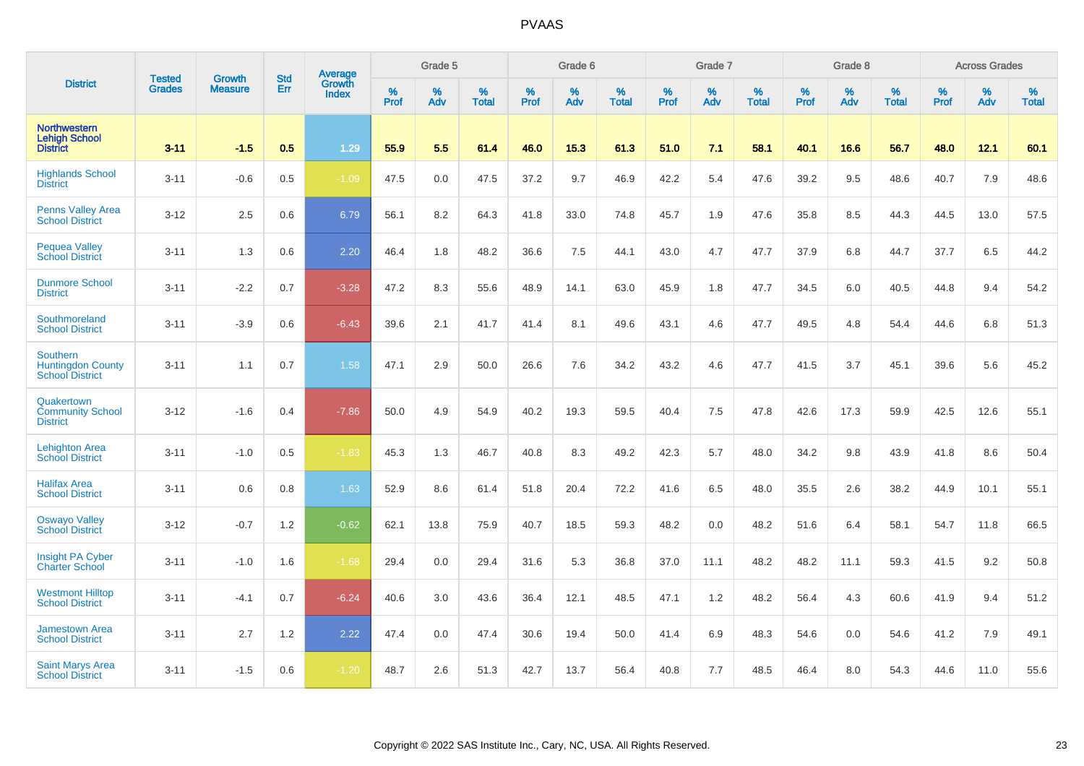|                                                                | <b>Tested</b> | <b>Growth</b>  | <b>Std</b> | Average                       |              | Grade 5  |                   |           | Grade 6  |                   |           | Grade 7  |                   |           | Grade 8  |                   |           | <b>Across Grades</b> |                   |
|----------------------------------------------------------------|---------------|----------------|------------|-------------------------------|--------------|----------|-------------------|-----------|----------|-------------------|-----------|----------|-------------------|-----------|----------|-------------------|-----------|----------------------|-------------------|
| <b>District</b>                                                | <b>Grades</b> | <b>Measure</b> | Err        | <b>Growth</b><br><b>Index</b> | $\%$<br>Prof | %<br>Adv | %<br><b>Total</b> | %<br>Prof | %<br>Adv | %<br><b>Total</b> | %<br>Prof | %<br>Adv | %<br><b>Total</b> | %<br>Prof | %<br>Adv | %<br><b>Total</b> | %<br>Prof | %<br>Adv             | %<br><b>Total</b> |
| <b>Northwestern</b><br><b>Lehigh School</b><br><b>District</b> | $3 - 11$      | $-1.5$         | 0.5        | 1.29                          | 55.9         | 5.5      | 61.4              | 46.0      | 15.3     | 61.3              | 51.0      | 7.1      | 58.1              | 40.1      | 16.6     | 56.7              | 48.0      | 12.1                 | 60.1              |
| <b>Highlands School</b><br><b>District</b>                     | $3 - 11$      | $-0.6$         | 0.5        | $-1.09$                       | 47.5         | 0.0      | 47.5              | 37.2      | 9.7      | 46.9              | 42.2      | 5.4      | 47.6              | 39.2      | 9.5      | 48.6              | 40.7      | 7.9                  | 48.6              |
| <b>Penns Valley Area</b><br><b>School District</b>             | $3 - 12$      | 2.5            | 0.6        | 6.79                          | 56.1         | 8.2      | 64.3              | 41.8      | 33.0     | 74.8              | 45.7      | 1.9      | 47.6              | 35.8      | 8.5      | 44.3              | 44.5      | 13.0                 | 57.5              |
| <b>Pequea Valley</b><br><b>School District</b>                 | $3 - 11$      | 1.3            | 0.6        | 2.20                          | 46.4         | 1.8      | 48.2              | 36.6      | 7.5      | 44.1              | 43.0      | 4.7      | 47.7              | 37.9      | 6.8      | 44.7              | 37.7      | 6.5                  | 44.2              |
| <b>Dunmore School</b><br><b>District</b>                       | $3 - 11$      | $-2.2$         | 0.7        | $-3.28$                       | 47.2         | 8.3      | 55.6              | 48.9      | 14.1     | 63.0              | 45.9      | 1.8      | 47.7              | 34.5      | 6.0      | 40.5              | 44.8      | 9.4                  | 54.2              |
| Southmoreland<br><b>School District</b>                        | $3 - 11$      | $-3.9$         | 0.6        | $-6.43$                       | 39.6         | 2.1      | 41.7              | 41.4      | 8.1      | 49.6              | 43.1      | 4.6      | 47.7              | 49.5      | 4.8      | 54.4              | 44.6      | 6.8                  | 51.3              |
| Southern<br><b>Huntingdon County</b><br><b>School District</b> | $3 - 11$      | 1.1            | 0.7        | 1.58                          | 47.1         | 2.9      | 50.0              | 26.6      | 7.6      | 34.2              | 43.2      | 4.6      | 47.7              | 41.5      | 3.7      | 45.1              | 39.6      | 5.6                  | 45.2              |
| Quakertown<br><b>Community School</b><br><b>District</b>       | $3 - 12$      | $-1.6$         | 0.4        | $-7.86$                       | 50.0         | 4.9      | 54.9              | 40.2      | 19.3     | 59.5              | 40.4      | 7.5      | 47.8              | 42.6      | 17.3     | 59.9              | 42.5      | 12.6                 | 55.1              |
| <b>Lehighton Area</b><br><b>School District</b>                | $3 - 11$      | $-1.0$         | 0.5        | $-1.83$                       | 45.3         | 1.3      | 46.7              | 40.8      | 8.3      | 49.2              | 42.3      | 5.7      | 48.0              | 34.2      | 9.8      | 43.9              | 41.8      | 8.6                  | 50.4              |
| <b>Halifax Area</b><br><b>School District</b>                  | $3 - 11$      | 0.6            | 0.8        | 1.63                          | 52.9         | 8.6      | 61.4              | 51.8      | 20.4     | 72.2              | 41.6      | 6.5      | 48.0              | 35.5      | 2.6      | 38.2              | 44.9      | 10.1                 | 55.1              |
| <b>Oswayo Valley</b><br><b>School District</b>                 | $3 - 12$      | $-0.7$         | 1.2        | $-0.62$                       | 62.1         | 13.8     | 75.9              | 40.7      | 18.5     | 59.3              | 48.2      | 0.0      | 48.2              | 51.6      | 6.4      | 58.1              | 54.7      | 11.8                 | 66.5              |
| Insight PA Cyber<br><b>Charter School</b>                      | $3 - 11$      | $-1.0$         | 1.6        | $-1.68$                       | 29.4         | 0.0      | 29.4              | 31.6      | 5.3      | 36.8              | 37.0      | 11.1     | 48.2              | 48.2      | 11.1     | 59.3              | 41.5      | 9.2                  | 50.8              |
| <b>Westmont Hilltop</b><br><b>School District</b>              | $3 - 11$      | $-4.1$         | 0.7        | $-6.24$                       | 40.6         | 3.0      | 43.6              | 36.4      | 12.1     | 48.5              | 47.1      | 1.2      | 48.2              | 56.4      | 4.3      | 60.6              | 41.9      | 9.4                  | 51.2              |
| <b>Jamestown Area</b><br><b>School District</b>                | $3 - 11$      | 2.7            | 1.2        | 2.22                          | 47.4         | 0.0      | 47.4              | 30.6      | 19.4     | 50.0              | 41.4      | 6.9      | 48.3              | 54.6      | 0.0      | 54.6              | 41.2      | 7.9                  | 49.1              |
| <b>Saint Marys Area</b><br><b>School District</b>              | $3 - 11$      | $-1.5$         | 0.6        | $-1.20$                       | 48.7         | 2.6      | 51.3              | 42.7      | 13.7     | 56.4              | 40.8      | 7.7      | 48.5              | 46.4      | 8.0      | 54.3              | 44.6      | 11.0                 | 55.6              |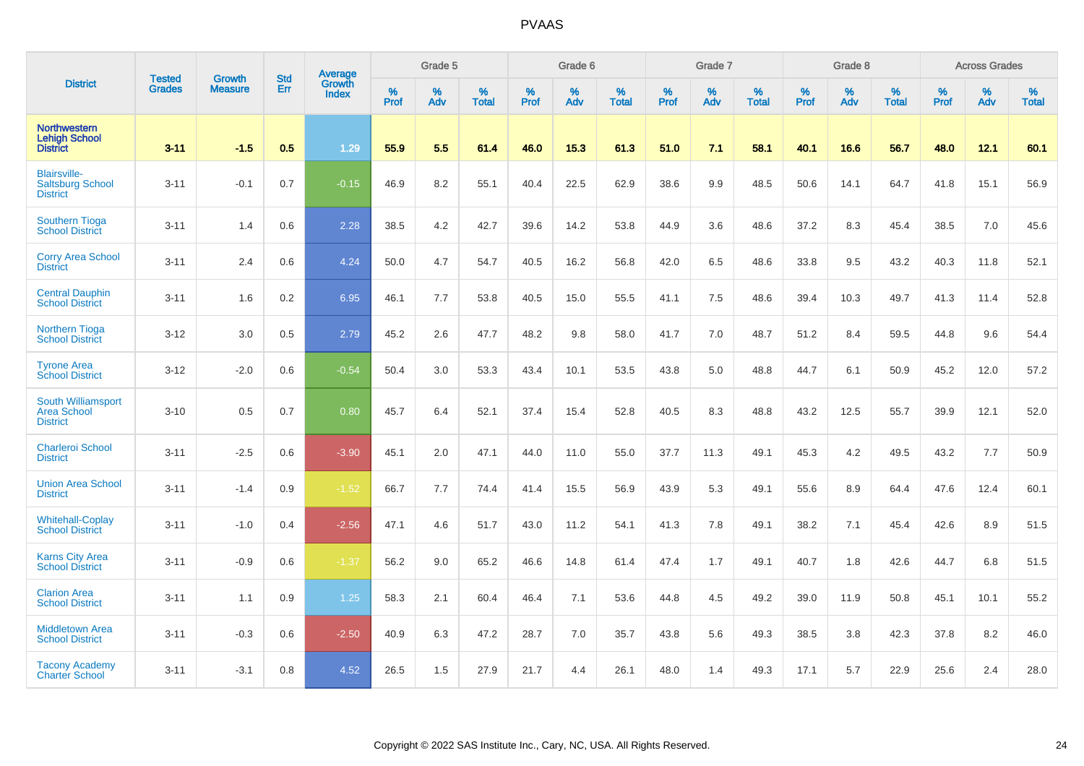|                                                                    |                                |                                 | <b>Std</b> | Average                       |              | Grade 5  |                   |           | Grade 6  |                   |           | Grade 7  |                   |           | Grade 8  |                   |           | <b>Across Grades</b> |                   |
|--------------------------------------------------------------------|--------------------------------|---------------------------------|------------|-------------------------------|--------------|----------|-------------------|-----------|----------|-------------------|-----------|----------|-------------------|-----------|----------|-------------------|-----------|----------------------|-------------------|
| <b>District</b>                                                    | <b>Tested</b><br><b>Grades</b> | <b>Growth</b><br><b>Measure</b> | Err        | <b>Growth</b><br><b>Index</b> | $\%$<br>Prof | %<br>Adv | %<br><b>Total</b> | %<br>Prof | %<br>Adv | %<br><b>Total</b> | %<br>Prof | %<br>Adv | %<br><b>Total</b> | %<br>Prof | %<br>Adv | %<br><b>Total</b> | %<br>Prof | %<br>Adv             | %<br><b>Total</b> |
| <b>Northwestern</b><br><b>Lehigh School</b><br><b>District</b>     | $3 - 11$                       | $-1.5$                          | 0.5        | 1.29                          | 55.9         | 5.5      | 61.4              | 46.0      | 15.3     | 61.3              | 51.0      | 7.1      | 58.1              | 40.1      | 16.6     | 56.7              | 48.0      | 12.1                 | 60.1              |
| <b>Blairsville-</b><br><b>Saltsburg School</b><br><b>District</b>  | $3 - 11$                       | $-0.1$                          | 0.7        | $-0.15$                       | 46.9         | 8.2      | 55.1              | 40.4      | 22.5     | 62.9              | 38.6      | 9.9      | 48.5              | 50.6      | 14.1     | 64.7              | 41.8      | 15.1                 | 56.9              |
| <b>Southern Tioga</b><br><b>School District</b>                    | $3 - 11$                       | 1.4                             | 0.6        | 2.28                          | 38.5         | 4.2      | 42.7              | 39.6      | 14.2     | 53.8              | 44.9      | 3.6      | 48.6              | 37.2      | 8.3      | 45.4              | 38.5      | 7.0                  | 45.6              |
| <b>Corry Area School</b><br><b>District</b>                        | $3 - 11$                       | 2.4                             | 0.6        | 4.24                          | 50.0         | 4.7      | 54.7              | 40.5      | 16.2     | 56.8              | 42.0      | 6.5      | 48.6              | 33.8      | 9.5      | 43.2              | 40.3      | 11.8                 | 52.1              |
| <b>Central Dauphin</b><br><b>School District</b>                   | $3 - 11$                       | 1.6                             | 0.2        | 6.95                          | 46.1         | 7.7      | 53.8              | 40.5      | 15.0     | 55.5              | 41.1      | 7.5      | 48.6              | 39.4      | 10.3     | 49.7              | 41.3      | 11.4                 | 52.8              |
| Northern Tioga<br><b>School District</b>                           | $3 - 12$                       | 3.0                             | 0.5        | 2.79                          | 45.2         | 2.6      | 47.7              | 48.2      | 9.8      | 58.0              | 41.7      | 7.0      | 48.7              | 51.2      | 8.4      | 59.5              | 44.8      | 9.6                  | 54.4              |
| <b>Tyrone Area</b><br><b>School District</b>                       | $3 - 12$                       | $-2.0$                          | 0.6        | $-0.54$                       | 50.4         | 3.0      | 53.3              | 43.4      | 10.1     | 53.5              | 43.8      | 5.0      | 48.8              | 44.7      | 6.1      | 50.9              | 45.2      | 12.0                 | 57.2              |
| <b>South Williamsport</b><br><b>Area School</b><br><b>District</b> | $3 - 10$                       | 0.5                             | 0.7        | 0.80                          | 45.7         | 6.4      | 52.1              | 37.4      | 15.4     | 52.8              | 40.5      | 8.3      | 48.8              | 43.2      | 12.5     | 55.7              | 39.9      | 12.1                 | 52.0              |
| <b>Charleroi School</b><br><b>District</b>                         | $3 - 11$                       | $-2.5$                          | 0.6        | $-3.90$                       | 45.1         | 2.0      | 47.1              | 44.0      | 11.0     | 55.0              | 37.7      | 11.3     | 49.1              | 45.3      | 4.2      | 49.5              | 43.2      | 7.7                  | 50.9              |
| <b>Union Area School</b><br><b>District</b>                        | $3 - 11$                       | $-1.4$                          | 0.9        | $-1.52$                       | 66.7         | 7.7      | 74.4              | 41.4      | 15.5     | 56.9              | 43.9      | 5.3      | 49.1              | 55.6      | 8.9      | 64.4              | 47.6      | 12.4                 | 60.1              |
| <b>Whitehall-Coplay</b><br><b>School District</b>                  | $3 - 11$                       | $-1.0$                          | 0.4        | $-2.56$                       | 47.1         | 4.6      | 51.7              | 43.0      | 11.2     | 54.1              | 41.3      | 7.8      | 49.1              | 38.2      | 7.1      | 45.4              | 42.6      | 8.9                  | 51.5              |
| <b>Karns City Area</b><br><b>School District</b>                   | $3 - 11$                       | $-0.9$                          | 0.6        | $-1.37$                       | 56.2         | 9.0      | 65.2              | 46.6      | 14.8     | 61.4              | 47.4      | 1.7      | 49.1              | 40.7      | 1.8      | 42.6              | 44.7      | 6.8                  | 51.5              |
| <b>Clarion Area</b><br><b>School District</b>                      | $3 - 11$                       | 1.1                             | 0.9        | 1.25                          | 58.3         | 2.1      | 60.4              | 46.4      | 7.1      | 53.6              | 44.8      | 4.5      | 49.2              | 39.0      | 11.9     | 50.8              | 45.1      | 10.1                 | 55.2              |
| <b>Middletown Area</b><br><b>School District</b>                   | $3 - 11$                       | $-0.3$                          | 0.6        | $-2.50$                       | 40.9         | 6.3      | 47.2              | 28.7      | 7.0      | 35.7              | 43.8      | 5.6      | 49.3              | 38.5      | 3.8      | 42.3              | 37.8      | 8.2                  | 46.0              |
| <b>Tacony Academy</b><br><b>Charter School</b>                     | $3 - 11$                       | $-3.1$                          | 0.8        | 4.52                          | 26.5         | 1.5      | 27.9              | 21.7      | 4.4      | 26.1              | 48.0      | 1.4      | 49.3              | 17.1      | 5.7      | 22.9              | 25.6      | 2.4                  | 28.0              |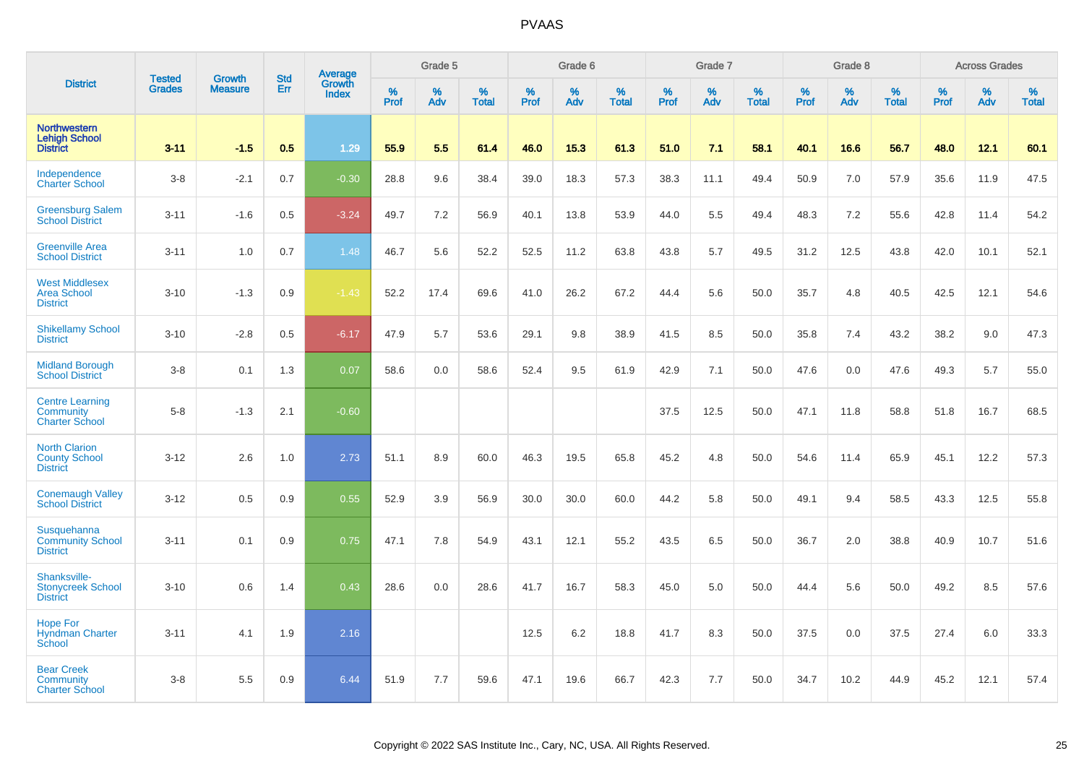|                                                                 | <b>Tested</b> | <b>Growth</b>  | <b>Std</b> | Average                |              | Grade 5     |                   |           | Grade 6  |                   |           | Grade 7  |                   |              | Grade 8  |                   |              | <b>Across Grades</b> |                   |
|-----------------------------------------------------------------|---------------|----------------|------------|------------------------|--------------|-------------|-------------------|-----------|----------|-------------------|-----------|----------|-------------------|--------------|----------|-------------------|--------------|----------------------|-------------------|
| <b>District</b>                                                 | <b>Grades</b> | <b>Measure</b> | Err        | Growth<br><b>Index</b> | $\%$<br>Prof | $\%$<br>Adv | %<br><b>Total</b> | %<br>Prof | %<br>Adv | %<br><b>Total</b> | %<br>Prof | %<br>Adv | %<br><b>Total</b> | $\%$<br>Prof | %<br>Adv | %<br><b>Total</b> | $\%$<br>Prof | %<br>Adv             | %<br><b>Total</b> |
| <b>Northwestern</b><br><b>Lehigh School</b><br><b>District</b>  | $3 - 11$      | $-1.5$         | 0.5        | 1.29                   | 55.9         | 5.5         | 61.4              | 46.0      | 15.3     | 61.3              | 51.0      | 7.1      | 58.1              | 40.1         | 16.6     | 56.7              | 48.0         | 12.1                 | 60.1              |
| Independence<br><b>Charter School</b>                           | $3 - 8$       | $-2.1$         | 0.7        | $-0.30$                | 28.8         | 9.6         | 38.4              | 39.0      | 18.3     | 57.3              | 38.3      | 11.1     | 49.4              | 50.9         | 7.0      | 57.9              | 35.6         | 11.9                 | 47.5              |
| <b>Greensburg Salem</b><br><b>School District</b>               | $3 - 11$      | $-1.6$         | 0.5        | $-3.24$                | 49.7         | 7.2         | 56.9              | 40.1      | 13.8     | 53.9              | 44.0      | 5.5      | 49.4              | 48.3         | 7.2      | 55.6              | 42.8         | 11.4                 | 54.2              |
| <b>Greenville Area</b><br><b>School District</b>                | $3 - 11$      | 1.0            | 0.7        | 1.48                   | 46.7         | 5.6         | 52.2              | 52.5      | 11.2     | 63.8              | 43.8      | 5.7      | 49.5              | 31.2         | 12.5     | 43.8              | 42.0         | 10.1                 | 52.1              |
| <b>West Middlesex</b><br><b>Area School</b><br><b>District</b>  | $3 - 10$      | $-1.3$         | 0.9        | $-1.43$                | 52.2         | 17.4        | 69.6              | 41.0      | 26.2     | 67.2              | 44.4      | 5.6      | 50.0              | 35.7         | 4.8      | 40.5              | 42.5         | 12.1                 | 54.6              |
| <b>Shikellamy School</b><br><b>District</b>                     | $3 - 10$      | $-2.8$         | 0.5        | $-6.17$                | 47.9         | 5.7         | 53.6              | 29.1      | 9.8      | 38.9              | 41.5      | 8.5      | 50.0              | 35.8         | 7.4      | 43.2              | 38.2         | 9.0                  | 47.3              |
| <b>Midland Borough</b><br><b>School District</b>                | $3 - 8$       | 0.1            | 1.3        | 0.07                   | 58.6         | 0.0         | 58.6              | 52.4      | 9.5      | 61.9              | 42.9      | 7.1      | 50.0              | 47.6         | 0.0      | 47.6              | 49.3         | 5.7                  | 55.0              |
| <b>Centre Learning</b><br>Community<br><b>Charter School</b>    | $5 - 8$       | $-1.3$         | 2.1        | $-0.60$                |              |             |                   |           |          |                   | 37.5      | 12.5     | 50.0              | 47.1         | 11.8     | 58.8              | 51.8         | 16.7                 | 68.5              |
| <b>North Clarion</b><br><b>County School</b><br><b>District</b> | $3 - 12$      | 2.6            | 1.0        | 2.73                   | 51.1         | 8.9         | 60.0              | 46.3      | 19.5     | 65.8              | 45.2      | 4.8      | 50.0              | 54.6         | 11.4     | 65.9              | 45.1         | 12.2                 | 57.3              |
| <b>Conemaugh Valley</b><br><b>School District</b>               | $3 - 12$      | 0.5            | 0.9        | 0.55                   | 52.9         | 3.9         | 56.9              | 30.0      | 30.0     | 60.0              | 44.2      | 5.8      | 50.0              | 49.1         | 9.4      | 58.5              | 43.3         | 12.5                 | 55.8              |
| Susquehanna<br><b>Community School</b><br><b>District</b>       | $3 - 11$      | 0.1            | 0.9        | 0.75                   | 47.1         | 7.8         | 54.9              | 43.1      | 12.1     | 55.2              | 43.5      | 6.5      | 50.0              | 36.7         | 2.0      | 38.8              | 40.9         | 10.7                 | 51.6              |
| Shanksville-<br><b>Stonycreek School</b><br><b>District</b>     | $3 - 10$      | 0.6            | 1.4        | 0.43                   | 28.6         | 0.0         | 28.6              | 41.7      | 16.7     | 58.3              | 45.0      | 5.0      | 50.0              | 44.4         | 5.6      | 50.0              | 49.2         | 8.5                  | 57.6              |
| <b>Hope For</b><br><b>Hyndman Charter</b><br>School             | $3 - 11$      | 4.1            | 1.9        | 2.16                   |              |             |                   | 12.5      | 6.2      | 18.8              | 41.7      | 8.3      | 50.0              | 37.5         | 0.0      | 37.5              | 27.4         | 6.0                  | 33.3              |
| <b>Bear Creek</b><br>Community<br><b>Charter School</b>         | $3 - 8$       | 5.5            | 0.9        | 6.44                   | 51.9         | 7.7         | 59.6              | 47.1      | 19.6     | 66.7              | 42.3      | 7.7      | 50.0              | 34.7         | 10.2     | 44.9              | 45.2         | 12.1                 | 57.4              |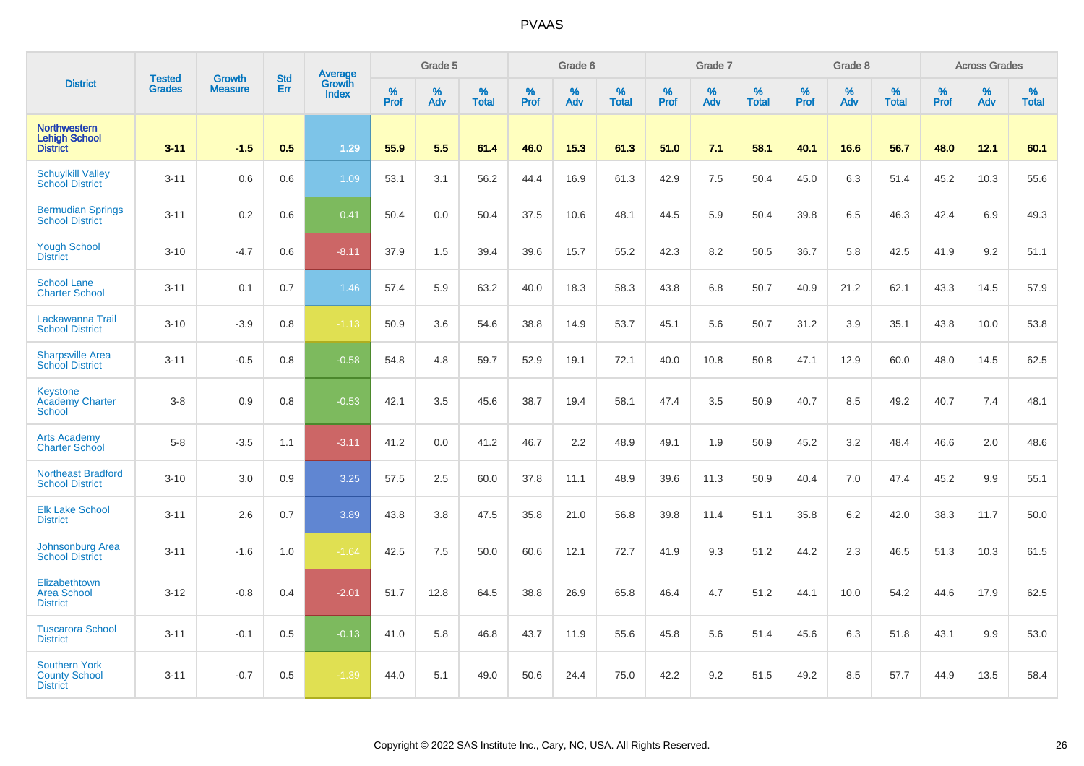|                                                                 |                                |                                 | <b>Std</b> | Average                |           | Grade 5  |                   |           | Grade 6  |                   |           | Grade 7  |                   |           | Grade 8  |                   |           | <b>Across Grades</b> |                   |
|-----------------------------------------------------------------|--------------------------------|---------------------------------|------------|------------------------|-----------|----------|-------------------|-----------|----------|-------------------|-----------|----------|-------------------|-----------|----------|-------------------|-----------|----------------------|-------------------|
| <b>District</b>                                                 | <b>Tested</b><br><b>Grades</b> | <b>Growth</b><br><b>Measure</b> | Err        | Growth<br><b>Index</b> | %<br>Prof | %<br>Adv | %<br><b>Total</b> | %<br>Prof | %<br>Adv | %<br><b>Total</b> | %<br>Prof | %<br>Adv | %<br><b>Total</b> | %<br>Prof | %<br>Adv | %<br><b>Total</b> | %<br>Prof | %<br>Adv             | %<br><b>Total</b> |
| <b>Northwestern</b><br><b>Lehigh School</b><br><b>District</b>  | $3 - 11$                       | $-1.5$                          | 0.5        | 1.29                   | 55.9      | 5.5      | 61.4              | 46.0      | 15.3     | 61.3              | 51.0      | 7.1      | 58.1              | 40.1      | 16.6     | 56.7              | 48.0      | 12.1                 | 60.1              |
| <b>Schuylkill Valley</b><br><b>School District</b>              | $3 - 11$                       | 0.6                             | 0.6        | 1.09                   | 53.1      | 3.1      | 56.2              | 44.4      | 16.9     | 61.3              | 42.9      | 7.5      | 50.4              | 45.0      | 6.3      | 51.4              | 45.2      | 10.3                 | 55.6              |
| <b>Bermudian Springs</b><br><b>School District</b>              | $3 - 11$                       | 0.2                             | 0.6        | 0.41                   | 50.4      | 0.0      | 50.4              | 37.5      | 10.6     | 48.1              | 44.5      | 5.9      | 50.4              | 39.8      | 6.5      | 46.3              | 42.4      | 6.9                  | 49.3              |
| <b>Yough School</b><br><b>District</b>                          | $3 - 10$                       | $-4.7$                          | 0.6        | $-8.11$                | 37.9      | 1.5      | 39.4              | 39.6      | 15.7     | 55.2              | 42.3      | 8.2      | 50.5              | 36.7      | 5.8      | 42.5              | 41.9      | 9.2                  | 51.1              |
| <b>School Lane</b><br><b>Charter School</b>                     | $3 - 11$                       | 0.1                             | 0.7        | 1.46                   | 57.4      | 5.9      | 63.2              | 40.0      | 18.3     | 58.3              | 43.8      | 6.8      | 50.7              | 40.9      | 21.2     | 62.1              | 43.3      | 14.5                 | 57.9              |
| Lackawanna Trail<br><b>School District</b>                      | $3 - 10$                       | $-3.9$                          | 0.8        | $-1.13$                | 50.9      | 3.6      | 54.6              | 38.8      | 14.9     | 53.7              | 45.1      | 5.6      | 50.7              | 31.2      | 3.9      | 35.1              | 43.8      | 10.0                 | 53.8              |
| <b>Sharpsville Area</b><br><b>School District</b>               | $3 - 11$                       | $-0.5$                          | 0.8        | $-0.58$                | 54.8      | 4.8      | 59.7              | 52.9      | 19.1     | 72.1              | 40.0      | 10.8     | 50.8              | 47.1      | 12.9     | 60.0              | 48.0      | 14.5                 | 62.5              |
| Keystone<br><b>Academy Charter</b><br><b>School</b>             | $3 - 8$                        | 0.9                             | 0.8        | $-0.53$                | 42.1      | 3.5      | 45.6              | 38.7      | 19.4     | 58.1              | 47.4      | 3.5      | 50.9              | 40.7      | 8.5      | 49.2              | 40.7      | 7.4                  | 48.1              |
| <b>Arts Academy</b><br><b>Charter School</b>                    | $5-8$                          | $-3.5$                          | 1.1        | $-3.11$                | 41.2      | 0.0      | 41.2              | 46.7      | 2.2      | 48.9              | 49.1      | 1.9      | 50.9              | 45.2      | 3.2      | 48.4              | 46.6      | 2.0                  | 48.6              |
| <b>Northeast Bradford</b><br><b>School District</b>             | $3 - 10$                       | 3.0                             | 0.9        | 3.25                   | 57.5      | 2.5      | 60.0              | 37.8      | 11.1     | 48.9              | 39.6      | 11.3     | 50.9              | 40.4      | 7.0      | 47.4              | 45.2      | 9.9                  | 55.1              |
| <b>Elk Lake School</b><br><b>District</b>                       | $3 - 11$                       | 2.6                             | 0.7        | 3.89                   | 43.8      | 3.8      | 47.5              | 35.8      | 21.0     | 56.8              | 39.8      | 11.4     | 51.1              | 35.8      | 6.2      | 42.0              | 38.3      | 11.7                 | 50.0              |
| Johnsonburg Area<br><b>School District</b>                      | $3 - 11$                       | $-1.6$                          | 1.0        | $-1.64$                | 42.5      | 7.5      | 50.0              | 60.6      | 12.1     | 72.7              | 41.9      | 9.3      | 51.2              | 44.2      | 2.3      | 46.5              | 51.3      | 10.3                 | 61.5              |
| Elizabethtown<br><b>Area School</b><br><b>District</b>          | $3 - 12$                       | $-0.8$                          | 0.4        | $-2.01$                | 51.7      | 12.8     | 64.5              | 38.8      | 26.9     | 65.8              | 46.4      | 4.7      | 51.2              | 44.1      | 10.0     | 54.2              | 44.6      | 17.9                 | 62.5              |
| <b>Tuscarora School</b><br><b>District</b>                      | $3 - 11$                       | $-0.1$                          | 0.5        | $-0.13$                | 41.0      | 5.8      | 46.8              | 43.7      | 11.9     | 55.6              | 45.8      | 5.6      | 51.4              | 45.6      | 6.3      | 51.8              | 43.1      | 9.9                  | 53.0              |
| <b>Southern York</b><br><b>County School</b><br><b>District</b> | $3 - 11$                       | $-0.7$                          | 0.5        | $-1.39$                | 44.0      | 5.1      | 49.0              | 50.6      | 24.4     | 75.0              | 42.2      | 9.2      | 51.5              | 49.2      | 8.5      | 57.7              | 44.9      | 13.5                 | 58.4              |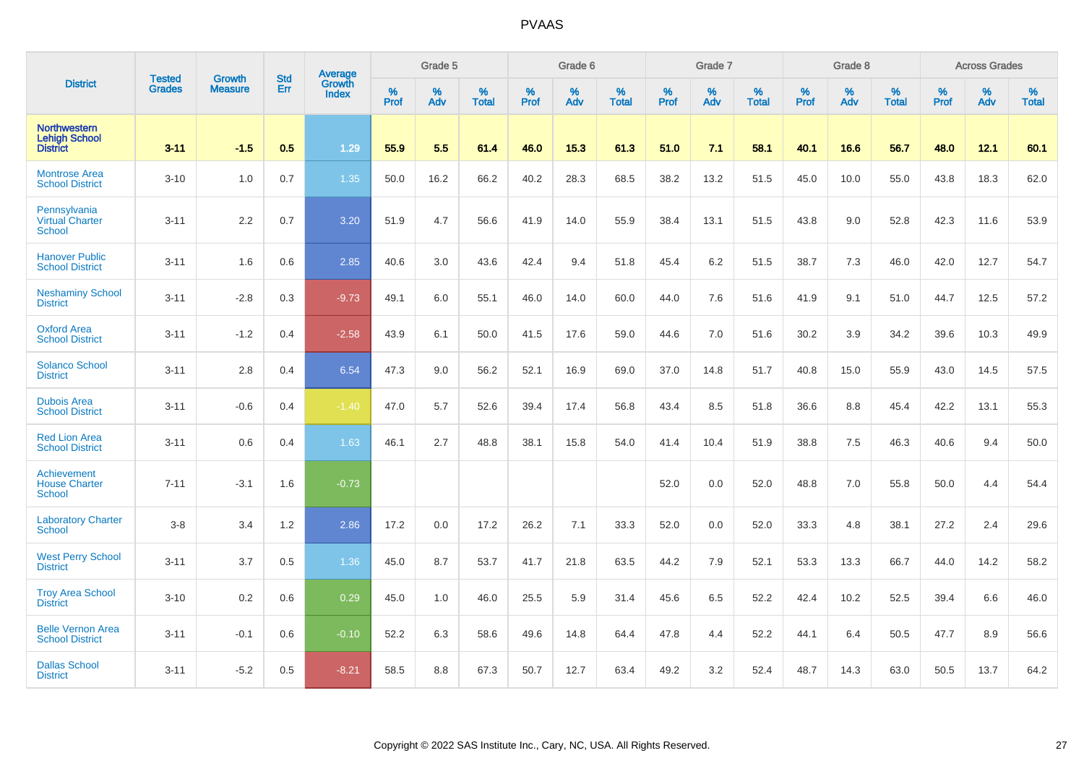|                                                                | <b>Tested</b> | <b>Growth</b>  | <b>Std</b> | Average         |              | Grade 5  |                   |           | Grade 6  |                   |              | Grade 7  |                   |           | Grade 8  |                   |              | <b>Across Grades</b> |                   |
|----------------------------------------------------------------|---------------|----------------|------------|-----------------|--------------|----------|-------------------|-----------|----------|-------------------|--------------|----------|-------------------|-----------|----------|-------------------|--------------|----------------------|-------------------|
| <b>District</b>                                                | <b>Grades</b> | <b>Measure</b> | Err        | Growth<br>Index | $\%$<br>Prof | %<br>Adv | %<br><b>Total</b> | %<br>Prof | %<br>Adv | %<br><b>Total</b> | $\%$<br>Prof | %<br>Adv | %<br><b>Total</b> | %<br>Prof | %<br>Adv | %<br><b>Total</b> | $\%$<br>Prof | $\%$<br>Adv          | %<br><b>Total</b> |
| <b>Northwestern</b><br><b>Lehigh School</b><br><b>District</b> | $3 - 11$      | $-1.5$         | 0.5        | 1.29            | 55.9         | 5.5      | 61.4              | 46.0      | 15.3     | 61.3              | 51.0         | 7.1      | 58.1              | 40.1      | 16.6     | 56.7              | 48.0         | 12.1                 | 60.1              |
| <b>Montrose Area</b><br><b>School District</b>                 | $3 - 10$      | 1.0            | 0.7        | 1.35            | 50.0         | 16.2     | 66.2              | 40.2      | 28.3     | 68.5              | 38.2         | 13.2     | 51.5              | 45.0      | 10.0     | 55.0              | 43.8         | 18.3                 | 62.0              |
| Pennsylvania<br><b>Virtual Charter</b><br>School               | $3 - 11$      | 2.2            | 0.7        | 3.20            | 51.9         | 4.7      | 56.6              | 41.9      | 14.0     | 55.9              | 38.4         | 13.1     | 51.5              | 43.8      | 9.0      | 52.8              | 42.3         | 11.6                 | 53.9              |
| <b>Hanover Public</b><br><b>School District</b>                | $3 - 11$      | 1.6            | 0.6        | 2.85            | 40.6         | 3.0      | 43.6              | 42.4      | 9.4      | 51.8              | 45.4         | 6.2      | 51.5              | 38.7      | 7.3      | 46.0              | 42.0         | 12.7                 | 54.7              |
| <b>Neshaminy School</b><br><b>District</b>                     | $3 - 11$      | $-2.8$         | 0.3        | $-9.73$         | 49.1         | 6.0      | 55.1              | 46.0      | 14.0     | 60.0              | 44.0         | 7.6      | 51.6              | 41.9      | 9.1      | 51.0              | 44.7         | 12.5                 | 57.2              |
| <b>Oxford Area</b><br><b>School District</b>                   | $3 - 11$      | $-1.2$         | 0.4        | $-2.58$         | 43.9         | 6.1      | 50.0              | 41.5      | 17.6     | 59.0              | 44.6         | 7.0      | 51.6              | 30.2      | 3.9      | 34.2              | 39.6         | 10.3                 | 49.9              |
| <b>Solanco School</b><br><b>District</b>                       | $3 - 11$      | 2.8            | 0.4        | 6.54            | 47.3         | 9.0      | 56.2              | 52.1      | 16.9     | 69.0              | 37.0         | 14.8     | 51.7              | 40.8      | 15.0     | 55.9              | 43.0         | 14.5                 | 57.5              |
| <b>Dubois Area</b><br><b>School District</b>                   | $3 - 11$      | $-0.6$         | 0.4        | $-1.40$         | 47.0         | 5.7      | 52.6              | 39.4      | 17.4     | 56.8              | 43.4         | 8.5      | 51.8              | 36.6      | 8.8      | 45.4              | 42.2         | 13.1                 | 55.3              |
| <b>Red Lion Area</b><br><b>School District</b>                 | $3 - 11$      | 0.6            | 0.4        | 1.63            | 46.1         | 2.7      | 48.8              | 38.1      | 15.8     | 54.0              | 41.4         | 10.4     | 51.9              | 38.8      | 7.5      | 46.3              | 40.6         | 9.4                  | 50.0              |
| Achievement<br><b>House Charter</b><br><b>School</b>           | $7 - 11$      | $-3.1$         | 1.6        | $-0.73$         |              |          |                   |           |          |                   | 52.0         | 0.0      | 52.0              | 48.8      | 7.0      | 55.8              | 50.0         | 4.4                  | 54.4              |
| <b>Laboratory Charter</b><br><b>School</b>                     | $3-8$         | 3.4            | 1.2        | 2.86            | 17.2         | 0.0      | 17.2              | 26.2      | 7.1      | 33.3              | 52.0         | 0.0      | 52.0              | 33.3      | 4.8      | 38.1              | 27.2         | 2.4                  | 29.6              |
| <b>West Perry School</b><br><b>District</b>                    | $3 - 11$      | 3.7            | 0.5        | 1.36            | 45.0         | 8.7      | 53.7              | 41.7      | 21.8     | 63.5              | 44.2         | 7.9      | 52.1              | 53.3      | 13.3     | 66.7              | 44.0         | 14.2                 | 58.2              |
| <b>Troy Area School</b><br><b>District</b>                     | $3 - 10$      | $0.2\,$        | 0.6        | 0.29            | 45.0         | 1.0      | 46.0              | 25.5      | 5.9      | 31.4              | 45.6         | 6.5      | 52.2              | 42.4      | 10.2     | 52.5              | 39.4         | 6.6                  | 46.0              |
| <b>Belle Vernon Area</b><br><b>School District</b>             | $3 - 11$      | $-0.1$         | 0.6        | $-0.10$         | 52.2         | 6.3      | 58.6              | 49.6      | 14.8     | 64.4              | 47.8         | 4.4      | 52.2              | 44.1      | 6.4      | 50.5              | 47.7         | 8.9                  | 56.6              |
| <b>Dallas School</b><br><b>District</b>                        | $3 - 11$      | $-5.2$         | 0.5        | $-8.21$         | 58.5         | 8.8      | 67.3              | 50.7      | 12.7     | 63.4              | 49.2         | 3.2      | 52.4              | 48.7      | 14.3     | 63.0              | 50.5         | 13.7                 | 64.2              |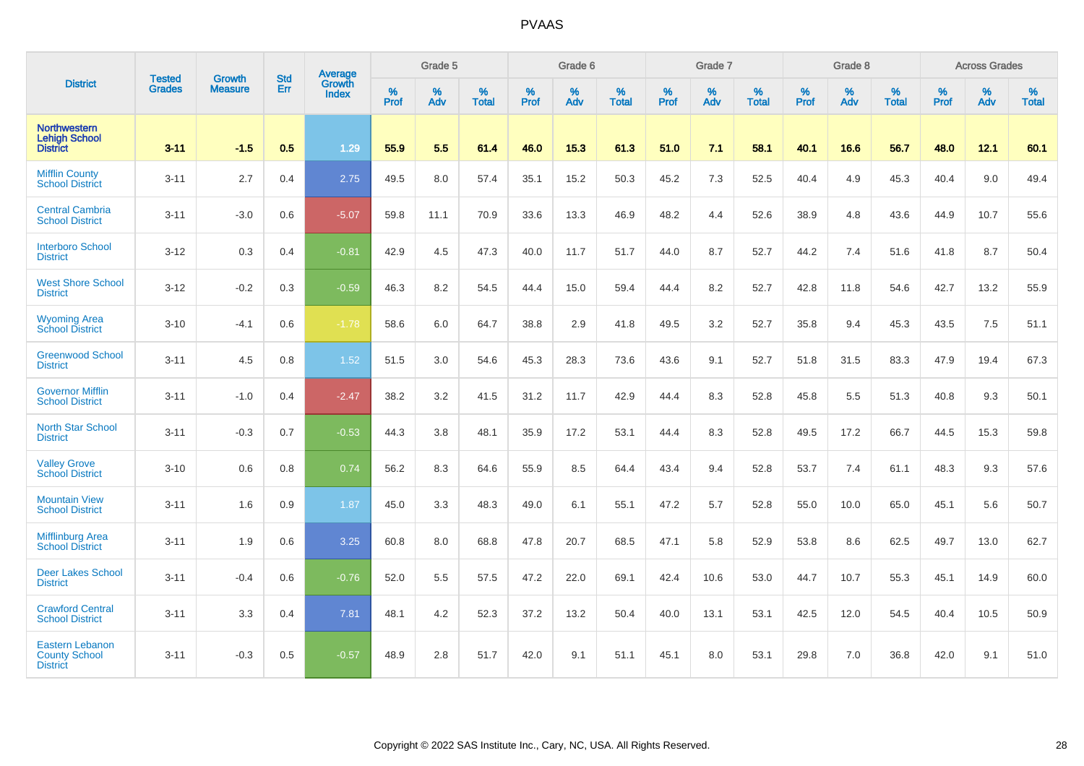|                                                                   |                                |                                 | <b>Std</b> | Average                |           | Grade 5  |                   |           | Grade 6  |                   |           | Grade 7  |                   |           | Grade 8  |                   |           | <b>Across Grades</b> |                   |
|-------------------------------------------------------------------|--------------------------------|---------------------------------|------------|------------------------|-----------|----------|-------------------|-----------|----------|-------------------|-----------|----------|-------------------|-----------|----------|-------------------|-----------|----------------------|-------------------|
| <b>District</b>                                                   | <b>Tested</b><br><b>Grades</b> | <b>Growth</b><br><b>Measure</b> | Err        | Growth<br><b>Index</b> | %<br>Prof | %<br>Adv | %<br><b>Total</b> | %<br>Prof | %<br>Adv | %<br><b>Total</b> | %<br>Prof | %<br>Adv | %<br><b>Total</b> | %<br>Prof | %<br>Adv | %<br><b>Total</b> | %<br>Prof | %<br>Adv             | %<br><b>Total</b> |
| <b>Northwestern</b><br><b>Lehigh School</b><br><b>District</b>    | $3 - 11$                       | $-1.5$                          | 0.5        | 1.29                   | 55.9      | 5.5      | 61.4              | 46.0      | 15.3     | 61.3              | 51.0      | 7.1      | 58.1              | 40.1      | 16.6     | 56.7              | 48.0      | 12.1                 | 60.1              |
| <b>Mifflin County</b><br><b>School District</b>                   | $3 - 11$                       | 2.7                             | 0.4        | 2.75                   | 49.5      | 8.0      | 57.4              | 35.1      | 15.2     | 50.3              | 45.2      | 7.3      | 52.5              | 40.4      | 4.9      | 45.3              | 40.4      | 9.0                  | 49.4              |
| <b>Central Cambria</b><br><b>School District</b>                  | $3 - 11$                       | $-3.0$                          | 0.6        | $-5.07$                | 59.8      | 11.1     | 70.9              | 33.6      | 13.3     | 46.9              | 48.2      | 4.4      | 52.6              | 38.9      | 4.8      | 43.6              | 44.9      | 10.7                 | 55.6              |
| <b>Interboro School</b><br><b>District</b>                        | $3 - 12$                       | 0.3                             | 0.4        | $-0.81$                | 42.9      | 4.5      | 47.3              | 40.0      | 11.7     | 51.7              | 44.0      | 8.7      | 52.7              | 44.2      | 7.4      | 51.6              | 41.8      | 8.7                  | 50.4              |
| <b>West Shore School</b><br><b>District</b>                       | $3 - 12$                       | $-0.2$                          | 0.3        | $-0.59$                | 46.3      | 8.2      | 54.5              | 44.4      | 15.0     | 59.4              | 44.4      | 8.2      | 52.7              | 42.8      | 11.8     | 54.6              | 42.7      | 13.2                 | 55.9              |
| <b>Wyoming Area</b><br><b>School District</b>                     | $3 - 10$                       | $-4.1$                          | 0.6        | $-1.78$                | 58.6      | 6.0      | 64.7              | 38.8      | 2.9      | 41.8              | 49.5      | 3.2      | 52.7              | 35.8      | 9.4      | 45.3              | 43.5      | 7.5                  | 51.1              |
| <b>Greenwood School</b><br><b>District</b>                        | $3 - 11$                       | 4.5                             | 0.8        | 1.52                   | 51.5      | 3.0      | 54.6              | 45.3      | 28.3     | 73.6              | 43.6      | 9.1      | 52.7              | 51.8      | 31.5     | 83.3              | 47.9      | 19.4                 | 67.3              |
| <b>Governor Mifflin</b><br><b>School District</b>                 | $3 - 11$                       | $-1.0$                          | 0.4        | $-2.47$                | 38.2      | 3.2      | 41.5              | 31.2      | 11.7     | 42.9              | 44.4      | 8.3      | 52.8              | 45.8      | 5.5      | 51.3              | 40.8      | 9.3                  | 50.1              |
| <b>North Star School</b><br><b>District</b>                       | $3 - 11$                       | $-0.3$                          | 0.7        | $-0.53$                | 44.3      | 3.8      | 48.1              | 35.9      | 17.2     | 53.1              | 44.4      | 8.3      | 52.8              | 49.5      | 17.2     | 66.7              | 44.5      | 15.3                 | 59.8              |
| <b>Valley Grove</b><br><b>School District</b>                     | $3 - 10$                       | 0.6                             | 0.8        | 0.74                   | 56.2      | 8.3      | 64.6              | 55.9      | 8.5      | 64.4              | 43.4      | 9.4      | 52.8              | 53.7      | 7.4      | 61.1              | 48.3      | 9.3                  | 57.6              |
| <b>Mountain View</b><br><b>School District</b>                    | $3 - 11$                       | 1.6                             | 0.9        | 1.87                   | 45.0      | 3.3      | 48.3              | 49.0      | 6.1      | 55.1              | 47.2      | 5.7      | 52.8              | 55.0      | 10.0     | 65.0              | 45.1      | 5.6                  | 50.7              |
| <b>Mifflinburg Area</b><br><b>School District</b>                 | $3 - 11$                       | 1.9                             | 0.6        | 3.25                   | 60.8      | 8.0      | 68.8              | 47.8      | 20.7     | 68.5              | 47.1      | 5.8      | 52.9              | 53.8      | 8.6      | 62.5              | 49.7      | 13.0                 | 62.7              |
| <b>Deer Lakes School</b><br><b>District</b>                       | $3 - 11$                       | $-0.4$                          | 0.6        | $-0.76$                | 52.0      | 5.5      | 57.5              | 47.2      | 22.0     | 69.1              | 42.4      | 10.6     | 53.0              | 44.7      | 10.7     | 55.3              | 45.1      | 14.9                 | 60.0              |
| <b>Crawford Central</b><br><b>School District</b>                 | $3 - 11$                       | 3.3                             | 0.4        | 7.81                   | 48.1      | 4.2      | 52.3              | 37.2      | 13.2     | 50.4              | 40.0      | 13.1     | 53.1              | 42.5      | 12.0     | 54.5              | 40.4      | 10.5                 | 50.9              |
| <b>Eastern Lebanon</b><br><b>County School</b><br><b>District</b> | $3 - 11$                       | $-0.3$                          | 0.5        | $-0.57$                | 48.9      | 2.8      | 51.7              | 42.0      | 9.1      | 51.1              | 45.1      | 8.0      | 53.1              | 29.8      | 7.0      | 36.8              | 42.0      | 9.1                  | 51.0              |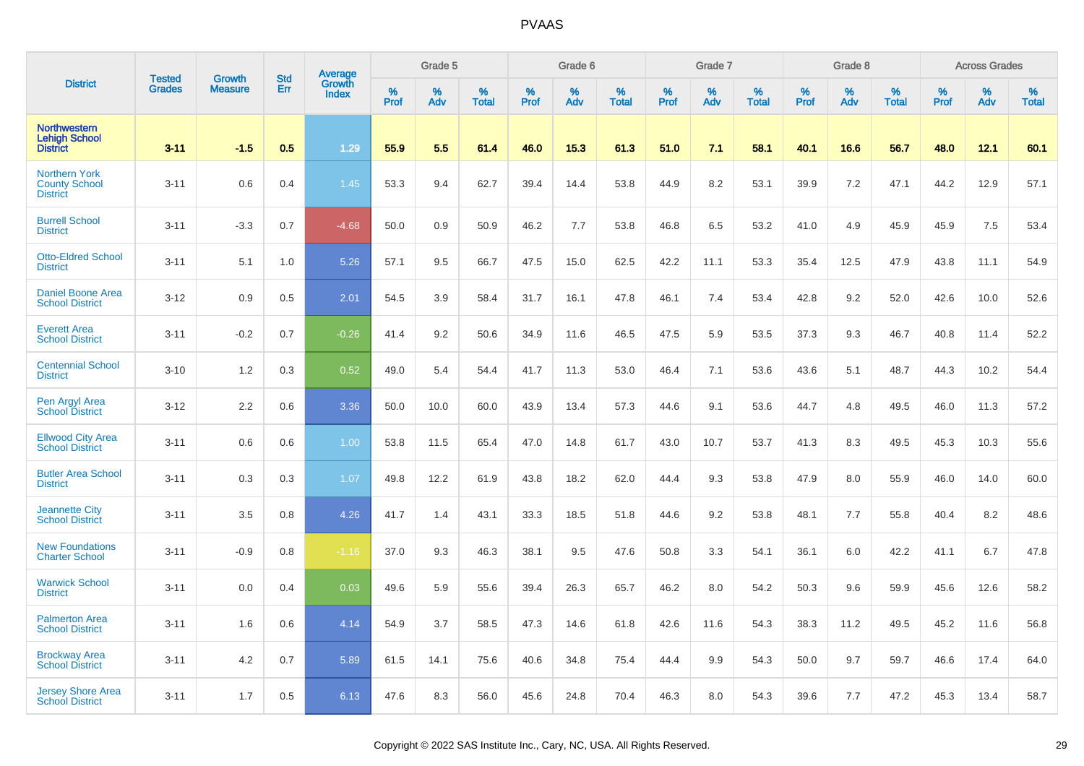|                                                                 | <b>Tested</b> | <b>Growth</b>  | <b>Std</b> | Average                |           | Grade 5  |                   |           | Grade 6  |                   |           | Grade 7  |                   |           | Grade 8  |                   |           | <b>Across Grades</b> |                   |
|-----------------------------------------------------------------|---------------|----------------|------------|------------------------|-----------|----------|-------------------|-----------|----------|-------------------|-----------|----------|-------------------|-----------|----------|-------------------|-----------|----------------------|-------------------|
| <b>District</b>                                                 | <b>Grades</b> | <b>Measure</b> | Err        | Growth<br><b>Index</b> | %<br>Prof | %<br>Adv | %<br><b>Total</b> | %<br>Prof | %<br>Adv | %<br><b>Total</b> | %<br>Prof | %<br>Adv | %<br><b>Total</b> | %<br>Prof | %<br>Adv | %<br><b>Total</b> | %<br>Prof | %<br>Adv             | %<br><b>Total</b> |
| <b>Northwestern</b><br><b>Lehigh School</b><br><b>District</b>  | $3 - 11$      | $-1.5$         | 0.5        | 1.29                   | 55.9      | 5.5      | 61.4              | 46.0      | 15.3     | 61.3              | 51.0      | 7.1      | 58.1              | 40.1      | 16.6     | 56.7              | 48.0      | 12.1                 | 60.1              |
| <b>Northern York</b><br><b>County School</b><br><b>District</b> | $3 - 11$      | 0.6            | 0.4        | 1.45                   | 53.3      | 9.4      | 62.7              | 39.4      | 14.4     | 53.8              | 44.9      | 8.2      | 53.1              | 39.9      | 7.2      | 47.1              | 44.2      | 12.9                 | 57.1              |
| <b>Burrell School</b><br><b>District</b>                        | $3 - 11$      | $-3.3$         | 0.7        | $-4.68$                | 50.0      | 0.9      | 50.9              | 46.2      | 7.7      | 53.8              | 46.8      | 6.5      | 53.2              | 41.0      | 4.9      | 45.9              | 45.9      | 7.5                  | 53.4              |
| <b>Otto-Eldred School</b><br><b>District</b>                    | $3 - 11$      | 5.1            | 1.0        | 5.26                   | 57.1      | 9.5      | 66.7              | 47.5      | 15.0     | 62.5              | 42.2      | 11.1     | 53.3              | 35.4      | 12.5     | 47.9              | 43.8      | 11.1                 | 54.9              |
| <b>Daniel Boone Area</b><br><b>School District</b>              | $3 - 12$      | 0.9            | 0.5        | 2.01                   | 54.5      | 3.9      | 58.4              | 31.7      | 16.1     | 47.8              | 46.1      | 7.4      | 53.4              | 42.8      | 9.2      | 52.0              | 42.6      | 10.0                 | 52.6              |
| <b>Everett Area</b><br><b>School District</b>                   | $3 - 11$      | $-0.2$         | 0.7        | $-0.26$                | 41.4      | 9.2      | 50.6              | 34.9      | 11.6     | 46.5              | 47.5      | 5.9      | 53.5              | 37.3      | 9.3      | 46.7              | 40.8      | 11.4                 | 52.2              |
| <b>Centennial School</b><br><b>District</b>                     | $3 - 10$      | 1.2            | 0.3        | 0.52                   | 49.0      | 5.4      | 54.4              | 41.7      | 11.3     | 53.0              | 46.4      | 7.1      | 53.6              | 43.6      | 5.1      | 48.7              | 44.3      | 10.2                 | 54.4              |
| Pen Argyl Area<br><b>School District</b>                        | $3 - 12$      | 2.2            | 0.6        | 3.36                   | 50.0      | 10.0     | 60.0              | 43.9      | 13.4     | 57.3              | 44.6      | 9.1      | 53.6              | 44.7      | 4.8      | 49.5              | 46.0      | 11.3                 | 57.2              |
| <b>Ellwood City Area</b><br><b>School District</b>              | $3 - 11$      | 0.6            | 0.6        | 1.00                   | 53.8      | 11.5     | 65.4              | 47.0      | 14.8     | 61.7              | 43.0      | 10.7     | 53.7              | 41.3      | 8.3      | 49.5              | 45.3      | 10.3                 | 55.6              |
| <b>Butler Area School</b><br><b>District</b>                    | $3 - 11$      | 0.3            | 0.3        | 1.07                   | 49.8      | 12.2     | 61.9              | 43.8      | 18.2     | 62.0              | 44.4      | 9.3      | 53.8              | 47.9      | 8.0      | 55.9              | 46.0      | 14.0                 | 60.0              |
| <b>Jeannette City</b><br><b>School District</b>                 | $3 - 11$      | 3.5            | 0.8        | 4.26                   | 41.7      | 1.4      | 43.1              | 33.3      | 18.5     | 51.8              | 44.6      | 9.2      | 53.8              | 48.1      | 7.7      | 55.8              | 40.4      | 8.2                  | 48.6              |
| <b>New Foundations</b><br><b>Charter School</b>                 | $3 - 11$      | $-0.9$         | 0.8        | $-1.16$                | 37.0      | 9.3      | 46.3              | 38.1      | 9.5      | 47.6              | 50.8      | 3.3      | 54.1              | 36.1      | 6.0      | 42.2              | 41.1      | 6.7                  | 47.8              |
| <b>Warwick School</b><br><b>District</b>                        | $3 - 11$      | 0.0            | 0.4        | 0.03                   | 49.6      | 5.9      | 55.6              | 39.4      | 26.3     | 65.7              | 46.2      | 8.0      | 54.2              | 50.3      | 9.6      | 59.9              | 45.6      | 12.6                 | 58.2              |
| <b>Palmerton Area</b><br><b>School District</b>                 | $3 - 11$      | 1.6            | 0.6        | 4.14                   | 54.9      | 3.7      | 58.5              | 47.3      | 14.6     | 61.8              | 42.6      | 11.6     | 54.3              | 38.3      | 11.2     | 49.5              | 45.2      | 11.6                 | 56.8              |
| <b>Brockway Area</b><br><b>School District</b>                  | $3 - 11$      | 4.2            | 0.7        | 5.89                   | 61.5      | 14.1     | 75.6              | 40.6      | 34.8     | 75.4              | 44.4      | 9.9      | 54.3              | 50.0      | 9.7      | 59.7              | 46.6      | 17.4                 | 64.0              |
| <b>Jersey Shore Area</b><br><b>School District</b>              | $3 - 11$      | 1.7            | 0.5        | 6.13                   | 47.6      | 8.3      | 56.0              | 45.6      | 24.8     | 70.4              | 46.3      | 8.0      | 54.3              | 39.6      | 7.7      | 47.2              | 45.3      | 13.4                 | 58.7              |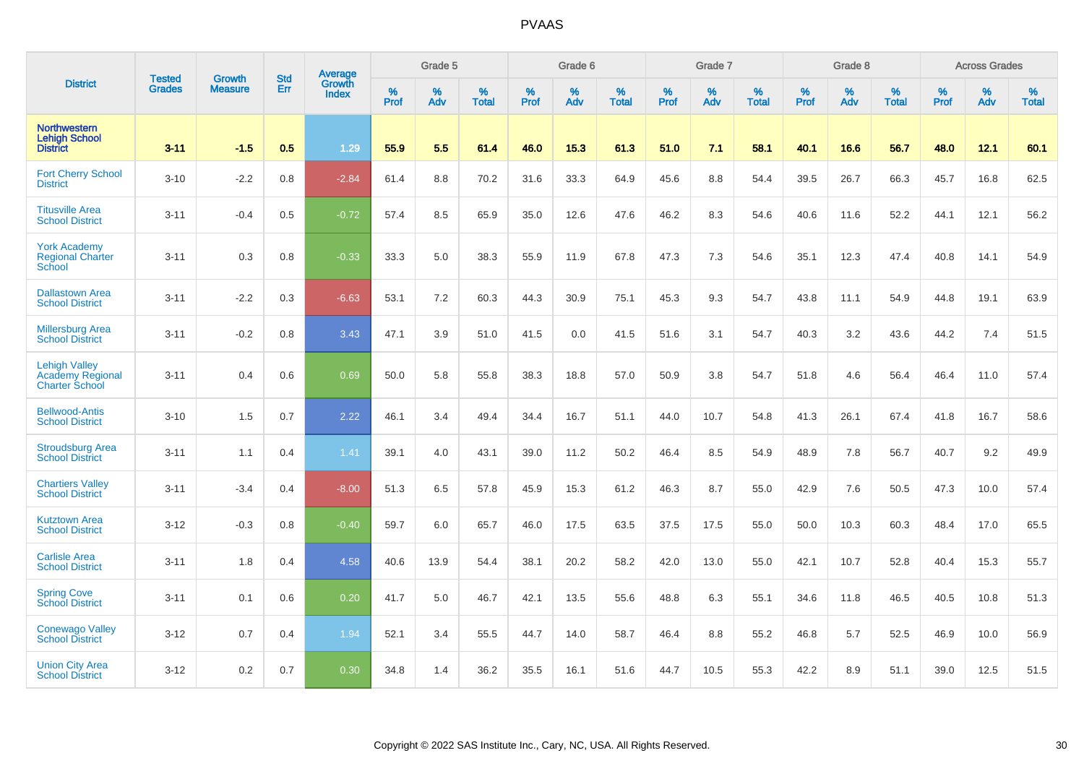|                                                                          | <b>Tested</b> | <b>Growth</b>  | <b>Std</b> | Average                       |           | Grade 5  |                   |           | Grade 6  |                   |           | Grade 7  |                   |           | Grade 8  |                   |           | <b>Across Grades</b> |                   |
|--------------------------------------------------------------------------|---------------|----------------|------------|-------------------------------|-----------|----------|-------------------|-----------|----------|-------------------|-----------|----------|-------------------|-----------|----------|-------------------|-----------|----------------------|-------------------|
| <b>District</b>                                                          | <b>Grades</b> | <b>Measure</b> | Err        | <b>Growth</b><br><b>Index</b> | %<br>Prof | %<br>Adv | %<br><b>Total</b> | %<br>Prof | %<br>Adv | %<br><b>Total</b> | %<br>Prof | %<br>Adv | %<br><b>Total</b> | %<br>Prof | %<br>Adv | %<br><b>Total</b> | %<br>Prof | %<br>Adv             | %<br><b>Total</b> |
| <b>Northwestern</b><br><b>Lehigh School</b><br><b>District</b>           | $3 - 11$      | $-1.5$         | 0.5        | 1.29                          | 55.9      | 5.5      | 61.4              | 46.0      | 15.3     | 61.3              | 51.0      | 7.1      | 58.1              | 40.1      | 16.6     | 56.7              | 48.0      | 12.1                 | 60.1              |
| <b>Fort Cherry School</b><br><b>District</b>                             | $3 - 10$      | $-2.2$         | 0.8        | $-2.84$                       | 61.4      | 8.8      | 70.2              | 31.6      | 33.3     | 64.9              | 45.6      | 8.8      | 54.4              | 39.5      | 26.7     | 66.3              | 45.7      | 16.8                 | 62.5              |
| <b>Titusville Area</b><br><b>School District</b>                         | $3 - 11$      | $-0.4$         | 0.5        | $-0.72$                       | 57.4      | 8.5      | 65.9              | 35.0      | 12.6     | 47.6              | 46.2      | 8.3      | 54.6              | 40.6      | 11.6     | 52.2              | 44.1      | 12.1                 | 56.2              |
| <b>York Academy</b><br><b>Regional Charter</b><br>School                 | $3 - 11$      | 0.3            | 0.8        | $-0.33$                       | 33.3      | 5.0      | 38.3              | 55.9      | 11.9     | 67.8              | 47.3      | 7.3      | 54.6              | 35.1      | 12.3     | 47.4              | 40.8      | 14.1                 | 54.9              |
| <b>Dallastown Area</b><br><b>School District</b>                         | $3 - 11$      | $-2.2$         | 0.3        | $-6.63$                       | 53.1      | 7.2      | 60.3              | 44.3      | 30.9     | 75.1              | 45.3      | 9.3      | 54.7              | 43.8      | 11.1     | 54.9              | 44.8      | 19.1                 | 63.9              |
| <b>Millersburg Area</b><br><b>School District</b>                        | $3 - 11$      | $-0.2$         | 0.8        | 3.43                          | 47.1      | 3.9      | 51.0              | 41.5      | 0.0      | 41.5              | 51.6      | 3.1      | 54.7              | 40.3      | 3.2      | 43.6              | 44.2      | 7.4                  | 51.5              |
| <b>Lehigh Valley</b><br><b>Academy Regional</b><br><b>Charter School</b> | $3 - 11$      | 0.4            | 0.6        | 0.69                          | 50.0      | 5.8      | 55.8              | 38.3      | 18.8     | 57.0              | 50.9      | 3.8      | 54.7              | 51.8      | 4.6      | 56.4              | 46.4      | 11.0                 | 57.4              |
| <b>Bellwood-Antis</b><br><b>School District</b>                          | $3 - 10$      | 1.5            | 0.7        | 2.22                          | 46.1      | 3.4      | 49.4              | 34.4      | 16.7     | 51.1              | 44.0      | 10.7     | 54.8              | 41.3      | 26.1     | 67.4              | 41.8      | 16.7                 | 58.6              |
| <b>Stroudsburg Area</b><br><b>School District</b>                        | $3 - 11$      | 1.1            | 0.4        | 1.41                          | 39.1      | 4.0      | 43.1              | 39.0      | 11.2     | 50.2              | 46.4      | 8.5      | 54.9              | 48.9      | 7.8      | 56.7              | 40.7      | 9.2                  | 49.9              |
| <b>Chartiers Valley</b><br><b>School District</b>                        | $3 - 11$      | $-3.4$         | 0.4        | $-8.00$                       | 51.3      | 6.5      | 57.8              | 45.9      | 15.3     | 61.2              | 46.3      | 8.7      | 55.0              | 42.9      | 7.6      | 50.5              | 47.3      | 10.0                 | 57.4              |
| <b>Kutztown Area</b><br><b>School District</b>                           | $3 - 12$      | $-0.3$         | 0.8        | $-0.40$                       | 59.7      | 6.0      | 65.7              | 46.0      | 17.5     | 63.5              | 37.5      | 17.5     | 55.0              | 50.0      | 10.3     | 60.3              | 48.4      | 17.0                 | 65.5              |
| <b>Carlisle Area</b><br><b>School District</b>                           | $3 - 11$      | 1.8            | 0.4        | 4.58                          | 40.6      | 13.9     | 54.4              | 38.1      | 20.2     | 58.2              | 42.0      | 13.0     | 55.0              | 42.1      | 10.7     | 52.8              | 40.4      | 15.3                 | 55.7              |
| <b>Spring Cove</b><br><b>School District</b>                             | $3 - 11$      | 0.1            | 0.6        | 0.20                          | 41.7      | 5.0      | 46.7              | 42.1      | 13.5     | 55.6              | 48.8      | 6.3      | 55.1              | 34.6      | 11.8     | 46.5              | 40.5      | 10.8                 | 51.3              |
| <b>Conewago Valley</b><br><b>School District</b>                         | $3 - 12$      | 0.7            | 0.4        | 1.94                          | 52.1      | 3.4      | 55.5              | 44.7      | 14.0     | 58.7              | 46.4      | 8.8      | 55.2              | 46.8      | 5.7      | 52.5              | 46.9      | 10.0                 | 56.9              |
| <b>Union City Area</b><br><b>School District</b>                         | $3 - 12$      | 0.2            | 0.7        | 0.30                          | 34.8      | 1.4      | 36.2              | 35.5      | 16.1     | 51.6              | 44.7      | 10.5     | 55.3              | 42.2      | 8.9      | 51.1              | 39.0      | 12.5                 | 51.5              |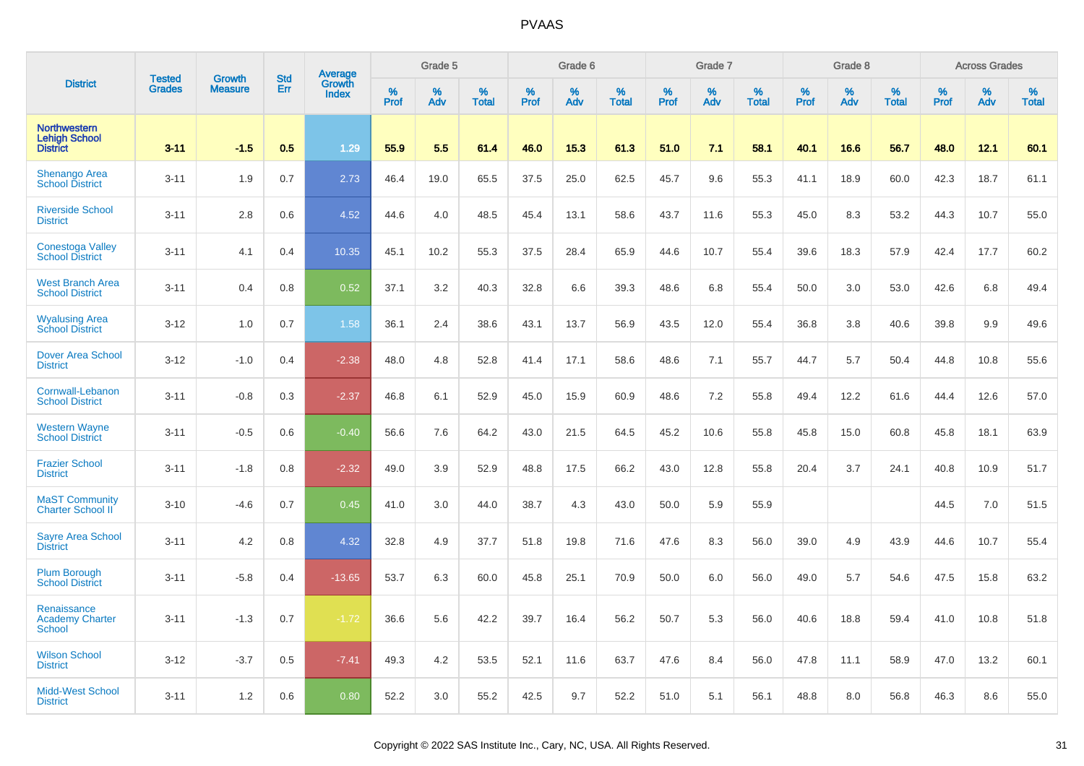|                                                                | <b>Tested</b> | <b>Growth</b>  | <b>Std</b> |                                   |                     | Grade 5  |                   |           | Grade 6  |                   |              | Grade 7  |                   |           | Grade 8  |                   |                  | <b>Across Grades</b> |                   |
|----------------------------------------------------------------|---------------|----------------|------------|-----------------------------------|---------------------|----------|-------------------|-----------|----------|-------------------|--------------|----------|-------------------|-----------|----------|-------------------|------------------|----------------------|-------------------|
| <b>District</b>                                                | <b>Grades</b> | <b>Measure</b> | Err        | Average<br>Growth<br><b>Index</b> | $\%$<br><b>Prof</b> | %<br>Adv | %<br><b>Total</b> | %<br>Prof | %<br>Adv | %<br><b>Total</b> | $\%$<br>Prof | %<br>Adv | %<br><b>Total</b> | %<br>Prof | %<br>Adv | %<br><b>Total</b> | %<br><b>Prof</b> | %<br>Adv             | %<br><b>Total</b> |
| <b>Northwestern</b><br><b>Lehigh School</b><br><b>District</b> | $3 - 11$      | $-1.5$         | 0.5        | 1.29                              | 55.9                | 5.5      | 61.4              | 46.0      | 15.3     | 61.3              | 51.0         | 7.1      | 58.1              | 40.1      | 16.6     | 56.7              | 48.0             | 12.1                 | 60.1              |
| <b>Shenango Area</b><br><b>School District</b>                 | $3 - 11$      | 1.9            | 0.7        | 2.73                              | 46.4                | 19.0     | 65.5              | 37.5      | 25.0     | 62.5              | 45.7         | 9.6      | 55.3              | 41.1      | 18.9     | 60.0              | 42.3             | 18.7                 | 61.1              |
| <b>Riverside School</b><br><b>District</b>                     | $3 - 11$      | 2.8            | 0.6        | 4.52                              | 44.6                | 4.0      | 48.5              | 45.4      | 13.1     | 58.6              | 43.7         | 11.6     | 55.3              | 45.0      | 8.3      | 53.2              | 44.3             | 10.7                 | 55.0              |
| <b>Conestoga Valley</b><br><b>School District</b>              | $3 - 11$      | 4.1            | 0.4        | 10.35                             | 45.1                | 10.2     | 55.3              | 37.5      | 28.4     | 65.9              | 44.6         | 10.7     | 55.4              | 39.6      | 18.3     | 57.9              | 42.4             | 17.7                 | 60.2              |
| <b>West Branch Area</b><br><b>School District</b>              | $3 - 11$      | 0.4            | 0.8        | 0.52                              | 37.1                | 3.2      | 40.3              | 32.8      | 6.6      | 39.3              | 48.6         | 6.8      | 55.4              | 50.0      | 3.0      | 53.0              | 42.6             | 6.8                  | 49.4              |
| <b>Wyalusing Area</b><br><b>School District</b>                | $3-12$        | 1.0            | 0.7        | 1.58                              | 36.1                | 2.4      | 38.6              | 43.1      | 13.7     | 56.9              | 43.5         | 12.0     | 55.4              | 36.8      | 3.8      | 40.6              | 39.8             | 9.9                  | 49.6              |
| <b>Dover Area School</b><br><b>District</b>                    | $3 - 12$      | $-1.0$         | 0.4        | $-2.38$                           | 48.0                | 4.8      | 52.8              | 41.4      | 17.1     | 58.6              | 48.6         | 7.1      | 55.7              | 44.7      | 5.7      | 50.4              | 44.8             | 10.8                 | 55.6              |
| Cornwall-Lebanon<br><b>School District</b>                     | $3 - 11$      | $-0.8$         | 0.3        | $-2.37$                           | 46.8                | 6.1      | 52.9              | 45.0      | 15.9     | 60.9              | 48.6         | 7.2      | 55.8              | 49.4      | 12.2     | 61.6              | 44.4             | 12.6                 | 57.0              |
| <b>Western Wayne</b><br><b>School District</b>                 | $3 - 11$      | $-0.5$         | 0.6        | $-0.40$                           | 56.6                | 7.6      | 64.2              | 43.0      | 21.5     | 64.5              | 45.2         | 10.6     | 55.8              | 45.8      | 15.0     | 60.8              | 45.8             | 18.1                 | 63.9              |
| <b>Frazier School</b><br><b>District</b>                       | $3 - 11$      | $-1.8$         | 0.8        | $-2.32$                           | 49.0                | 3.9      | 52.9              | 48.8      | 17.5     | 66.2              | 43.0         | 12.8     | 55.8              | 20.4      | 3.7      | 24.1              | 40.8             | 10.9                 | 51.7              |
| <b>MaST Community</b><br><b>Charter School II</b>              | $3 - 10$      | $-4.6$         | 0.7        | 0.45                              | 41.0                | 3.0      | 44.0              | 38.7      | 4.3      | 43.0              | 50.0         | 5.9      | 55.9              |           |          |                   | 44.5             | 7.0                  | 51.5              |
| <b>Sayre Area School</b><br><b>District</b>                    | $3 - 11$      | 4.2            | 0.8        | 4.32                              | 32.8                | 4.9      | 37.7              | 51.8      | 19.8     | 71.6              | 47.6         | 8.3      | 56.0              | 39.0      | 4.9      | 43.9              | 44.6             | 10.7                 | 55.4              |
| <b>Plum Borough</b><br><b>School District</b>                  | $3 - 11$      | $-5.8$         | 0.4        | $-13.65$                          | 53.7                | 6.3      | 60.0              | 45.8      | 25.1     | 70.9              | 50.0         | 6.0      | 56.0              | 49.0      | 5.7      | 54.6              | 47.5             | 15.8                 | 63.2              |
| Renaissance<br><b>Academy Charter</b><br><b>School</b>         | $3 - 11$      | $-1.3$         | 0.7        | $-1.72$                           | 36.6                | 5.6      | 42.2              | 39.7      | 16.4     | 56.2              | 50.7         | 5.3      | 56.0              | 40.6      | 18.8     | 59.4              | 41.0             | 10.8                 | 51.8              |
| <b>Wilson School</b><br><b>District</b>                        | $3 - 12$      | $-3.7$         | 0.5        | $-7.41$                           | 49.3                | 4.2      | 53.5              | 52.1      | 11.6     | 63.7              | 47.6         | 8.4      | 56.0              | 47.8      | 11.1     | 58.9              | 47.0             | 13.2                 | 60.1              |
| <b>Midd-West School</b><br><b>District</b>                     | $3 - 11$      | 1.2            | 0.6        | 0.80                              | 52.2                | 3.0      | 55.2              | 42.5      | 9.7      | 52.2              | 51.0         | 5.1      | 56.1              | 48.8      | 8.0      | 56.8              | 46.3             | 8.6                  | 55.0              |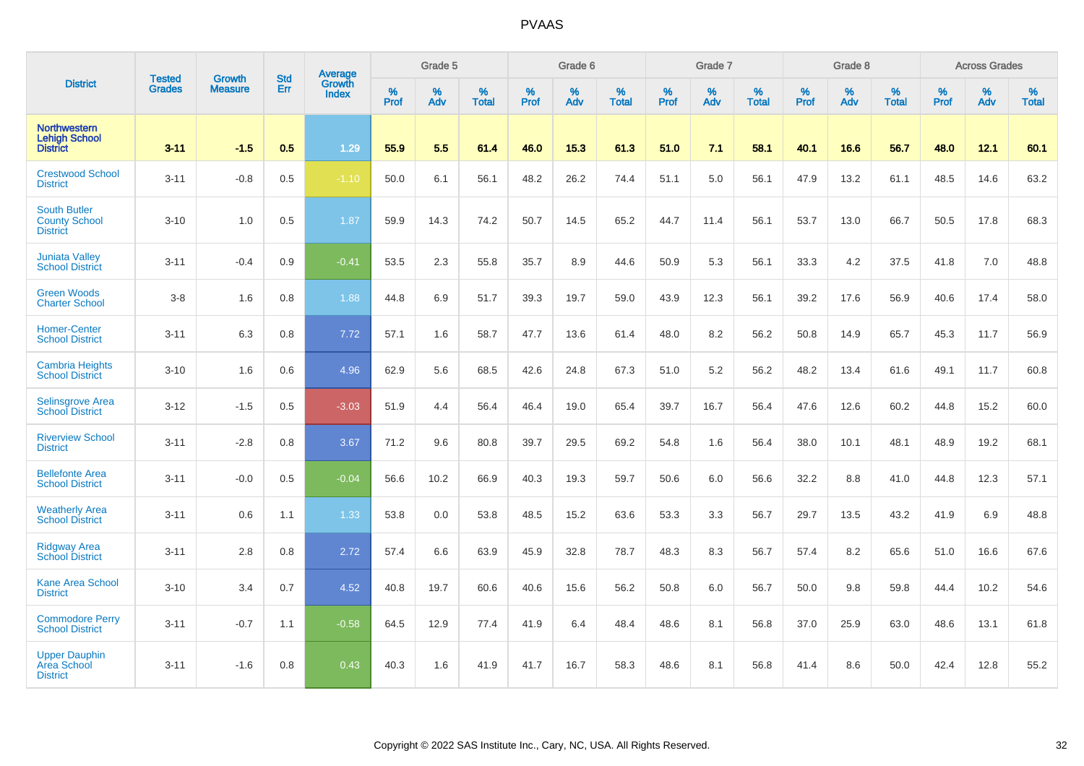|                                                                |                                |                                 | <b>Std</b> | Average                       |           | Grade 5  |                   |           | Grade 6  |                   |           | Grade 7  |                   |           | Grade 8  |                   |           | <b>Across Grades</b> |                   |
|----------------------------------------------------------------|--------------------------------|---------------------------------|------------|-------------------------------|-----------|----------|-------------------|-----------|----------|-------------------|-----------|----------|-------------------|-----------|----------|-------------------|-----------|----------------------|-------------------|
| <b>District</b>                                                | <b>Tested</b><br><b>Grades</b> | <b>Growth</b><br><b>Measure</b> | Err        | <b>Growth</b><br><b>Index</b> | %<br>Prof | %<br>Adv | %<br><b>Total</b> | %<br>Prof | %<br>Adv | %<br><b>Total</b> | %<br>Prof | %<br>Adv | %<br><b>Total</b> | %<br>Prof | %<br>Adv | %<br><b>Total</b> | %<br>Prof | %<br>Adv             | %<br><b>Total</b> |
| <b>Northwestern</b><br><b>Lehigh School</b><br><b>District</b> | $3 - 11$                       | $-1.5$                          | 0.5        | 1.29                          | 55.9      | 5.5      | 61.4              | 46.0      | 15.3     | 61.3              | 51.0      | 7.1      | 58.1              | 40.1      | 16.6     | 56.7              | 48.0      | 12.1                 | 60.1              |
| <b>Crestwood School</b><br><b>District</b>                     | $3 - 11$                       | $-0.8$                          | 0.5        | $-1.10$                       | 50.0      | 6.1      | 56.1              | 48.2      | 26.2     | 74.4              | 51.1      | 5.0      | 56.1              | 47.9      | 13.2     | 61.1              | 48.5      | 14.6                 | 63.2              |
| <b>South Butler</b><br><b>County School</b><br><b>District</b> | $3 - 10$                       | 1.0                             | 0.5        | 1.87                          | 59.9      | 14.3     | 74.2              | 50.7      | 14.5     | 65.2              | 44.7      | 11.4     | 56.1              | 53.7      | 13.0     | 66.7              | 50.5      | 17.8                 | 68.3              |
| <b>Juniata Valley</b><br><b>School District</b>                | $3 - 11$                       | $-0.4$                          | 0.9        | $-0.41$                       | 53.5      | 2.3      | 55.8              | 35.7      | 8.9      | 44.6              | 50.9      | 5.3      | 56.1              | 33.3      | 4.2      | 37.5              | 41.8      | 7.0                  | 48.8              |
| <b>Green Woods</b><br><b>Charter School</b>                    | $3-8$                          | 1.6                             | 0.8        | 1.88                          | 44.8      | 6.9      | 51.7              | 39.3      | 19.7     | 59.0              | 43.9      | 12.3     | 56.1              | 39.2      | 17.6     | 56.9              | 40.6      | 17.4                 | 58.0              |
| <b>Homer-Center</b><br><b>School District</b>                  | $3 - 11$                       | 6.3                             | 0.8        | 7.72                          | 57.1      | 1.6      | 58.7              | 47.7      | 13.6     | 61.4              | 48.0      | 8.2      | 56.2              | 50.8      | 14.9     | 65.7              | 45.3      | 11.7                 | 56.9              |
| <b>Cambria Heights</b><br><b>School District</b>               | $3 - 10$                       | 1.6                             | 0.6        | 4.96                          | 62.9      | 5.6      | 68.5              | 42.6      | 24.8     | 67.3              | 51.0      | 5.2      | 56.2              | 48.2      | 13.4     | 61.6              | 49.1      | 11.7                 | 60.8              |
| <b>Selinsgrove Area</b><br><b>School District</b>              | $3 - 12$                       | $-1.5$                          | 0.5        | $-3.03$                       | 51.9      | 4.4      | 56.4              | 46.4      | 19.0     | 65.4              | 39.7      | 16.7     | 56.4              | 47.6      | 12.6     | 60.2              | 44.8      | 15.2                 | 60.0              |
| <b>Riverview School</b><br><b>District</b>                     | $3 - 11$                       | $-2.8$                          | 0.8        | 3.67                          | 71.2      | 9.6      | 80.8              | 39.7      | 29.5     | 69.2              | 54.8      | 1.6      | 56.4              | 38.0      | 10.1     | 48.1              | 48.9      | 19.2                 | 68.1              |
| <b>Bellefonte Area</b><br><b>School District</b>               | $3 - 11$                       | $-0.0$                          | 0.5        | $-0.04$                       | 56.6      | 10.2     | 66.9              | 40.3      | 19.3     | 59.7              | 50.6      | 6.0      | 56.6              | 32.2      | 8.8      | 41.0              | 44.8      | 12.3                 | 57.1              |
| <b>Weatherly Area</b><br><b>School District</b>                | $3 - 11$                       | 0.6                             | 1.1        | 1.33                          | 53.8      | 0.0      | 53.8              | 48.5      | 15.2     | 63.6              | 53.3      | 3.3      | 56.7              | 29.7      | 13.5     | 43.2              | 41.9      | 6.9                  | 48.8              |
| <b>Ridgway Area</b><br><b>School District</b>                  | $3 - 11$                       | 2.8                             | 0.8        | 2.72                          | 57.4      | 6.6      | 63.9              | 45.9      | 32.8     | 78.7              | 48.3      | 8.3      | 56.7              | 57.4      | 8.2      | 65.6              | 51.0      | 16.6                 | 67.6              |
| <b>Kane Area School</b><br><b>District</b>                     | $3 - 10$                       | 3.4                             | 0.7        | 4.52                          | 40.8      | 19.7     | 60.6              | 40.6      | 15.6     | 56.2              | 50.8      | 6.0      | 56.7              | 50.0      | 9.8      | 59.8              | 44.4      | 10.2                 | 54.6              |
| <b>Commodore Perry</b><br><b>School District</b>               | $3 - 11$                       | $-0.7$                          | 1.1        | $-0.58$                       | 64.5      | 12.9     | 77.4              | 41.9      | 6.4      | 48.4              | 48.6      | 8.1      | 56.8              | 37.0      | 25.9     | 63.0              | 48.6      | 13.1                 | 61.8              |
| <b>Upper Dauphin</b><br><b>Area School</b><br><b>District</b>  | $3 - 11$                       | $-1.6$                          | 0.8        | 0.43                          | 40.3      | 1.6      | 41.9              | 41.7      | 16.7     | 58.3              | 48.6      | 8.1      | 56.8              | 41.4      | 8.6      | 50.0              | 42.4      | 12.8                 | 55.2              |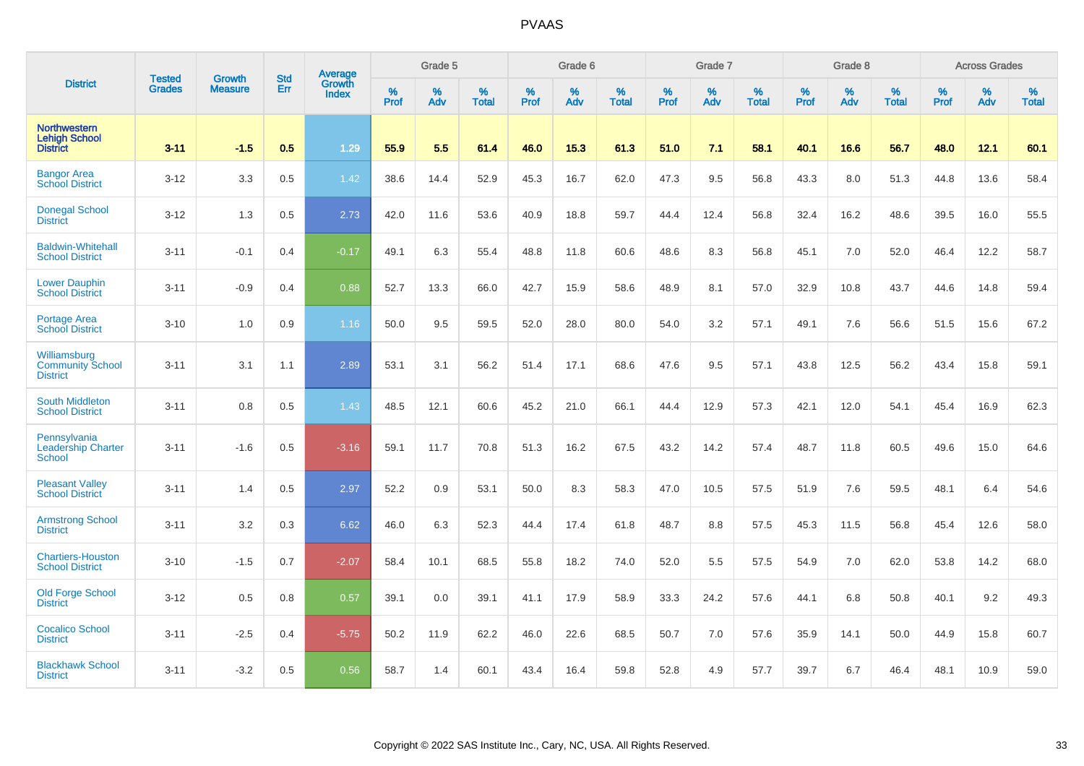|                                                                |                                |                                 | <b>Std</b> | Average                       |              | Grade 5  |                   |           | Grade 6  |                   |           | Grade 7  |                   |           | Grade 8  |                   |           | <b>Across Grades</b> |                   |
|----------------------------------------------------------------|--------------------------------|---------------------------------|------------|-------------------------------|--------------|----------|-------------------|-----------|----------|-------------------|-----------|----------|-------------------|-----------|----------|-------------------|-----------|----------------------|-------------------|
| <b>District</b>                                                | <b>Tested</b><br><b>Grades</b> | <b>Growth</b><br><b>Measure</b> | Err        | <b>Growth</b><br><b>Index</b> | $\%$<br>Prof | %<br>Adv | %<br><b>Total</b> | %<br>Prof | %<br>Adv | %<br><b>Total</b> | %<br>Prof | %<br>Adv | %<br><b>Total</b> | %<br>Prof | %<br>Adv | %<br><b>Total</b> | %<br>Prof | %<br>Adv             | %<br><b>Total</b> |
| <b>Northwestern</b><br><b>Lehigh School</b><br><b>District</b> | $3 - 11$                       | $-1.5$                          | 0.5        | 1.29                          | 55.9         | 5.5      | 61.4              | 46.0      | 15.3     | 61.3              | 51.0      | 7.1      | 58.1              | 40.1      | 16.6     | 56.7              | 48.0      | 12.1                 | 60.1              |
| <b>Bangor Area</b><br><b>School District</b>                   | $3 - 12$                       | 3.3                             | 0.5        | 1.42                          | 38.6         | 14.4     | 52.9              | 45.3      | 16.7     | 62.0              | 47.3      | 9.5      | 56.8              | 43.3      | 8.0      | 51.3              | 44.8      | 13.6                 | 58.4              |
| <b>Donegal School</b><br><b>District</b>                       | $3 - 12$                       | 1.3                             | 0.5        | 2.73                          | 42.0         | 11.6     | 53.6              | 40.9      | 18.8     | 59.7              | 44.4      | 12.4     | 56.8              | 32.4      | 16.2     | 48.6              | 39.5      | 16.0                 | 55.5              |
| <b>Baldwin-Whitehall</b><br><b>School District</b>             | $3 - 11$                       | $-0.1$                          | 0.4        | $-0.17$                       | 49.1         | 6.3      | 55.4              | 48.8      | 11.8     | 60.6              | 48.6      | 8.3      | 56.8              | 45.1      | 7.0      | 52.0              | 46.4      | 12.2                 | 58.7              |
| <b>Lower Dauphin</b><br><b>School District</b>                 | $3 - 11$                       | $-0.9$                          | 0.4        | 0.88                          | 52.7         | 13.3     | 66.0              | 42.7      | 15.9     | 58.6              | 48.9      | 8.1      | 57.0              | 32.9      | 10.8     | 43.7              | 44.6      | 14.8                 | 59.4              |
| Portage Area<br><b>School District</b>                         | $3 - 10$                       | 1.0                             | 0.9        | 1.16                          | 50.0         | 9.5      | 59.5              | 52.0      | 28.0     | 80.0              | 54.0      | 3.2      | 57.1              | 49.1      | 7.6      | 56.6              | 51.5      | 15.6                 | 67.2              |
| Williamsburg<br><b>Community School</b><br><b>District</b>     | $3 - 11$                       | 3.1                             | 1.1        | 2.89                          | 53.1         | 3.1      | 56.2              | 51.4      | 17.1     | 68.6              | 47.6      | 9.5      | 57.1              | 43.8      | 12.5     | 56.2              | 43.4      | 15.8                 | 59.1              |
| <b>South Middleton</b><br><b>School District</b>               | $3 - 11$                       | 0.8                             | 0.5        | 1.43                          | 48.5         | 12.1     | 60.6              | 45.2      | 21.0     | 66.1              | 44.4      | 12.9     | 57.3              | 42.1      | 12.0     | 54.1              | 45.4      | 16.9                 | 62.3              |
| Pennsylvania<br><b>Leadership Charter</b><br><b>School</b>     | $3 - 11$                       | $-1.6$                          | 0.5        | $-3.16$                       | 59.1         | 11.7     | 70.8              | 51.3      | 16.2     | 67.5              | 43.2      | 14.2     | 57.4              | 48.7      | 11.8     | 60.5              | 49.6      | 15.0                 | 64.6              |
| <b>Pleasant Valley</b><br><b>School District</b>               | $3 - 11$                       | 1.4                             | 0.5        | 2.97                          | 52.2         | 0.9      | 53.1              | 50.0      | 8.3      | 58.3              | 47.0      | 10.5     | 57.5              | 51.9      | 7.6      | 59.5              | 48.1      | 6.4                  | 54.6              |
| <b>Armstrong School</b><br><b>District</b>                     | $3 - 11$                       | 3.2                             | 0.3        | 6.62                          | 46.0         | 6.3      | 52.3              | 44.4      | 17.4     | 61.8              | 48.7      | 8.8      | 57.5              | 45.3      | 11.5     | 56.8              | 45.4      | 12.6                 | 58.0              |
| <b>Chartiers-Houston</b><br><b>School District</b>             | $3 - 10$                       | $-1.5$                          | 0.7        | $-2.07$                       | 58.4         | 10.1     | 68.5              | 55.8      | 18.2     | 74.0              | 52.0      | 5.5      | 57.5              | 54.9      | 7.0      | 62.0              | 53.8      | 14.2                 | 68.0              |
| <b>Old Forge School</b><br><b>District</b>                     | $3 - 12$                       | 0.5                             | 0.8        | 0.57                          | 39.1         | 0.0      | 39.1              | 41.1      | 17.9     | 58.9              | 33.3      | 24.2     | 57.6              | 44.1      | 6.8      | 50.8              | 40.1      | 9.2                  | 49.3              |
| <b>Cocalico School</b><br><b>District</b>                      | $3 - 11$                       | $-2.5$                          | 0.4        | $-5.75$                       | 50.2         | 11.9     | 62.2              | 46.0      | 22.6     | 68.5              | 50.7      | 7.0      | 57.6              | 35.9      | 14.1     | 50.0              | 44.9      | 15.8                 | 60.7              |
| <b>Blackhawk School</b><br><b>District</b>                     | $3 - 11$                       | $-3.2$                          | 0.5        | 0.56                          | 58.7         | 1.4      | 60.1              | 43.4      | 16.4     | 59.8              | 52.8      | 4.9      | 57.7              | 39.7      | 6.7      | 46.4              | 48.1      | 10.9                 | 59.0              |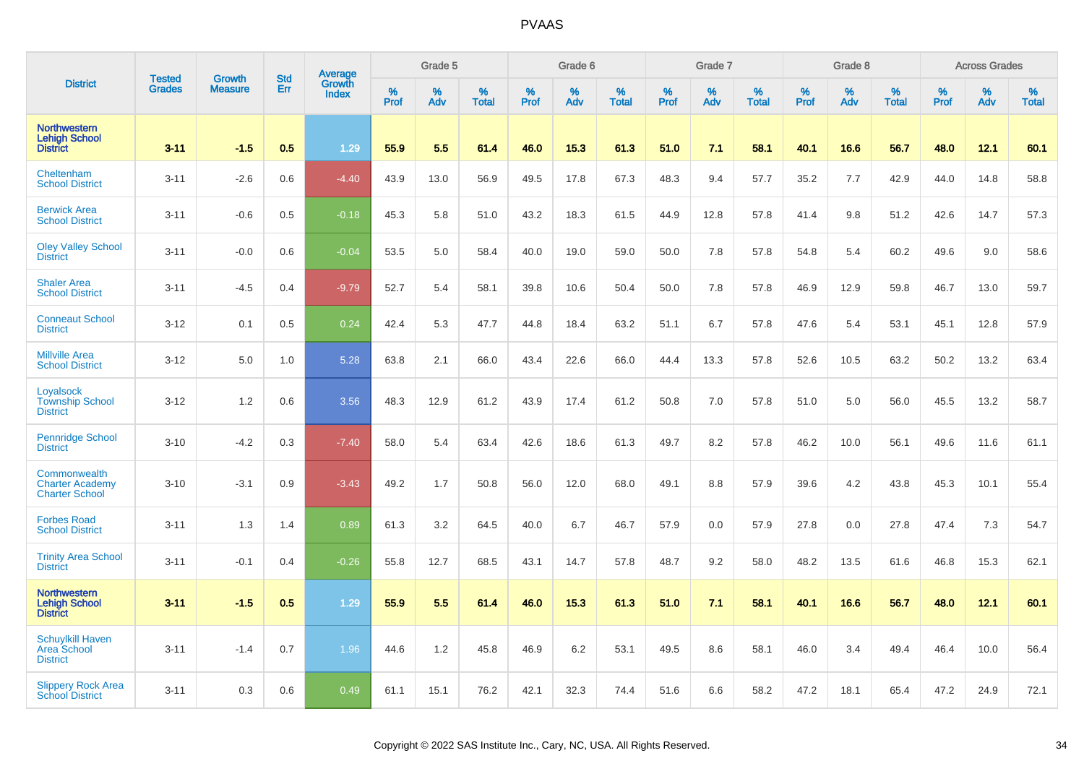|                                                                  | <b>Tested</b> | Growth         | <b>Std</b> | <b>Average</b><br>Growth |              | Grade 5  |                   |                  | Grade 6  |                   |           | Grade 7  |                   |           | Grade 8  |                   |           | <b>Across Grades</b> |                   |
|------------------------------------------------------------------|---------------|----------------|------------|--------------------------|--------------|----------|-------------------|------------------|----------|-------------------|-----------|----------|-------------------|-----------|----------|-------------------|-----------|----------------------|-------------------|
| <b>District</b>                                                  | <b>Grades</b> | <b>Measure</b> | Err        | <b>Index</b>             | $\%$<br>Prof | %<br>Adv | %<br><b>Total</b> | %<br><b>Prof</b> | %<br>Adv | %<br><b>Total</b> | %<br>Prof | %<br>Adv | %<br><b>Total</b> | %<br>Prof | %<br>Adv | %<br><b>Total</b> | %<br>Prof | %<br>Adv             | %<br><b>Total</b> |
| <b>Northwestern</b><br><b>Lehigh School</b><br><b>District</b>   | $3 - 11$      | $-1.5$         | 0.5        | 1.29                     | 55.9         | 5.5      | 61.4              | 46.0             | 15.3     | 61.3              | 51.0      | 7.1      | 58.1              | 40.1      | 16.6     | 56.7              | 48.0      | 12.1                 | 60.1              |
| Cheltenham<br><b>School District</b>                             | $3 - 11$      | $-2.6$         | 0.6        | $-4.40$                  | 43.9         | 13.0     | 56.9              | 49.5             | 17.8     | 67.3              | 48.3      | 9.4      | 57.7              | 35.2      | 7.7      | 42.9              | 44.0      | 14.8                 | 58.8              |
| <b>Berwick Area</b><br><b>School District</b>                    | $3 - 11$      | $-0.6$         | 0.5        | $-0.18$                  | 45.3         | 5.8      | 51.0              | 43.2             | 18.3     | 61.5              | 44.9      | 12.8     | 57.8              | 41.4      | 9.8      | 51.2              | 42.6      | 14.7                 | 57.3              |
| <b>Oley Valley School</b><br><b>District</b>                     | $3 - 11$      | $-0.0$         | 0.6        | $-0.04$                  | 53.5         | 5.0      | 58.4              | 40.0             | 19.0     | 59.0              | 50.0      | 7.8      | 57.8              | 54.8      | 5.4      | 60.2              | 49.6      | 9.0                  | 58.6              |
| <b>Shaler Area</b><br><b>School District</b>                     | $3 - 11$      | $-4.5$         | 0.4        | $-9.79$                  | 52.7         | 5.4      | 58.1              | 39.8             | 10.6     | 50.4              | 50.0      | 7.8      | 57.8              | 46.9      | 12.9     | 59.8              | 46.7      | 13.0                 | 59.7              |
| <b>Conneaut School</b><br><b>District</b>                        | $3 - 12$      | 0.1            | 0.5        | 0.24                     | 42.4         | 5.3      | 47.7              | 44.8             | 18.4     | 63.2              | 51.1      | 6.7      | 57.8              | 47.6      | 5.4      | 53.1              | 45.1      | 12.8                 | 57.9              |
| <b>Millville Area</b><br><b>School District</b>                  | $3 - 12$      | 5.0            | 1.0        | 5.28                     | 63.8         | 2.1      | 66.0              | 43.4             | 22.6     | 66.0              | 44.4      | 13.3     | 57.8              | 52.6      | 10.5     | 63.2              | 50.2      | 13.2                 | 63.4              |
| Loyalsock<br><b>Township School</b><br><b>District</b>           | $3 - 12$      | 1.2            | 0.6        | 3.56                     | 48.3         | 12.9     | 61.2              | 43.9             | 17.4     | 61.2              | 50.8      | 7.0      | 57.8              | 51.0      | 5.0      | 56.0              | 45.5      | 13.2                 | 58.7              |
| <b>Pennridge School</b><br><b>District</b>                       | $3 - 10$      | $-4.2$         | 0.3        | $-7.40$                  | 58.0         | 5.4      | 63.4              | 42.6             | 18.6     | 61.3              | 49.7      | 8.2      | 57.8              | 46.2      | 10.0     | 56.1              | 49.6      | 11.6                 | 61.1              |
| Commonwealth<br><b>Charter Academy</b><br><b>Charter School</b>  | $3 - 10$      | $-3.1$         | 0.9        | $-3.43$                  | 49.2         | 1.7      | 50.8              | 56.0             | 12.0     | 68.0              | 49.1      | 8.8      | 57.9              | 39.6      | 4.2      | 43.8              | 45.3      | 10.1                 | 55.4              |
| <b>Forbes Road</b><br><b>School District</b>                     | $3 - 11$      | 1.3            | 1.4        | 0.89                     | 61.3         | 3.2      | 64.5              | 40.0             | 6.7      | 46.7              | 57.9      | 0.0      | 57.9              | 27.8      | 0.0      | 27.8              | 47.4      | 7.3                  | 54.7              |
| <b>Trinity Area School</b><br><b>District</b>                    | $3 - 11$      | $-0.1$         | 0.4        | $-0.26$                  | 55.8         | 12.7     | 68.5              | 43.1             | 14.7     | 57.8              | 48.7      | 9.2      | 58.0              | 48.2      | 13.5     | 61.6              | 46.8      | 15.3                 | 62.1              |
| Northwestern<br><b>Lehigh School</b><br><b>District</b>          | $3 - 11$      | $-1.5$         | 0.5        | 1.29                     | 55.9         | 5.5      | 61.4              | 46.0             | 15.3     | 61.3              | 51.0      | 7.1      | 58.1              | 40.1      | 16.6     | 56.7              | 48.0      | 12.1                 | 60.1              |
| <b>Schuylkill Haven</b><br><b>Area School</b><br><b>District</b> | $3 - 11$      | $-1.4$         | 0.7        | 1.96                     | 44.6         | 1.2      | 45.8              | 46.9             | 6.2      | 53.1              | 49.5      | 8.6      | 58.1              | 46.0      | 3.4      | 49.4              | 46.4      | 10.0                 | 56.4              |
| <b>Slippery Rock Area</b><br><b>School District</b>              | $3 - 11$      | 0.3            | 0.6        | 0.49                     | 61.1         | 15.1     | 76.2              | 42.1             | 32.3     | 74.4              | 51.6      | 6.6      | 58.2              | 47.2      | 18.1     | 65.4              | 47.2      | 24.9                 | 72.1              |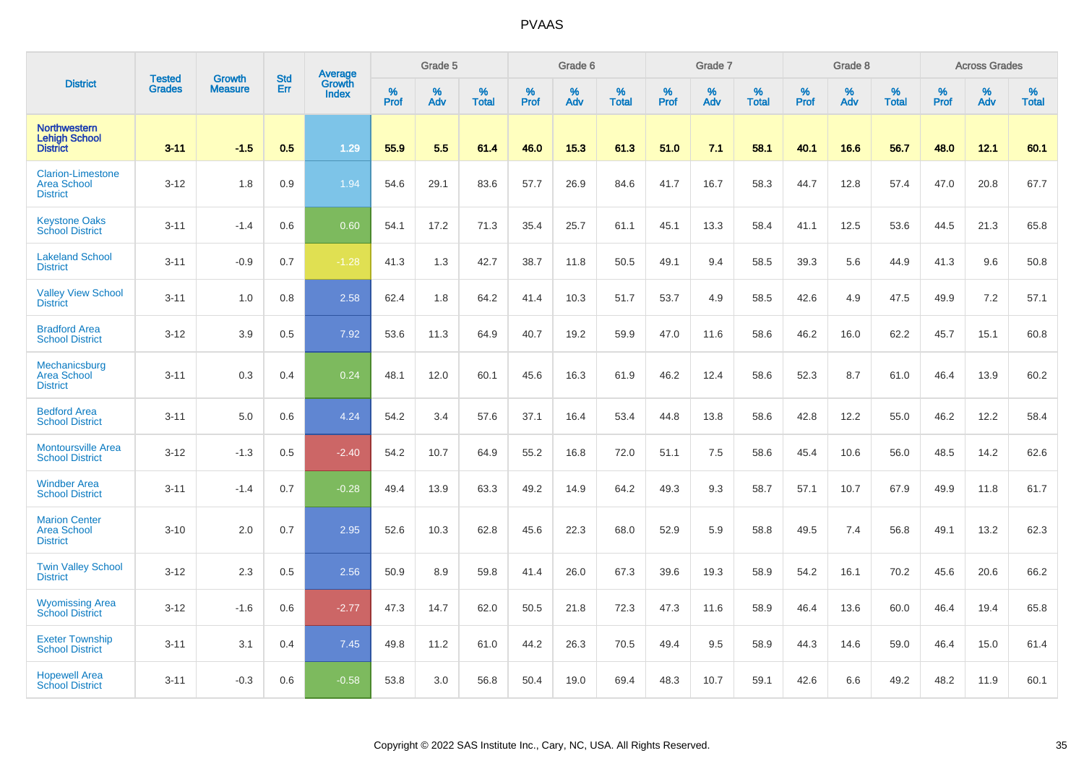|                                                                   | <b>Tested</b> | <b>Growth</b>  | <b>Std</b> |                                          |                     | Grade 5  |                   |           | Grade 6  |                   |           | Grade 7  |                   |           | Grade 8  |                   |                  | <b>Across Grades</b> |                   |
|-------------------------------------------------------------------|---------------|----------------|------------|------------------------------------------|---------------------|----------|-------------------|-----------|----------|-------------------|-----------|----------|-------------------|-----------|----------|-------------------|------------------|----------------------|-------------------|
| <b>District</b>                                                   | <b>Grades</b> | <b>Measure</b> | Err        | <b>Average</b><br>Growth<br><b>Index</b> | $\%$<br><b>Prof</b> | %<br>Adv | %<br><b>Total</b> | %<br>Prof | %<br>Adv | %<br><b>Total</b> | %<br>Prof | %<br>Adv | %<br><b>Total</b> | %<br>Prof | %<br>Adv | %<br><b>Total</b> | %<br><b>Prof</b> | %<br>Adv             | %<br><b>Total</b> |
| <b>Northwestern</b><br><b>Lehigh School</b><br><b>District</b>    | $3 - 11$      | $-1.5$         | 0.5        | 1.29                                     | 55.9                | 5.5      | 61.4              | 46.0      | 15.3     | 61.3              | 51.0      | 7.1      | 58.1              | 40.1      | 16.6     | 56.7              | 48.0             | 12.1                 | 60.1              |
| <b>Clarion-Limestone</b><br><b>Area School</b><br><b>District</b> | $3 - 12$      | 1.8            | 0.9        | 1.94                                     | 54.6                | 29.1     | 83.6              | 57.7      | 26.9     | 84.6              | 41.7      | 16.7     | 58.3              | 44.7      | 12.8     | 57.4              | 47.0             | 20.8                 | 67.7              |
| <b>Keystone Oaks</b><br><b>School District</b>                    | $3 - 11$      | $-1.4$         | 0.6        | 0.60                                     | 54.1                | 17.2     | 71.3              | 35.4      | 25.7     | 61.1              | 45.1      | 13.3     | 58.4              | 41.1      | 12.5     | 53.6              | 44.5             | 21.3                 | 65.8              |
| <b>Lakeland School</b><br><b>District</b>                         | $3 - 11$      | $-0.9$         | 0.7        | $-1.28$                                  | 41.3                | 1.3      | 42.7              | 38.7      | 11.8     | 50.5              | 49.1      | 9.4      | 58.5              | 39.3      | 5.6      | 44.9              | 41.3             | 9.6                  | 50.8              |
| <b>Valley View School</b><br><b>District</b>                      | $3 - 11$      | 1.0            | 0.8        | 2.58                                     | 62.4                | 1.8      | 64.2              | 41.4      | 10.3     | 51.7              | 53.7      | 4.9      | 58.5              | 42.6      | 4.9      | 47.5              | 49.9             | 7.2                  | 57.1              |
| <b>Bradford Area</b><br><b>School District</b>                    | $3 - 12$      | 3.9            | 0.5        | 7.92                                     | 53.6                | 11.3     | 64.9              | 40.7      | 19.2     | 59.9              | 47.0      | 11.6     | 58.6              | 46.2      | 16.0     | 62.2              | 45.7             | 15.1                 | 60.8              |
| Mechanicsburg<br><b>Area School</b><br><b>District</b>            | $3 - 11$      | 0.3            | 0.4        | 0.24                                     | 48.1                | 12.0     | 60.1              | 45.6      | 16.3     | 61.9              | 46.2      | 12.4     | 58.6              | 52.3      | 8.7      | 61.0              | 46.4             | 13.9                 | 60.2              |
| <b>Bedford Area</b><br><b>School District</b>                     | $3 - 11$      | 5.0            | 0.6        | 4.24                                     | 54.2                | 3.4      | 57.6              | 37.1      | 16.4     | 53.4              | 44.8      | 13.8     | 58.6              | 42.8      | 12.2     | 55.0              | 46.2             | 12.2                 | 58.4              |
| <b>Montoursville Area</b><br><b>School District</b>               | $3 - 12$      | $-1.3$         | 0.5        | $-2.40$                                  | 54.2                | 10.7     | 64.9              | 55.2      | 16.8     | 72.0              | 51.1      | 7.5      | 58.6              | 45.4      | 10.6     | 56.0              | 48.5             | 14.2                 | 62.6              |
| <b>Windber Area</b><br><b>School District</b>                     | $3 - 11$      | $-1.4$         | 0.7        | $-0.28$                                  | 49.4                | 13.9     | 63.3              | 49.2      | 14.9     | 64.2              | 49.3      | 9.3      | 58.7              | 57.1      | 10.7     | 67.9              | 49.9             | 11.8                 | 61.7              |
| <b>Marion Center</b><br><b>Area School</b><br><b>District</b>     | $3 - 10$      | 2.0            | 0.7        | 2.95                                     | 52.6                | 10.3     | 62.8              | 45.6      | 22.3     | 68.0              | 52.9      | 5.9      | 58.8              | 49.5      | 7.4      | 56.8              | 49.1             | 13.2                 | 62.3              |
| <b>Twin Valley School</b><br><b>District</b>                      | $3 - 12$      | 2.3            | 0.5        | 2.56                                     | 50.9                | 8.9      | 59.8              | 41.4      | 26.0     | 67.3              | 39.6      | 19.3     | 58.9              | 54.2      | 16.1     | 70.2              | 45.6             | 20.6                 | 66.2              |
| <b>Wyomissing Area</b><br><b>School District</b>                  | $3 - 12$      | $-1.6$         | 0.6        | $-2.77$                                  | 47.3                | 14.7     | 62.0              | 50.5      | 21.8     | 72.3              | 47.3      | 11.6     | 58.9              | 46.4      | 13.6     | 60.0              | 46.4             | 19.4                 | 65.8              |
| <b>Exeter Township</b><br><b>School District</b>                  | $3 - 11$      | 3.1            | 0.4        | 7.45                                     | 49.8                | 11.2     | 61.0              | 44.2      | 26.3     | 70.5              | 49.4      | 9.5      | 58.9              | 44.3      | 14.6     | 59.0              | 46.4             | 15.0                 | 61.4              |
| <b>Hopewell Area</b><br><b>School District</b>                    | $3 - 11$      | $-0.3$         | 0.6        | $-0.58$                                  | 53.8                | 3.0      | 56.8              | 50.4      | 19.0     | 69.4              | 48.3      | 10.7     | 59.1              | 42.6      | 6.6      | 49.2              | 48.2             | 11.9                 | 60.1              |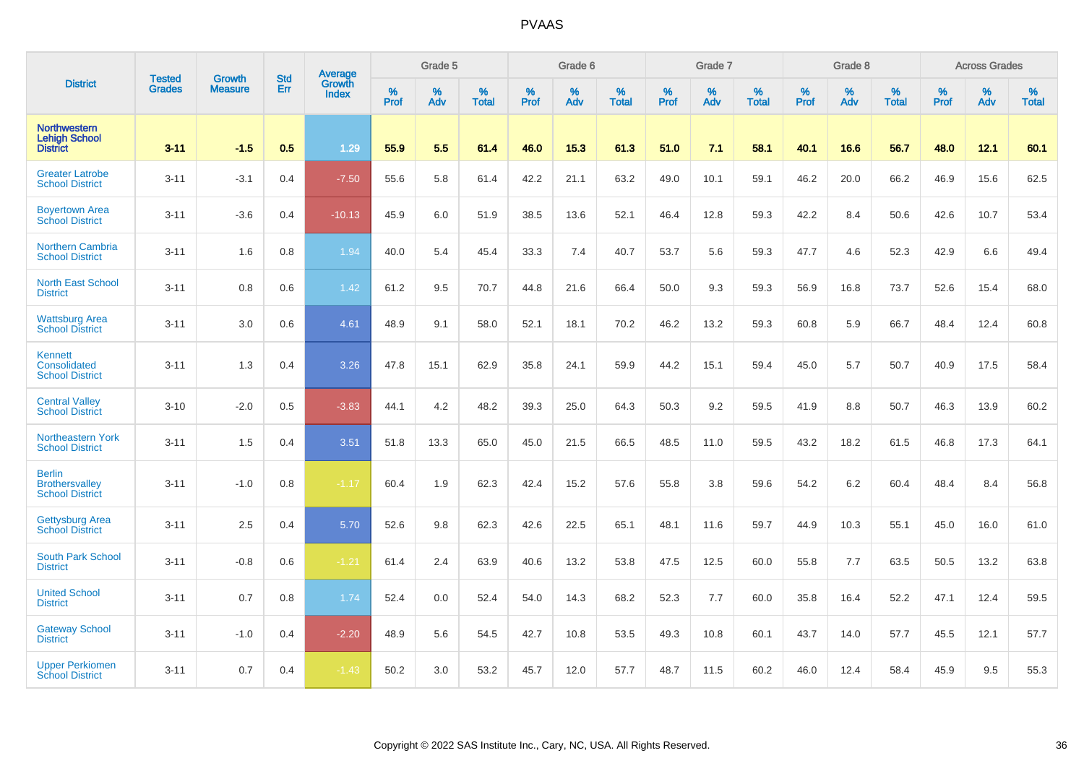|                                                                  |                                |                                 | <b>Std</b> | Average                       |           | Grade 5  |                   |           | Grade 6  |                   |           | Grade 7  |                   |           | Grade 8  |                   |           | <b>Across Grades</b> |                   |
|------------------------------------------------------------------|--------------------------------|---------------------------------|------------|-------------------------------|-----------|----------|-------------------|-----------|----------|-------------------|-----------|----------|-------------------|-----------|----------|-------------------|-----------|----------------------|-------------------|
| <b>District</b>                                                  | <b>Tested</b><br><b>Grades</b> | <b>Growth</b><br><b>Measure</b> | Err        | <b>Growth</b><br><b>Index</b> | %<br>Prof | %<br>Adv | %<br><b>Total</b> | %<br>Prof | %<br>Adv | %<br><b>Total</b> | %<br>Prof | %<br>Adv | %<br><b>Total</b> | %<br>Prof | %<br>Adv | %<br><b>Total</b> | %<br>Prof | %<br>Adv             | %<br><b>Total</b> |
| <b>Northwestern</b><br><b>Lehigh School</b><br><b>District</b>   | $3 - 11$                       | $-1.5$                          | 0.5        | 1.29                          | 55.9      | 5.5      | 61.4              | 46.0      | 15.3     | 61.3              | 51.0      | 7.1      | 58.1              | 40.1      | 16.6     | 56.7              | 48.0      | 12.1                 | 60.1              |
| <b>Greater Latrobe</b><br><b>School District</b>                 | $3 - 11$                       | $-3.1$                          | 0.4        | $-7.50$                       | 55.6      | 5.8      | 61.4              | 42.2      | 21.1     | 63.2              | 49.0      | 10.1     | 59.1              | 46.2      | 20.0     | 66.2              | 46.9      | 15.6                 | 62.5              |
| <b>Boyertown Area</b><br><b>School District</b>                  | $3 - 11$                       | $-3.6$                          | 0.4        | $-10.13$                      | 45.9      | 6.0      | 51.9              | 38.5      | 13.6     | 52.1              | 46.4      | 12.8     | 59.3              | 42.2      | 8.4      | 50.6              | 42.6      | 10.7                 | 53.4              |
| <b>Northern Cambria</b><br><b>School District</b>                | $3 - 11$                       | 1.6                             | 0.8        | 1.94                          | 40.0      | 5.4      | 45.4              | 33.3      | 7.4      | 40.7              | 53.7      | 5.6      | 59.3              | 47.7      | 4.6      | 52.3              | 42.9      | 6.6                  | 49.4              |
| <b>North East School</b><br><b>District</b>                      | $3 - 11$                       | 0.8                             | 0.6        | 1.42                          | 61.2      | 9.5      | 70.7              | 44.8      | 21.6     | 66.4              | 50.0      | 9.3      | 59.3              | 56.9      | 16.8     | 73.7              | 52.6      | 15.4                 | 68.0              |
| <b>Wattsburg Area</b><br><b>School District</b>                  | $3 - 11$                       | 3.0                             | 0.6        | 4.61                          | 48.9      | 9.1      | 58.0              | 52.1      | 18.1     | 70.2              | 46.2      | 13.2     | 59.3              | 60.8      | 5.9      | 66.7              | 48.4      | 12.4                 | 60.8              |
| Kennett<br>Consolidated<br><b>School District</b>                | $3 - 11$                       | 1.3                             | 0.4        | 3.26                          | 47.8      | 15.1     | 62.9              | 35.8      | 24.1     | 59.9              | 44.2      | 15.1     | 59.4              | 45.0      | 5.7      | 50.7              | 40.9      | 17.5                 | 58.4              |
| <b>Central Valley</b><br><b>School District</b>                  | $3 - 10$                       | $-2.0$                          | 0.5        | $-3.83$                       | 44.1      | 4.2      | 48.2              | 39.3      | 25.0     | 64.3              | 50.3      | 9.2      | 59.5              | 41.9      | 8.8      | 50.7              | 46.3      | 13.9                 | 60.2              |
| Northeastern York<br><b>School District</b>                      | $3 - 11$                       | 1.5                             | 0.4        | 3.51                          | 51.8      | 13.3     | 65.0              | 45.0      | 21.5     | 66.5              | 48.5      | 11.0     | 59.5              | 43.2      | 18.2     | 61.5              | 46.8      | 17.3                 | 64.1              |
| <b>Berlin</b><br><b>Brothersvalley</b><br><b>School District</b> | $3 - 11$                       | $-1.0$                          | 0.8        | $-1.17$                       | 60.4      | 1.9      | 62.3              | 42.4      | 15.2     | 57.6              | 55.8      | 3.8      | 59.6              | 54.2      | $6.2\,$  | 60.4              | 48.4      | 8.4                  | 56.8              |
| <b>Gettysburg Area</b><br><b>School District</b>                 | $3 - 11$                       | 2.5                             | 0.4        | 5.70                          | 52.6      | 9.8      | 62.3              | 42.6      | 22.5     | 65.1              | 48.1      | 11.6     | 59.7              | 44.9      | 10.3     | 55.1              | 45.0      | 16.0                 | 61.0              |
| South Park School<br><b>District</b>                             | $3 - 11$                       | $-0.8$                          | 0.6        | $-1.21$                       | 61.4      | 2.4      | 63.9              | 40.6      | 13.2     | 53.8              | 47.5      | 12.5     | 60.0              | 55.8      | 7.7      | 63.5              | 50.5      | 13.2                 | 63.8              |
| <b>United School</b><br><b>District</b>                          | $3 - 11$                       | 0.7                             | 0.8        | 1.74                          | 52.4      | 0.0      | 52.4              | 54.0      | 14.3     | 68.2              | 52.3      | 7.7      | 60.0              | 35.8      | 16.4     | 52.2              | 47.1      | 12.4                 | 59.5              |
| <b>Gateway School</b><br><b>District</b>                         | $3 - 11$                       | $-1.0$                          | 0.4        | $-2.20$                       | 48.9      | 5.6      | 54.5              | 42.7      | 10.8     | 53.5              | 49.3      | 10.8     | 60.1              | 43.7      | 14.0     | 57.7              | 45.5      | 12.1                 | 57.7              |
| <b>Upper Perkiomen</b><br><b>School District</b>                 | $3 - 11$                       | 0.7                             | 0.4        | $-1.43$                       | 50.2      | 3.0      | 53.2              | 45.7      | 12.0     | 57.7              | 48.7      | 11.5     | 60.2              | 46.0      | 12.4     | 58.4              | 45.9      | 9.5                  | 55.3              |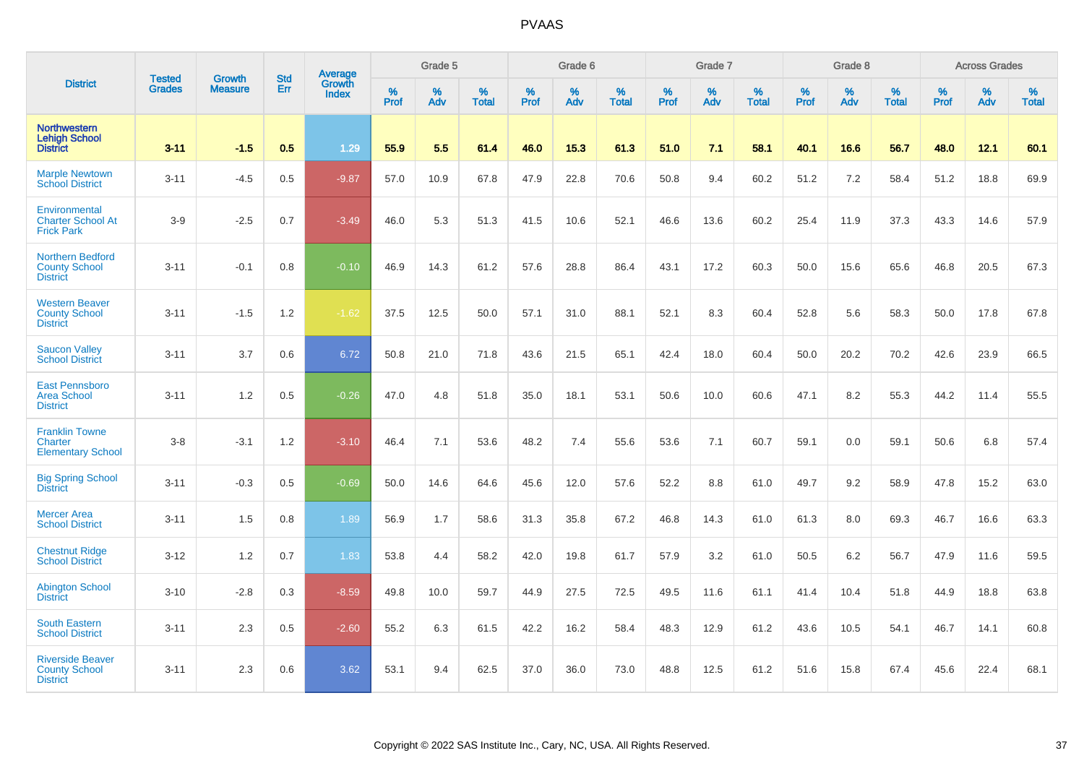|                                                                    |                                |                                 | <b>Std</b> | Average                |           | Grade 5  |                   |           | Grade 6  |                   |           | Grade 7  |                   |           | Grade 8  |                   |           | <b>Across Grades</b> |                   |
|--------------------------------------------------------------------|--------------------------------|---------------------------------|------------|------------------------|-----------|----------|-------------------|-----------|----------|-------------------|-----------|----------|-------------------|-----------|----------|-------------------|-----------|----------------------|-------------------|
| <b>District</b>                                                    | <b>Tested</b><br><b>Grades</b> | <b>Growth</b><br><b>Measure</b> | Err        | Growth<br><b>Index</b> | %<br>Prof | %<br>Adv | %<br><b>Total</b> | %<br>Prof | %<br>Adv | %<br><b>Total</b> | %<br>Prof | %<br>Adv | %<br><b>Total</b> | %<br>Prof | %<br>Adv | %<br><b>Total</b> | %<br>Prof | %<br>Adv             | %<br><b>Total</b> |
| <b>Northwestern</b><br><b>Lehigh School</b><br><b>District</b>     | $3 - 11$                       | $-1.5$                          | 0.5        | 1.29                   | 55.9      | 5.5      | 61.4              | 46.0      | 15.3     | 61.3              | 51.0      | 7.1      | 58.1              | 40.1      | 16.6     | 56.7              | 48.0      | 12.1                 | 60.1              |
| <b>Marple Newtown</b><br><b>School District</b>                    | $3 - 11$                       | $-4.5$                          | 0.5        | $-9.87$                | 57.0      | 10.9     | 67.8              | 47.9      | 22.8     | 70.6              | 50.8      | 9.4      | 60.2              | 51.2      | 7.2      | 58.4              | 51.2      | 18.8                 | 69.9              |
| Environmental<br><b>Charter School At</b><br><b>Frick Park</b>     | $3-9$                          | $-2.5$                          | 0.7        | $-3.49$                | 46.0      | 5.3      | 51.3              | 41.5      | 10.6     | 52.1              | 46.6      | 13.6     | 60.2              | 25.4      | 11.9     | 37.3              | 43.3      | 14.6                 | 57.9              |
| <b>Northern Bedford</b><br><b>County School</b><br><b>District</b> | $3 - 11$                       | $-0.1$                          | 0.8        | $-0.10$                | 46.9      | 14.3     | 61.2              | 57.6      | 28.8     | 86.4              | 43.1      | 17.2     | 60.3              | 50.0      | 15.6     | 65.6              | 46.8      | 20.5                 | 67.3              |
| <b>Western Beaver</b><br><b>County School</b><br><b>District</b>   | $3 - 11$                       | $-1.5$                          | 1.2        | $-1.62$                | 37.5      | 12.5     | 50.0              | 57.1      | 31.0     | 88.1              | 52.1      | 8.3      | 60.4              | 52.8      | 5.6      | 58.3              | 50.0      | 17.8                 | 67.8              |
| <b>Saucon Valley</b><br><b>School District</b>                     | $3 - 11$                       | 3.7                             | 0.6        | 6.72                   | 50.8      | 21.0     | 71.8              | 43.6      | 21.5     | 65.1              | 42.4      | 18.0     | 60.4              | 50.0      | 20.2     | 70.2              | 42.6      | 23.9                 | 66.5              |
| <b>East Pennsboro</b><br><b>Area School</b><br><b>District</b>     | $3 - 11$                       | 1.2                             | 0.5        | $-0.26$                | 47.0      | 4.8      | 51.8              | 35.0      | 18.1     | 53.1              | 50.6      | 10.0     | 60.6              | 47.1      | 8.2      | 55.3              | 44.2      | 11.4                 | 55.5              |
| <b>Franklin Towne</b><br>Charter<br><b>Elementary School</b>       | $3-8$                          | $-3.1$                          | 1.2        | $-3.10$                | 46.4      | 7.1      | 53.6              | 48.2      | 7.4      | 55.6              | 53.6      | 7.1      | 60.7              | 59.1      | 0.0      | 59.1              | 50.6      | 6.8                  | 57.4              |
| <b>Big Spring School</b><br><b>District</b>                        | $3 - 11$                       | $-0.3$                          | 0.5        | $-0.69$                | 50.0      | 14.6     | 64.6              | 45.6      | 12.0     | 57.6              | 52.2      | 8.8      | 61.0              | 49.7      | 9.2      | 58.9              | 47.8      | 15.2                 | 63.0              |
| <b>Mercer Area</b><br><b>School District</b>                       | $3 - 11$                       | 1.5                             | 0.8        | 1.89                   | 56.9      | 1.7      | 58.6              | 31.3      | 35.8     | 67.2              | 46.8      | 14.3     | 61.0              | 61.3      | 8.0      | 69.3              | 46.7      | 16.6                 | 63.3              |
| <b>Chestnut Ridge</b><br><b>School District</b>                    | $3 - 12$                       | 1.2                             | 0.7        | 1.83                   | 53.8      | 4.4      | 58.2              | 42.0      | 19.8     | 61.7              | 57.9      | 3.2      | 61.0              | 50.5      | 6.2      | 56.7              | 47.9      | 11.6                 | 59.5              |
| <b>Abington School</b><br><b>District</b>                          | $3 - 10$                       | $-2.8$                          | 0.3        | $-8.59$                | 49.8      | 10.0     | 59.7              | 44.9      | 27.5     | 72.5              | 49.5      | 11.6     | 61.1              | 41.4      | 10.4     | 51.8              | 44.9      | 18.8                 | 63.8              |
| <b>South Eastern</b><br><b>School District</b>                     | $3 - 11$                       | 2.3                             | 0.5        | $-2.60$                | 55.2      | 6.3      | 61.5              | 42.2      | 16.2     | 58.4              | 48.3      | 12.9     | 61.2              | 43.6      | 10.5     | 54.1              | 46.7      | 14.1                 | 60.8              |
| <b>Riverside Beaver</b><br><b>County School</b><br><b>District</b> | $3 - 11$                       | 2.3                             | 0.6        | 3.62                   | 53.1      | 9.4      | 62.5              | 37.0      | 36.0     | 73.0              | 48.8      | 12.5     | 61.2              | 51.6      | 15.8     | 67.4              | 45.6      | 22.4                 | 68.1              |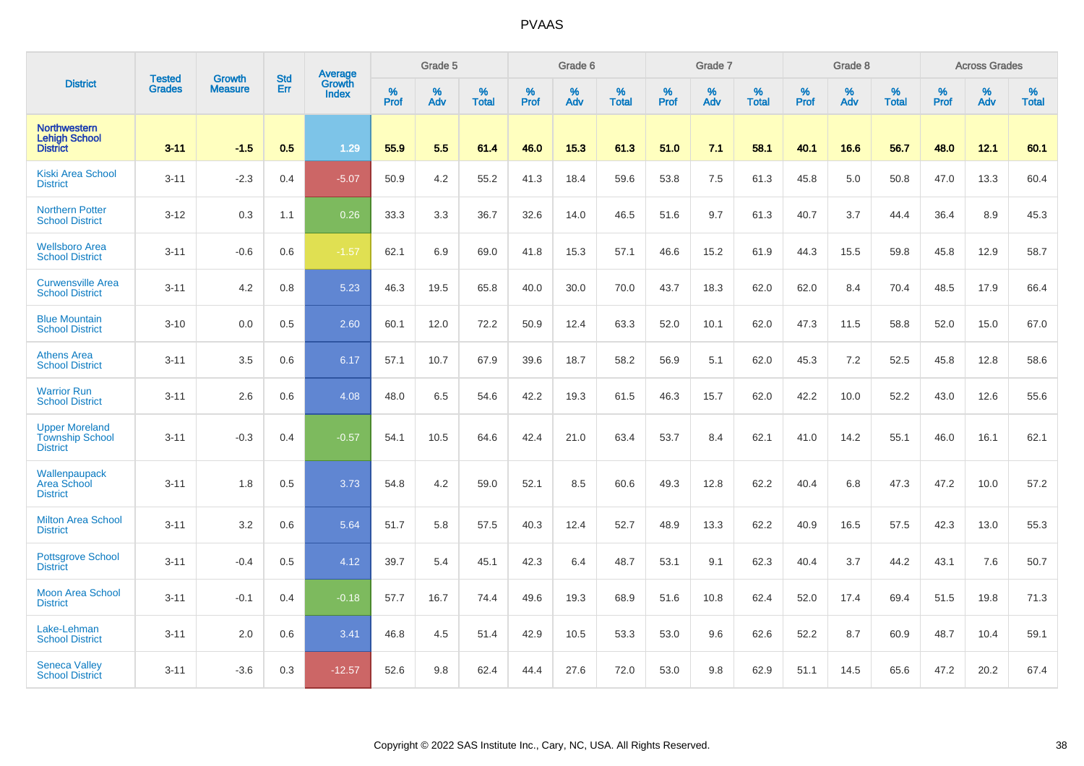|                                                                    | <b>Tested</b> | <b>Growth</b>  | <b>Std</b> | Average                       |           | Grade 5  |                   |           | Grade 6  |                   |           | Grade 7  |                   |           | Grade 8  |                   |           | <b>Across Grades</b> |                   |
|--------------------------------------------------------------------|---------------|----------------|------------|-------------------------------|-----------|----------|-------------------|-----------|----------|-------------------|-----------|----------|-------------------|-----------|----------|-------------------|-----------|----------------------|-------------------|
| <b>District</b>                                                    | <b>Grades</b> | <b>Measure</b> | Err        | <b>Growth</b><br><b>Index</b> | %<br>Prof | %<br>Adv | %<br><b>Total</b> | %<br>Prof | %<br>Adv | %<br><b>Total</b> | %<br>Prof | %<br>Adv | %<br><b>Total</b> | %<br>Prof | %<br>Adv | %<br><b>Total</b> | %<br>Prof | %<br>Adv             | %<br><b>Total</b> |
| <b>Northwestern</b><br><b>Lehigh School</b><br><b>District</b>     | $3 - 11$      | $-1.5$         | 0.5        | 1.29                          | 55.9      | 5.5      | 61.4              | 46.0      | 15.3     | 61.3              | 51.0      | 7.1      | 58.1              | 40.1      | 16.6     | 56.7              | 48.0      | 12.1                 | 60.1              |
| <b>Kiski Area School</b><br><b>District</b>                        | $3 - 11$      | $-2.3$         | 0.4        | $-5.07$                       | 50.9      | 4.2      | 55.2              | 41.3      | 18.4     | 59.6              | 53.8      | 7.5      | 61.3              | 45.8      | 5.0      | 50.8              | 47.0      | 13.3                 | 60.4              |
| <b>Northern Potter</b><br><b>School District</b>                   | $3 - 12$      | 0.3            | 1.1        | 0.26                          | 33.3      | 3.3      | 36.7              | 32.6      | 14.0     | 46.5              | 51.6      | 9.7      | 61.3              | 40.7      | 3.7      | 44.4              | 36.4      | 8.9                  | 45.3              |
| <b>Wellsboro Area</b><br><b>School District</b>                    | $3 - 11$      | $-0.6$         | 0.6        | $-1.57$                       | 62.1      | 6.9      | 69.0              | 41.8      | 15.3     | 57.1              | 46.6      | 15.2     | 61.9              | 44.3      | 15.5     | 59.8              | 45.8      | 12.9                 | 58.7              |
| <b>Curwensville Area</b><br><b>School District</b>                 | $3 - 11$      | 4.2            | 0.8        | 5.23                          | 46.3      | 19.5     | 65.8              | 40.0      | 30.0     | 70.0              | 43.7      | 18.3     | 62.0              | 62.0      | 8.4      | 70.4              | 48.5      | 17.9                 | 66.4              |
| <b>Blue Mountain</b><br><b>School District</b>                     | $3 - 10$      | 0.0            | 0.5        | 2.60                          | 60.1      | 12.0     | 72.2              | 50.9      | 12.4     | 63.3              | 52.0      | 10.1     | 62.0              | 47.3      | 11.5     | 58.8              | 52.0      | 15.0                 | 67.0              |
| <b>Athens Area</b><br><b>School District</b>                       | $3 - 11$      | 3.5            | 0.6        | 6.17                          | 57.1      | 10.7     | 67.9              | 39.6      | 18.7     | 58.2              | 56.9      | 5.1      | 62.0              | 45.3      | 7.2      | 52.5              | 45.8      | 12.8                 | 58.6              |
| <b>Warrior Run</b><br><b>School District</b>                       | $3 - 11$      | 2.6            | 0.6        | 4.08                          | 48.0      | 6.5      | 54.6              | 42.2      | 19.3     | 61.5              | 46.3      | 15.7     | 62.0              | 42.2      | 10.0     | 52.2              | 43.0      | 12.6                 | 55.6              |
| <b>Upper Moreland</b><br><b>Township School</b><br><b>District</b> | $3 - 11$      | $-0.3$         | 0.4        | $-0.57$                       | 54.1      | 10.5     | 64.6              | 42.4      | 21.0     | 63.4              | 53.7      | 8.4      | 62.1              | 41.0      | 14.2     | 55.1              | 46.0      | 16.1                 | 62.1              |
| Wallenpaupack<br>Area School<br><b>District</b>                    | $3 - 11$      | 1.8            | 0.5        | 3.73                          | 54.8      | 4.2      | 59.0              | 52.1      | 8.5      | 60.6              | 49.3      | 12.8     | 62.2              | 40.4      | 6.8      | 47.3              | 47.2      | 10.0                 | 57.2              |
| <b>Milton Area School</b><br><b>District</b>                       | $3 - 11$      | 3.2            | 0.6        | 5.64                          | 51.7      | 5.8      | 57.5              | 40.3      | 12.4     | 52.7              | 48.9      | 13.3     | 62.2              | 40.9      | 16.5     | 57.5              | 42.3      | 13.0                 | 55.3              |
| <b>Pottsgrove School</b><br><b>District</b>                        | $3 - 11$      | $-0.4$         | 0.5        | 4.12                          | 39.7      | 5.4      | 45.1              | 42.3      | 6.4      | 48.7              | 53.1      | 9.1      | 62.3              | 40.4      | 3.7      | 44.2              | 43.1      | 7.6                  | 50.7              |
| <b>Moon Area School</b><br><b>District</b>                         | $3 - 11$      | $-0.1$         | 0.4        | $-0.18$                       | 57.7      | 16.7     | 74.4              | 49.6      | 19.3     | 68.9              | 51.6      | 10.8     | 62.4              | 52.0      | 17.4     | 69.4              | 51.5      | 19.8                 | 71.3              |
| Lake-Lehman<br><b>School District</b>                              | $3 - 11$      | 2.0            | 0.6        | 3.41                          | 46.8      | 4.5      | 51.4              | 42.9      | 10.5     | 53.3              | 53.0      | 9.6      | 62.6              | 52.2      | 8.7      | 60.9              | 48.7      | 10.4                 | 59.1              |
| <b>Seneca Valley</b><br><b>School District</b>                     | $3 - 11$      | $-3.6$         | 0.3        | $-12.57$                      | 52.6      | 9.8      | 62.4              | 44.4      | 27.6     | 72.0              | 53.0      | 9.8      | 62.9              | 51.1      | 14.5     | 65.6              | 47.2      | 20.2                 | 67.4              |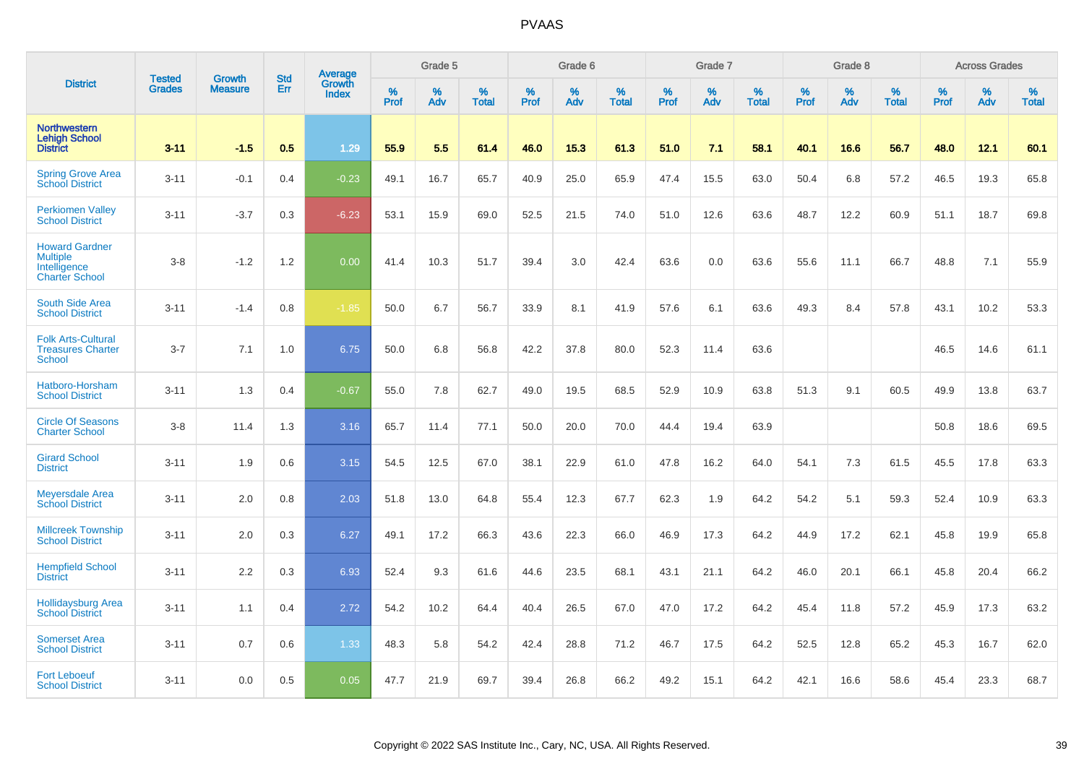|                                                                                   | <b>Tested</b> | <b>Growth</b>  | <b>Std</b> | Average         |              | Grade 5  |                   |           | Grade 6  |                   |              | Grade 7  |                   |           | Grade 8  |                   |           | <b>Across Grades</b> |                   |
|-----------------------------------------------------------------------------------|---------------|----------------|------------|-----------------|--------------|----------|-------------------|-----------|----------|-------------------|--------------|----------|-------------------|-----------|----------|-------------------|-----------|----------------------|-------------------|
| <b>District</b>                                                                   | <b>Grades</b> | <b>Measure</b> | Err        | Growth<br>Index | $\%$<br>Prof | %<br>Adv | %<br><b>Total</b> | %<br>Prof | %<br>Adv | %<br><b>Total</b> | $\%$<br>Prof | %<br>Adv | %<br><b>Total</b> | %<br>Prof | %<br>Adv | %<br><b>Total</b> | %<br>Prof | %<br>Adv             | %<br><b>Total</b> |
| <b>Northwestern</b><br><b>Lehigh School</b><br><b>District</b>                    | $3 - 11$      | $-1.5$         | 0.5        | 1.29            | 55.9         | 5.5      | 61.4              | 46.0      | 15.3     | 61.3              | 51.0         | 7.1      | 58.1              | 40.1      | 16.6     | 56.7              | 48.0      | 12.1                 | 60.1              |
| <b>Spring Grove Area</b><br>School District                                       | $3 - 11$      | $-0.1$         | 0.4        | $-0.23$         | 49.1         | 16.7     | 65.7              | 40.9      | 25.0     | 65.9              | 47.4         | 15.5     | 63.0              | 50.4      | 6.8      | 57.2              | 46.5      | 19.3                 | 65.8              |
| <b>Perkiomen Valley</b><br><b>School District</b>                                 | $3 - 11$      | $-3.7$         | 0.3        | $-6.23$         | 53.1         | 15.9     | 69.0              | 52.5      | 21.5     | 74.0              | 51.0         | 12.6     | 63.6              | 48.7      | 12.2     | 60.9              | 51.1      | 18.7                 | 69.8              |
| <b>Howard Gardner</b><br><b>Multiple</b><br>Intelligence<br><b>Charter School</b> | $3-8$         | $-1.2$         | 1.2        | 0.00            | 41.4         | 10.3     | 51.7              | 39.4      | 3.0      | 42.4              | 63.6         | 0.0      | 63.6              | 55.6      | 11.1     | 66.7              | 48.8      | 7.1                  | 55.9              |
| South Side Area<br><b>School District</b>                                         | $3 - 11$      | $-1.4$         | 0.8        | $-1.85$         | 50.0         | 6.7      | 56.7              | 33.9      | 8.1      | 41.9              | 57.6         | 6.1      | 63.6              | 49.3      | 8.4      | 57.8              | 43.1      | 10.2                 | 53.3              |
| <b>Folk Arts-Cultural</b><br><b>Treasures Charter</b><br><b>School</b>            | $3 - 7$       | 7.1            | 1.0        | 6.75            | 50.0         | 6.8      | 56.8              | 42.2      | 37.8     | 80.0              | 52.3         | 11.4     | 63.6              |           |          |                   | 46.5      | 14.6                 | 61.1              |
| Hatboro-Horsham<br><b>School District</b>                                         | $3 - 11$      | 1.3            | 0.4        | $-0.67$         | 55.0         | 7.8      | 62.7              | 49.0      | 19.5     | 68.5              | 52.9         | 10.9     | 63.8              | 51.3      | 9.1      | 60.5              | 49.9      | 13.8                 | 63.7              |
| <b>Circle Of Seasons</b><br><b>Charter School</b>                                 | $3-8$         | 11.4           | 1.3        | 3.16            | 65.7         | 11.4     | 77.1              | 50.0      | 20.0     | 70.0              | 44.4         | 19.4     | 63.9              |           |          |                   | 50.8      | 18.6                 | 69.5              |
| <b>Girard School</b><br><b>District</b>                                           | $3 - 11$      | 1.9            | 0.6        | 3.15            | 54.5         | 12.5     | 67.0              | 38.1      | 22.9     | 61.0              | 47.8         | 16.2     | 64.0              | 54.1      | 7.3      | 61.5              | 45.5      | 17.8                 | 63.3              |
| <b>Meyersdale Area</b><br><b>School District</b>                                  | $3 - 11$      | 2.0            | 0.8        | 2.03            | 51.8         | 13.0     | 64.8              | 55.4      | 12.3     | 67.7              | 62.3         | 1.9      | 64.2              | 54.2      | 5.1      | 59.3              | 52.4      | 10.9                 | 63.3              |
| <b>Millcreek Township</b><br><b>School District</b>                               | $3 - 11$      | 2.0            | 0.3        | 6.27            | 49.1         | 17.2     | 66.3              | 43.6      | 22.3     | 66.0              | 46.9         | 17.3     | 64.2              | 44.9      | 17.2     | 62.1              | 45.8      | 19.9                 | 65.8              |
| <b>Hempfield School</b><br><b>District</b>                                        | $3 - 11$      | 2.2            | 0.3        | 6.93            | 52.4         | 9.3      | 61.6              | 44.6      | 23.5     | 68.1              | 43.1         | 21.1     | 64.2              | 46.0      | 20.1     | 66.1              | 45.8      | 20.4                 | 66.2              |
| <b>Hollidaysburg Area</b><br><b>School District</b>                               | $3 - 11$      | 1.1            | 0.4        | 2.72            | 54.2         | 10.2     | 64.4              | 40.4      | 26.5     | 67.0              | 47.0         | 17.2     | 64.2              | 45.4      | 11.8     | 57.2              | 45.9      | 17.3                 | 63.2              |
| <b>Somerset Area</b><br><b>School District</b>                                    | $3 - 11$      | 0.7            | 0.6        | 1.33            | 48.3         | 5.8      | 54.2              | 42.4      | 28.8     | 71.2              | 46.7         | 17.5     | 64.2              | 52.5      | 12.8     | 65.2              | 45.3      | 16.7                 | 62.0              |
| <b>Fort Leboeuf</b><br><b>School District</b>                                     | $3 - 11$      | 0.0            | 0.5        | 0.05            | 47.7         | 21.9     | 69.7              | 39.4      | 26.8     | 66.2              | 49.2         | 15.1     | 64.2              | 42.1      | 16.6     | 58.6              | 45.4      | 23.3                 | 68.7              |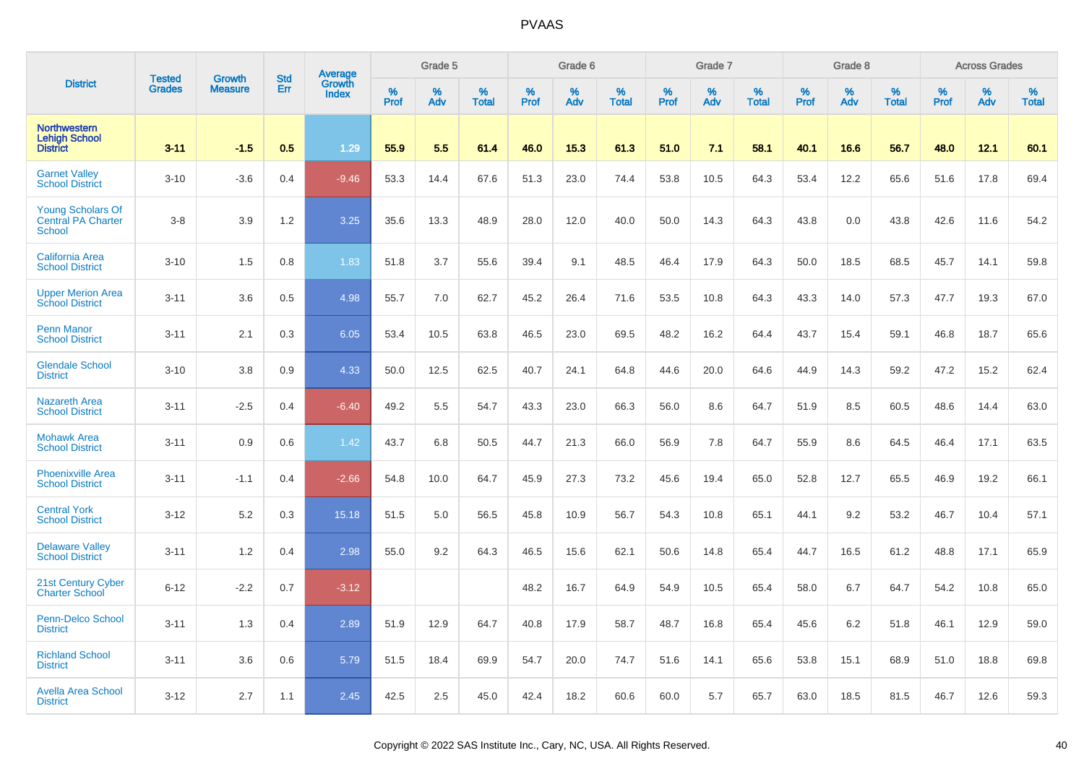|                                                                        | <b>Tested</b> | <b>Growth</b>  | <b>Std</b> | Average<br>Growth |           | Grade 5  |                   |              | Grade 6  |                   |              | Grade 7  |                   |              | Grade 8  |                   |           | <b>Across Grades</b> |                   |
|------------------------------------------------------------------------|---------------|----------------|------------|-------------------|-----------|----------|-------------------|--------------|----------|-------------------|--------------|----------|-------------------|--------------|----------|-------------------|-----------|----------------------|-------------------|
| <b>District</b>                                                        | <b>Grades</b> | <b>Measure</b> | Err        | <b>Index</b>      | %<br>Prof | %<br>Adv | %<br><b>Total</b> | $\%$<br>Prof | %<br>Adv | %<br><b>Total</b> | $\%$<br>Prof | %<br>Adv | %<br><b>Total</b> | $\%$<br>Prof | %<br>Adv | %<br><b>Total</b> | %<br>Prof | $\%$<br>Adv          | %<br><b>Total</b> |
| <b>Northwestern</b><br><b>Lehigh School</b><br><b>District</b>         | $3 - 11$      | $-1.5$         | 0.5        | 1.29              | 55.9      | 5.5      | 61.4              | 46.0         | 15.3     | 61.3              | 51.0         | 7.1      | 58.1              | 40.1         | 16.6     | 56.7              | 48.0      | 12.1                 | 60.1              |
| <b>Garnet Valley</b><br><b>School District</b>                         | $3 - 10$      | $-3.6$         | 0.4        | $-9.46$           | 53.3      | 14.4     | 67.6              | 51.3         | 23.0     | 74.4              | 53.8         | 10.5     | 64.3              | 53.4         | 12.2     | 65.6              | 51.6      | 17.8                 | 69.4              |
| <b>Young Scholars Of</b><br><b>Central PA Charter</b><br><b>School</b> | $3-8$         | 3.9            | 1.2        | 3.25              | 35.6      | 13.3     | 48.9              | 28.0         | 12.0     | 40.0              | 50.0         | 14.3     | 64.3              | 43.8         | 0.0      | 43.8              | 42.6      | 11.6                 | 54.2              |
| <b>California Area</b><br><b>School District</b>                       | $3 - 10$      | 1.5            | 0.8        | 1.83              | 51.8      | 3.7      | 55.6              | 39.4         | 9.1      | 48.5              | 46.4         | 17.9     | 64.3              | 50.0         | 18.5     | 68.5              | 45.7      | 14.1                 | 59.8              |
| <b>Upper Merion Area</b><br><b>School District</b>                     | $3 - 11$      | 3.6            | 0.5        | 4.98              | 55.7      | 7.0      | 62.7              | 45.2         | 26.4     | 71.6              | 53.5         | 10.8     | 64.3              | 43.3         | 14.0     | 57.3              | 47.7      | 19.3                 | 67.0              |
| <b>Penn Manor</b><br><b>School District</b>                            | $3 - 11$      | 2.1            | 0.3        | 6.05              | 53.4      | 10.5     | 63.8              | 46.5         | 23.0     | 69.5              | 48.2         | 16.2     | 64.4              | 43.7         | 15.4     | 59.1              | 46.8      | 18.7                 | 65.6              |
| <b>Glendale School</b><br><b>District</b>                              | $3 - 10$      | 3.8            | 0.9        | 4.33              | 50.0      | 12.5     | 62.5              | 40.7         | 24.1     | 64.8              | 44.6         | 20.0     | 64.6              | 44.9         | 14.3     | 59.2              | 47.2      | 15.2                 | 62.4              |
| <b>Nazareth Area</b><br><b>School District</b>                         | $3 - 11$      | $-2.5$         | 0.4        | $-6.40$           | 49.2      | 5.5      | 54.7              | 43.3         | 23.0     | 66.3              | 56.0         | 8.6      | 64.7              | 51.9         | 8.5      | 60.5              | 48.6      | 14.4                 | 63.0              |
| <b>Mohawk Area</b><br><b>School District</b>                           | $3 - 11$      | 0.9            | 0.6        | 1.42              | 43.7      | 6.8      | 50.5              | 44.7         | 21.3     | 66.0              | 56.9         | 7.8      | 64.7              | 55.9         | 8.6      | 64.5              | 46.4      | 17.1                 | 63.5              |
| <b>Phoenixville Area</b><br><b>School District</b>                     | $3 - 11$      | $-1.1$         | 0.4        | $-2.66$           | 54.8      | 10.0     | 64.7              | 45.9         | 27.3     | 73.2              | 45.6         | 19.4     | 65.0              | 52.8         | 12.7     | 65.5              | 46.9      | 19.2                 | 66.1              |
| <b>Central York</b><br><b>School District</b>                          | $3 - 12$      | 5.2            | 0.3        | 15.18             | 51.5      | 5.0      | 56.5              | 45.8         | 10.9     | 56.7              | 54.3         | 10.8     | 65.1              | 44.1         | 9.2      | 53.2              | 46.7      | 10.4                 | 57.1              |
| <b>Delaware Valley</b><br><b>School District</b>                       | $3 - 11$      | 1.2            | 0.4        | 2.98              | 55.0      | 9.2      | 64.3              | 46.5         | 15.6     | 62.1              | 50.6         | 14.8     | 65.4              | 44.7         | 16.5     | 61.2              | 48.8      | 17.1                 | 65.9              |
| 21st Century Cyber<br><b>Charter School</b>                            | $6 - 12$      | $-2.2$         | 0.7        | $-3.12$           |           |          |                   | 48.2         | 16.7     | 64.9              | 54.9         | 10.5     | 65.4              | 58.0         | 6.7      | 64.7              | 54.2      | 10.8                 | 65.0              |
| <b>Penn-Delco School</b><br><b>District</b>                            | $3 - 11$      | 1.3            | 0.4        | 2.89              | 51.9      | 12.9     | 64.7              | 40.8         | 17.9     | 58.7              | 48.7         | 16.8     | 65.4              | 45.6         | 6.2      | 51.8              | 46.1      | 12.9                 | 59.0              |
| <b>Richland School</b><br><b>District</b>                              | $3 - 11$      | 3.6            | 0.6        | 5.79              | 51.5      | 18.4     | 69.9              | 54.7         | 20.0     | 74.7              | 51.6         | 14.1     | 65.6              | 53.8         | 15.1     | 68.9              | 51.0      | 18.8                 | 69.8              |
| <b>Avella Area School</b><br><b>District</b>                           | $3 - 12$      | 2.7            | 1.1        | 2.45              | 42.5      | 2.5      | 45.0              | 42.4         | 18.2     | 60.6              | 60.0         | 5.7      | 65.7              | 63.0         | 18.5     | 81.5              | 46.7      | 12.6                 | 59.3              |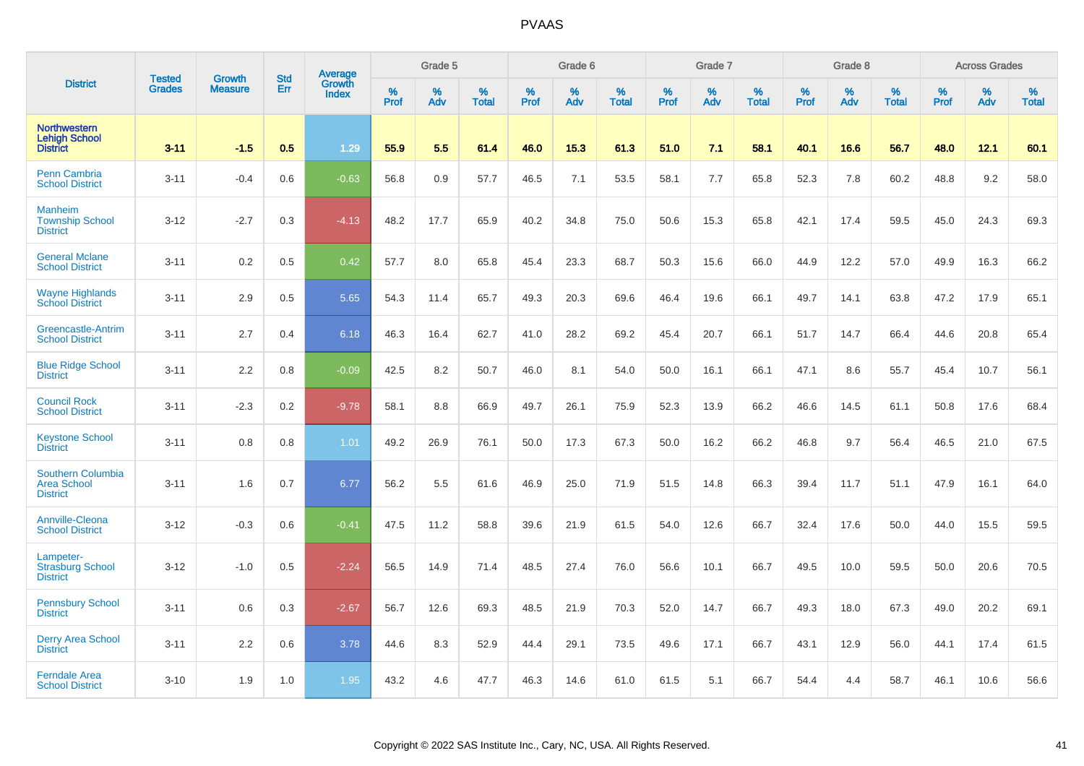|                                                                   |                                | <b>Growth</b>  | <b>Std</b> | Average                |              | Grade 5  |                   |           | Grade 6  |                   |           | Grade 7  |                   |           | Grade 8  |                   |           | <b>Across Grades</b> |                   |
|-------------------------------------------------------------------|--------------------------------|----------------|------------|------------------------|--------------|----------|-------------------|-----------|----------|-------------------|-----------|----------|-------------------|-----------|----------|-------------------|-----------|----------------------|-------------------|
| <b>District</b>                                                   | <b>Tested</b><br><b>Grades</b> | <b>Measure</b> | Err        | Growth<br><b>Index</b> | $\%$<br>Prof | %<br>Adv | %<br><b>Total</b> | %<br>Prof | %<br>Adv | %<br><b>Total</b> | %<br>Prof | %<br>Adv | %<br><b>Total</b> | %<br>Prof | %<br>Adv | %<br><b>Total</b> | %<br>Prof | %<br>Adv             | %<br><b>Total</b> |
| <b>Northwestern</b><br><b>Lehigh School</b><br><b>District</b>    | $3 - 11$                       | $-1.5$         | 0.5        | 1.29                   | 55.9         | 5.5      | 61.4              | 46.0      | 15.3     | 61.3              | 51.0      | 7.1      | 58.1              | 40.1      | 16.6     | 56.7              | 48.0      | 12.1                 | 60.1              |
| <b>Penn Cambria</b><br><b>School District</b>                     | $3 - 11$                       | $-0.4$         | 0.6        | $-0.63$                | 56.8         | 0.9      | 57.7              | 46.5      | 7.1      | 53.5              | 58.1      | 7.7      | 65.8              | 52.3      | 7.8      | 60.2              | 48.8      | 9.2                  | 58.0              |
| <b>Manheim</b><br><b>Township School</b><br><b>District</b>       | $3 - 12$                       | $-2.7$         | 0.3        | $-4.13$                | 48.2         | 17.7     | 65.9              | 40.2      | 34.8     | 75.0              | 50.6      | 15.3     | 65.8              | 42.1      | 17.4     | 59.5              | 45.0      | 24.3                 | 69.3              |
| <b>General Mclane</b><br><b>School District</b>                   | $3 - 11$                       | 0.2            | 0.5        | 0.42                   | 57.7         | 8.0      | 65.8              | 45.4      | 23.3     | 68.7              | 50.3      | 15.6     | 66.0              | 44.9      | 12.2     | 57.0              | 49.9      | 16.3                 | 66.2              |
| <b>Wayne Highlands</b><br><b>School District</b>                  | $3 - 11$                       | 2.9            | 0.5        | 5.65                   | 54.3         | 11.4     | 65.7              | 49.3      | 20.3     | 69.6              | 46.4      | 19.6     | 66.1              | 49.7      | 14.1     | 63.8              | 47.2      | 17.9                 | 65.1              |
| Greencastle-Antrim<br><b>School District</b>                      | $3 - 11$                       | 2.7            | 0.4        | 6.18                   | 46.3         | 16.4     | 62.7              | 41.0      | 28.2     | 69.2              | 45.4      | 20.7     | 66.1              | 51.7      | 14.7     | 66.4              | 44.6      | 20.8                 | 65.4              |
| <b>Blue Ridge School</b><br><b>District</b>                       | $3 - 11$                       | 2.2            | 0.8        | $-0.09$                | 42.5         | 8.2      | 50.7              | 46.0      | 8.1      | 54.0              | 50.0      | 16.1     | 66.1              | 47.1      | 8.6      | 55.7              | 45.4      | 10.7                 | 56.1              |
| <b>Council Rock</b><br><b>School District</b>                     | $3 - 11$                       | $-2.3$         | 0.2        | $-9.78$                | 58.1         | 8.8      | 66.9              | 49.7      | 26.1     | 75.9              | 52.3      | 13.9     | 66.2              | 46.6      | 14.5     | 61.1              | 50.8      | 17.6                 | 68.4              |
| <b>Keystone School</b><br><b>District</b>                         | $3 - 11$                       | 0.8            | 0.8        | 1.01                   | 49.2         | 26.9     | 76.1              | 50.0      | 17.3     | 67.3              | 50.0      | 16.2     | 66.2              | 46.8      | 9.7      | 56.4              | 46.5      | 21.0                 | 67.5              |
| <b>Southern Columbia</b><br><b>Area School</b><br><b>District</b> | $3 - 11$                       | 1.6            | 0.7        | 6.77                   | 56.2         | 5.5      | 61.6              | 46.9      | 25.0     | 71.9              | 51.5      | 14.8     | 66.3              | 39.4      | 11.7     | 51.1              | 47.9      | 16.1                 | 64.0              |
| Annville-Cleona<br><b>School District</b>                         | $3 - 12$                       | $-0.3$         | 0.6        | $-0.41$                | 47.5         | 11.2     | 58.8              | 39.6      | 21.9     | 61.5              | 54.0      | 12.6     | 66.7              | 32.4      | 17.6     | 50.0              | 44.0      | 15.5                 | 59.5              |
| Lampeter-<br><b>Strasburg School</b><br><b>District</b>           | $3 - 12$                       | $-1.0$         | 0.5        | $-2.24$                | 56.5         | 14.9     | 71.4              | 48.5      | 27.4     | 76.0              | 56.6      | 10.1     | 66.7              | 49.5      | 10.0     | 59.5              | 50.0      | 20.6                 | 70.5              |
| <b>Pennsbury School</b><br><b>District</b>                        | $3 - 11$                       | 0.6            | 0.3        | $-2.67$                | 56.7         | 12.6     | 69.3              | 48.5      | 21.9     | 70.3              | 52.0      | 14.7     | 66.7              | 49.3      | 18.0     | 67.3              | 49.0      | 20.2                 | 69.1              |
| <b>Derry Area School</b><br><b>District</b>                       | $3 - 11$                       | 2.2            | 0.6        | 3.78                   | 44.6         | 8.3      | 52.9              | 44.4      | 29.1     | 73.5              | 49.6      | 17.1     | 66.7              | 43.1      | 12.9     | 56.0              | 44.1      | 17.4                 | 61.5              |
| <b>Ferndale Area</b><br><b>School District</b>                    | $3 - 10$                       | 1.9            | 1.0        | 1.95                   | 43.2         | 4.6      | 47.7              | 46.3      | 14.6     | 61.0              | 61.5      | 5.1      | 66.7              | 54.4      | 4.4      | 58.7              | 46.1      | 10.6                 | 56.6              |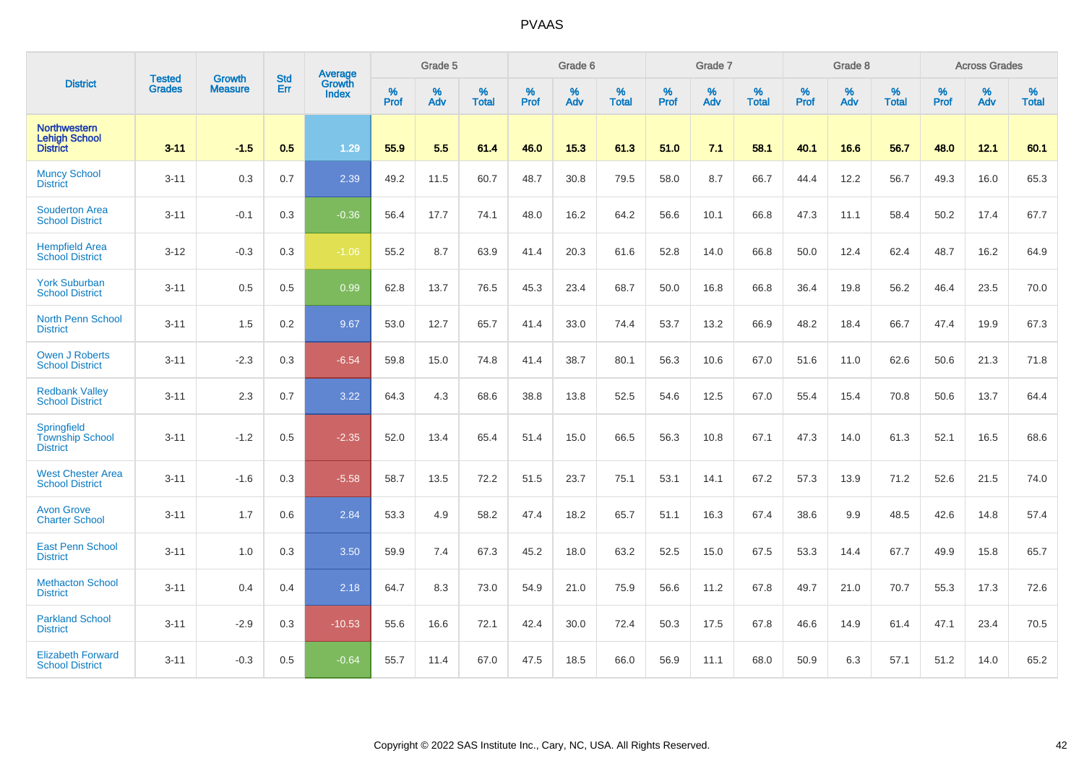|                                                                 | <b>Tested</b> | <b>Growth</b>  | <b>Std</b> | <b>Average</b>         |                  | Grade 5  |                   |           | Grade 6  |                   |           | Grade 7  |                   |           | Grade 8  |                   |           | <b>Across Grades</b> |                   |
|-----------------------------------------------------------------|---------------|----------------|------------|------------------------|------------------|----------|-------------------|-----------|----------|-------------------|-----------|----------|-------------------|-----------|----------|-------------------|-----------|----------------------|-------------------|
| <b>District</b>                                                 | <b>Grades</b> | <b>Measure</b> | Err        | Growth<br><b>Index</b> | %<br><b>Prof</b> | %<br>Adv | %<br><b>Total</b> | %<br>Prof | %<br>Adv | %<br><b>Total</b> | %<br>Prof | %<br>Adv | %<br><b>Total</b> | %<br>Prof | %<br>Adv | %<br><b>Total</b> | %<br>Prof | %<br>Adv             | %<br><b>Total</b> |
| <b>Northwestern</b><br><b>Lehigh School</b><br><b>District</b>  | $3 - 11$      | $-1.5$         | 0.5        | 1.29                   | 55.9             | 5.5      | 61.4              | 46.0      | 15.3     | 61.3              | 51.0      | 7.1      | 58.1              | 40.1      | 16.6     | 56.7              | 48.0      | 12.1                 | 60.1              |
| <b>Muncy School</b><br><b>District</b>                          | $3 - 11$      | 0.3            | 0.7        | 2.39                   | 49.2             | 11.5     | 60.7              | 48.7      | 30.8     | 79.5              | 58.0      | 8.7      | 66.7              | 44.4      | 12.2     | 56.7              | 49.3      | 16.0                 | 65.3              |
| <b>Souderton Area</b><br><b>School District</b>                 | $3 - 11$      | $-0.1$         | 0.3        | $-0.36$                | 56.4             | 17.7     | 74.1              | 48.0      | 16.2     | 64.2              | 56.6      | 10.1     | 66.8              | 47.3      | 11.1     | 58.4              | 50.2      | 17.4                 | 67.7              |
| <b>Hempfield Area</b><br><b>School District</b>                 | $3 - 12$      | $-0.3$         | 0.3        | $-1.06$                | 55.2             | 8.7      | 63.9              | 41.4      | 20.3     | 61.6              | 52.8      | 14.0     | 66.8              | 50.0      | 12.4     | 62.4              | 48.7      | 16.2                 | 64.9              |
| <b>York Suburban</b><br><b>School District</b>                  | $3 - 11$      | 0.5            | 0.5        | 0.99                   | 62.8             | 13.7     | 76.5              | 45.3      | 23.4     | 68.7              | 50.0      | 16.8     | 66.8              | 36.4      | 19.8     | 56.2              | 46.4      | 23.5                 | 70.0              |
| <b>North Penn School</b><br><b>District</b>                     | $3 - 11$      | 1.5            | 0.2        | 9.67                   | 53.0             | 12.7     | 65.7              | 41.4      | 33.0     | 74.4              | 53.7      | 13.2     | 66.9              | 48.2      | 18.4     | 66.7              | 47.4      | 19.9                 | 67.3              |
| <b>Owen J Roberts</b><br><b>School District</b>                 | $3 - 11$      | $-2.3$         | 0.3        | $-6.54$                | 59.8             | 15.0     | 74.8              | 41.4      | 38.7     | 80.1              | 56.3      | 10.6     | 67.0              | 51.6      | 11.0     | 62.6              | 50.6      | 21.3                 | 71.8              |
| <b>Redbank Valley</b><br><b>School District</b>                 | $3 - 11$      | 2.3            | 0.7        | 3.22                   | 64.3             | 4.3      | 68.6              | 38.8      | 13.8     | 52.5              | 54.6      | 12.5     | 67.0              | 55.4      | 15.4     | 70.8              | 50.6      | 13.7                 | 64.4              |
| <b>Springfield</b><br><b>Township School</b><br><b>District</b> | $3 - 11$      | $-1.2$         | 0.5        | $-2.35$                | 52.0             | 13.4     | 65.4              | 51.4      | 15.0     | 66.5              | 56.3      | 10.8     | 67.1              | 47.3      | 14.0     | 61.3              | 52.1      | 16.5                 | 68.6              |
| <b>West Chester Area</b><br><b>School District</b>              | $3 - 11$      | $-1.6$         | 0.3        | $-5.58$                | 58.7             | 13.5     | 72.2              | 51.5      | 23.7     | 75.1              | 53.1      | 14.1     | 67.2              | 57.3      | 13.9     | 71.2              | 52.6      | 21.5                 | 74.0              |
| <b>Avon Grove</b><br><b>Charter School</b>                      | $3 - 11$      | 1.7            | 0.6        | 2.84                   | 53.3             | 4.9      | 58.2              | 47.4      | 18.2     | 65.7              | 51.1      | 16.3     | 67.4              | 38.6      | 9.9      | 48.5              | 42.6      | 14.8                 | 57.4              |
| <b>East Penn School</b><br><b>District</b>                      | $3 - 11$      | 1.0            | 0.3        | 3.50                   | 59.9             | 7.4      | 67.3              | 45.2      | 18.0     | 63.2              | 52.5      | 15.0     | 67.5              | 53.3      | 14.4     | 67.7              | 49.9      | 15.8                 | 65.7              |
| <b>Methacton School</b><br><b>District</b>                      | $3 - 11$      | 0.4            | 0.4        | 2.18                   | 64.7             | 8.3      | 73.0              | 54.9      | 21.0     | 75.9              | 56.6      | 11.2     | 67.8              | 49.7      | 21.0     | 70.7              | 55.3      | 17.3                 | 72.6              |
| <b>Parkland School</b><br><b>District</b>                       | $3 - 11$      | $-2.9$         | 0.3        | $-10.53$               | 55.6             | 16.6     | 72.1              | 42.4      | 30.0     | 72.4              | 50.3      | 17.5     | 67.8              | 46.6      | 14.9     | 61.4              | 47.1      | 23.4                 | 70.5              |
| <b>Elizabeth Forward</b><br><b>School District</b>              | $3 - 11$      | $-0.3$         | 0.5        | $-0.64$                | 55.7             | 11.4     | 67.0              | 47.5      | 18.5     | 66.0              | 56.9      | 11.1     | 68.0              | 50.9      | 6.3      | 57.1              | 51.2      | 14.0                 | 65.2              |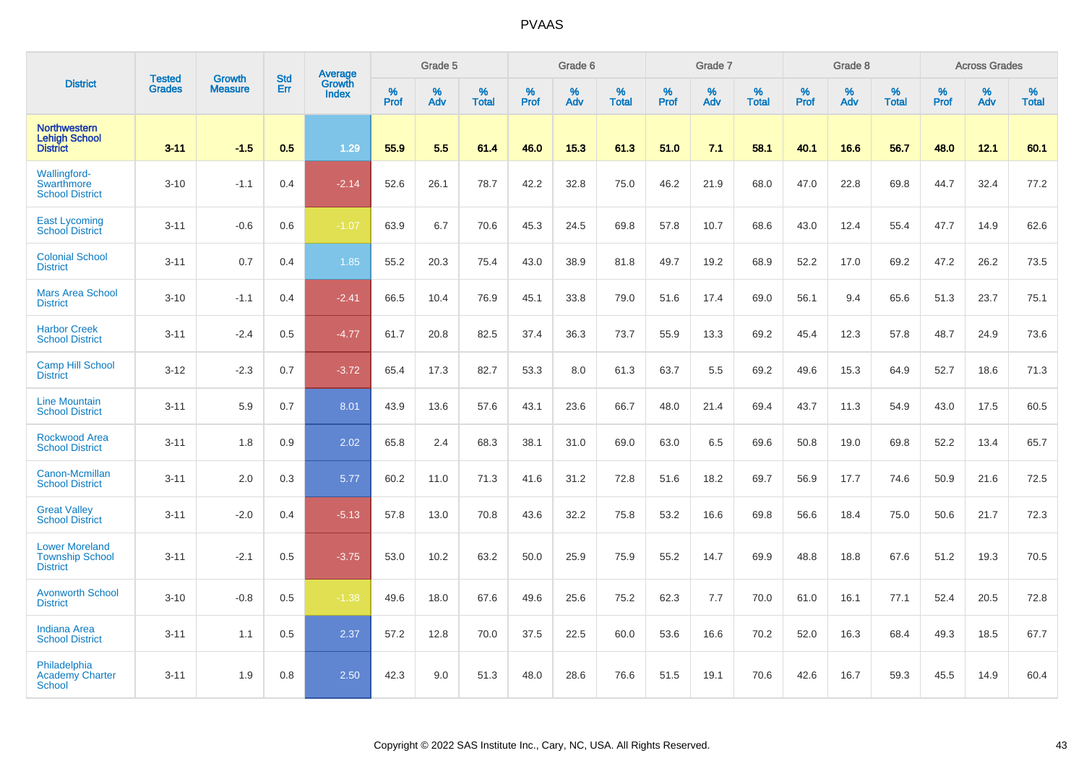|                                                                    |                                |                                 | <b>Std</b> | Average         |           | Grade 5  |                   |           | Grade 6  |                   |           | Grade 7  |                   |                  | Grade 8  |                   |                  | <b>Across Grades</b> |                   |
|--------------------------------------------------------------------|--------------------------------|---------------------------------|------------|-----------------|-----------|----------|-------------------|-----------|----------|-------------------|-----------|----------|-------------------|------------------|----------|-------------------|------------------|----------------------|-------------------|
| <b>District</b>                                                    | <b>Tested</b><br><b>Grades</b> | <b>Growth</b><br><b>Measure</b> | Err        | Growth<br>Index | %<br>Prof | %<br>Adv | %<br><b>Total</b> | %<br>Prof | %<br>Adv | %<br><b>Total</b> | %<br>Prof | %<br>Adv | %<br><b>Total</b> | %<br><b>Prof</b> | %<br>Adv | %<br><b>Total</b> | %<br><b>Prof</b> | %<br>Adv             | %<br><b>Total</b> |
| <b>Northwestern</b><br><b>Lehigh School</b><br><b>District</b>     | $3 - 11$                       | $-1.5$                          | 0.5        | 1.29            | 55.9      | 5.5      | 61.4              | 46.0      | 15.3     | 61.3              | 51.0      | 7.1      | 58.1              | 40.1             | 16.6     | 56.7              | 48.0             | 12.1                 | 60.1              |
| <b>Wallingford-</b><br>Swarthmore<br><b>School District</b>        | $3 - 10$                       | $-1.1$                          | 0.4        | $-2.14$         | 52.6      | 26.1     | 78.7              | 42.2      | 32.8     | 75.0              | 46.2      | 21.9     | 68.0              | 47.0             | 22.8     | 69.8              | 44.7             | 32.4                 | 77.2              |
| <b>East Lycoming</b><br><b>School District</b>                     | $3 - 11$                       | $-0.6$                          | 0.6        | $-1.07$         | 63.9      | 6.7      | 70.6              | 45.3      | 24.5     | 69.8              | 57.8      | 10.7     | 68.6              | 43.0             | 12.4     | 55.4              | 47.7             | 14.9                 | 62.6              |
| <b>Colonial School</b><br><b>District</b>                          | $3 - 11$                       | 0.7                             | 0.4        | 1.85            | 55.2      | 20.3     | 75.4              | 43.0      | 38.9     | 81.8              | 49.7      | 19.2     | 68.9              | 52.2             | 17.0     | 69.2              | 47.2             | 26.2                 | 73.5              |
| <b>Mars Area School</b><br><b>District</b>                         | $3 - 10$                       | $-1.1$                          | 0.4        | $-2.41$         | 66.5      | 10.4     | 76.9              | 45.1      | 33.8     | 79.0              | 51.6      | 17.4     | 69.0              | 56.1             | 9.4      | 65.6              | 51.3             | 23.7                 | 75.1              |
| <b>Harbor Creek</b><br><b>School District</b>                      | $3 - 11$                       | $-2.4$                          | 0.5        | $-4.77$         | 61.7      | 20.8     | 82.5              | 37.4      | 36.3     | 73.7              | 55.9      | 13.3     | 69.2              | 45.4             | 12.3     | 57.8              | 48.7             | 24.9                 | 73.6              |
| <b>Camp Hill School</b><br><b>District</b>                         | $3 - 12$                       | $-2.3$                          | 0.7        | $-3.72$         | 65.4      | 17.3     | 82.7              | 53.3      | 8.0      | 61.3              | 63.7      | 5.5      | 69.2              | 49.6             | 15.3     | 64.9              | 52.7             | 18.6                 | 71.3              |
| <b>Line Mountain</b><br><b>School District</b>                     | $3 - 11$                       | 5.9                             | 0.7        | 8.01            | 43.9      | 13.6     | 57.6              | 43.1      | 23.6     | 66.7              | 48.0      | 21.4     | 69.4              | 43.7             | 11.3     | 54.9              | 43.0             | 17.5                 | 60.5              |
| <b>Rockwood Area</b><br><b>School District</b>                     | $3 - 11$                       | 1.8                             | 0.9        | 2.02            | 65.8      | 2.4      | 68.3              | 38.1      | 31.0     | 69.0              | 63.0      | 6.5      | 69.6              | 50.8             | 19.0     | 69.8              | 52.2             | 13.4                 | 65.7              |
| <b>Canon-Mcmillan</b><br><b>School District</b>                    | $3 - 11$                       | 2.0                             | 0.3        | 5.77            | 60.2      | 11.0     | 71.3              | 41.6      | 31.2     | 72.8              | 51.6      | 18.2     | 69.7              | 56.9             | 17.7     | 74.6              | 50.9             | 21.6                 | 72.5              |
| <b>Great Valley</b><br><b>School District</b>                      | $3 - 11$                       | $-2.0$                          | 0.4        | $-5.13$         | 57.8      | 13.0     | 70.8              | 43.6      | 32.2     | 75.8              | 53.2      | 16.6     | 69.8              | 56.6             | 18.4     | 75.0              | 50.6             | 21.7                 | 72.3              |
| <b>Lower Moreland</b><br><b>Township School</b><br><b>District</b> | $3 - 11$                       | $-2.1$                          | 0.5        | $-3.75$         | 53.0      | 10.2     | 63.2              | 50.0      | 25.9     | 75.9              | 55.2      | 14.7     | 69.9              | 48.8             | 18.8     | 67.6              | 51.2             | 19.3                 | 70.5              |
| <b>Avonworth School</b><br><b>District</b>                         | $3 - 10$                       | $-0.8$                          | 0.5        | $-1.38$         | 49.6      | 18.0     | 67.6              | 49.6      | 25.6     | 75.2              | 62.3      | 7.7      | 70.0              | 61.0             | 16.1     | 77.1              | 52.4             | 20.5                 | 72.8              |
| <b>Indiana Area</b><br><b>School District</b>                      | $3 - 11$                       | 1.1                             | 0.5        | 2.37            | 57.2      | 12.8     | 70.0              | 37.5      | 22.5     | 60.0              | 53.6      | 16.6     | 70.2              | 52.0             | 16.3     | 68.4              | 49.3             | 18.5                 | 67.7              |
| Philadelphia<br>Academy Charter<br><b>School</b>                   | $3 - 11$                       | 1.9                             | 0.8        | 2.50            | 42.3      | 9.0      | 51.3              | 48.0      | 28.6     | 76.6              | 51.5      | 19.1     | 70.6              | 42.6             | 16.7     | 59.3              | 45.5             | 14.9                 | 60.4              |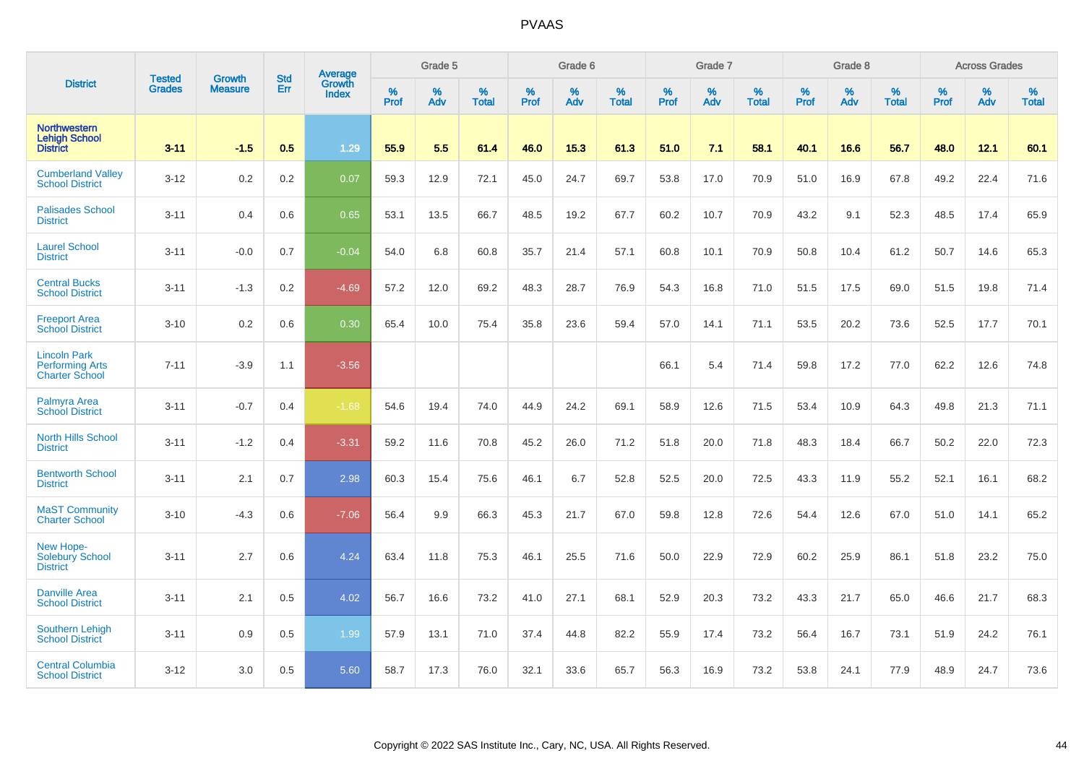|                                                                        |                                | <b>Growth</b>  | <b>Std</b> | Average                       |           | Grade 5  |                   |           | Grade 6  |                   |           | Grade 7  |                   |           | Grade 8  |                   |           | <b>Across Grades</b> |                   |
|------------------------------------------------------------------------|--------------------------------|----------------|------------|-------------------------------|-----------|----------|-------------------|-----------|----------|-------------------|-----------|----------|-------------------|-----------|----------|-------------------|-----------|----------------------|-------------------|
| <b>District</b>                                                        | <b>Tested</b><br><b>Grades</b> | <b>Measure</b> | Err        | <b>Growth</b><br><b>Index</b> | %<br>Prof | %<br>Adv | %<br><b>Total</b> | %<br>Prof | %<br>Adv | %<br><b>Total</b> | %<br>Prof | %<br>Adv | %<br><b>Total</b> | %<br>Prof | %<br>Adv | %<br><b>Total</b> | %<br>Prof | %<br>Adv             | %<br><b>Total</b> |
| <b>Northwestern</b><br><b>Lehigh School</b><br><b>District</b>         | $3 - 11$                       | $-1.5$         | 0.5        | 1.29                          | 55.9      | 5.5      | 61.4              | 46.0      | 15.3     | 61.3              | 51.0      | 7.1      | 58.1              | 40.1      | 16.6     | 56.7              | 48.0      | 12.1                 | 60.1              |
| <b>Cumberland Valley</b><br><b>School District</b>                     | $3 - 12$                       | 0.2            | 0.2        | 0.07                          | 59.3      | 12.9     | 72.1              | 45.0      | 24.7     | 69.7              | 53.8      | 17.0     | 70.9              | 51.0      | 16.9     | 67.8              | 49.2      | 22.4                 | 71.6              |
| <b>Palisades School</b><br><b>District</b>                             | $3 - 11$                       | 0.4            | 0.6        | 0.65                          | 53.1      | 13.5     | 66.7              | 48.5      | 19.2     | 67.7              | 60.2      | 10.7     | 70.9              | 43.2      | 9.1      | 52.3              | 48.5      | 17.4                 | 65.9              |
| <b>Laurel School</b><br><b>District</b>                                | $3 - 11$                       | $-0.0$         | 0.7        | $-0.04$                       | 54.0      | 6.8      | 60.8              | 35.7      | 21.4     | 57.1              | 60.8      | 10.1     | 70.9              | 50.8      | 10.4     | 61.2              | 50.7      | 14.6                 | 65.3              |
| <b>Central Bucks</b><br><b>School District</b>                         | $3 - 11$                       | $-1.3$         | 0.2        | $-4.69$                       | 57.2      | 12.0     | 69.2              | 48.3      | 28.7     | 76.9              | 54.3      | 16.8     | 71.0              | 51.5      | 17.5     | 69.0              | 51.5      | 19.8                 | 71.4              |
| <b>Freeport Area</b><br><b>School District</b>                         | $3 - 10$                       | 0.2            | 0.6        | 0.30                          | 65.4      | 10.0     | 75.4              | 35.8      | 23.6     | 59.4              | 57.0      | 14.1     | 71.1              | 53.5      | 20.2     | 73.6              | 52.5      | 17.7                 | 70.1              |
| <b>Lincoln Park</b><br><b>Performing Arts</b><br><b>Charter School</b> | $7 - 11$                       | $-3.9$         | 1.1        | $-3.56$                       |           |          |                   |           |          |                   | 66.1      | 5.4      | 71.4              | 59.8      | 17.2     | 77.0              | 62.2      | 12.6                 | 74.8              |
| Palmyra Area<br><b>School District</b>                                 | $3 - 11$                       | $-0.7$         | 0.4        | $-1.68$                       | 54.6      | 19.4     | 74.0              | 44.9      | 24.2     | 69.1              | 58.9      | 12.6     | 71.5              | 53.4      | 10.9     | 64.3              | 49.8      | 21.3                 | 71.1              |
| <b>North Hills School</b><br><b>District</b>                           | $3 - 11$                       | $-1.2$         | 0.4        | $-3.31$                       | 59.2      | 11.6     | 70.8              | 45.2      | 26.0     | 71.2              | 51.8      | 20.0     | 71.8              | 48.3      | 18.4     | 66.7              | 50.2      | 22.0                 | 72.3              |
| <b>Bentworth School</b><br><b>District</b>                             | $3 - 11$                       | 2.1            | 0.7        | 2.98                          | 60.3      | 15.4     | 75.6              | 46.1      | 6.7      | 52.8              | 52.5      | 20.0     | 72.5              | 43.3      | 11.9     | 55.2              | 52.1      | 16.1                 | 68.2              |
| <b>MaST Community</b><br><b>Charter School</b>                         | $3 - 10$                       | $-4.3$         | 0.6        | $-7.06$                       | 56.4      | 9.9      | 66.3              | 45.3      | 21.7     | 67.0              | 59.8      | 12.8     | 72.6              | 54.4      | 12.6     | 67.0              | 51.0      | 14.1                 | 65.2              |
| New Hope-<br><b>Solebury School</b><br><b>District</b>                 | $3 - 11$                       | 2.7            | 0.6        | 4.24                          | 63.4      | 11.8     | 75.3              | 46.1      | 25.5     | 71.6              | 50.0      | 22.9     | 72.9              | 60.2      | 25.9     | 86.1              | 51.8      | 23.2                 | 75.0              |
| <b>Danville Area</b><br><b>School District</b>                         | $3 - 11$                       | 2.1            | 0.5        | 4.02                          | 56.7      | 16.6     | 73.2              | 41.0      | 27.1     | 68.1              | 52.9      | 20.3     | 73.2              | 43.3      | 21.7     | 65.0              | 46.6      | 21.7                 | 68.3              |
| <b>Southern Lehigh</b><br><b>School District</b>                       | $3 - 11$                       | 0.9            | 0.5        | 1.99                          | 57.9      | 13.1     | 71.0              | 37.4      | 44.8     | 82.2              | 55.9      | 17.4     | 73.2              | 56.4      | 16.7     | 73.1              | 51.9      | 24.2                 | 76.1              |
| <b>Central Columbia</b><br><b>School District</b>                      | $3 - 12$                       | 3.0            | 0.5        | 5.60                          | 58.7      | 17.3     | 76.0              | 32.1      | 33.6     | 65.7              | 56.3      | 16.9     | 73.2              | 53.8      | 24.1     | 77.9              | 48.9      | 24.7                 | 73.6              |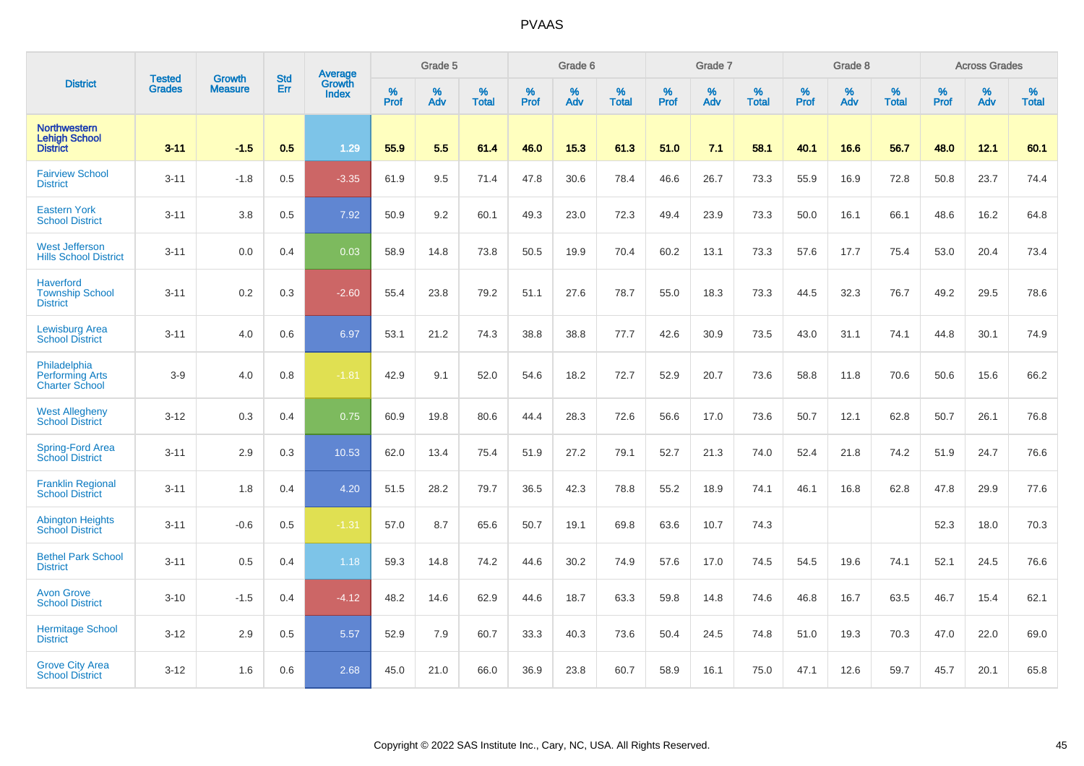|                                                                 |                                |                                 | <b>Std</b> | Average                       |           | Grade 5  |                   |           | Grade 6  |                   |           | Grade 7  |                   |           | Grade 8  |                   |           | <b>Across Grades</b> |                   |
|-----------------------------------------------------------------|--------------------------------|---------------------------------|------------|-------------------------------|-----------|----------|-------------------|-----------|----------|-------------------|-----------|----------|-------------------|-----------|----------|-------------------|-----------|----------------------|-------------------|
| <b>District</b>                                                 | <b>Tested</b><br><b>Grades</b> | <b>Growth</b><br><b>Measure</b> | Err        | <b>Growth</b><br><b>Index</b> | %<br>Prof | %<br>Adv | %<br><b>Total</b> | %<br>Prof | %<br>Adv | %<br><b>Total</b> | %<br>Prof | %<br>Adv | %<br><b>Total</b> | %<br>Prof | %<br>Adv | %<br><b>Total</b> | %<br>Prof | %<br>Adv             | %<br><b>Total</b> |
| <b>Northwestern</b><br><b>Lehigh School</b><br><b>District</b>  | $3 - 11$                       | $-1.5$                          | 0.5        | 1.29                          | 55.9      | 5.5      | 61.4              | 46.0      | 15.3     | 61.3              | 51.0      | 7.1      | 58.1              | 40.1      | 16.6     | 56.7              | 48.0      | 12.1                 | 60.1              |
| <b>Fairview School</b><br><b>District</b>                       | $3 - 11$                       | $-1.8$                          | 0.5        | $-3.35$                       | 61.9      | 9.5      | 71.4              | 47.8      | 30.6     | 78.4              | 46.6      | 26.7     | 73.3              | 55.9      | 16.9     | 72.8              | 50.8      | 23.7                 | 74.4              |
| <b>Eastern York</b><br><b>School District</b>                   | $3 - 11$                       | 3.8                             | 0.5        | 7.92                          | 50.9      | 9.2      | 60.1              | 49.3      | 23.0     | 72.3              | 49.4      | 23.9     | 73.3              | 50.0      | 16.1     | 66.1              | 48.6      | 16.2                 | 64.8              |
| <b>West Jefferson</b><br><b>Hills School District</b>           | $3 - 11$                       | 0.0                             | 0.4        | 0.03                          | 58.9      | 14.8     | 73.8              | 50.5      | 19.9     | 70.4              | 60.2      | 13.1     | 73.3              | 57.6      | 17.7     | 75.4              | 53.0      | 20.4                 | 73.4              |
| <b>Haverford</b><br><b>Township School</b><br><b>District</b>   | $3 - 11$                       | 0.2                             | 0.3        | $-2.60$                       | 55.4      | 23.8     | 79.2              | 51.1      | 27.6     | 78.7              | 55.0      | 18.3     | 73.3              | 44.5      | 32.3     | 76.7              | 49.2      | 29.5                 | 78.6              |
| <b>Lewisburg Area</b><br><b>School District</b>                 | $3 - 11$                       | 4.0                             | 0.6        | 6.97                          | 53.1      | 21.2     | 74.3              | 38.8      | 38.8     | 77.7              | 42.6      | 30.9     | 73.5              | 43.0      | 31.1     | 74.1              | 44.8      | 30.1                 | 74.9              |
| Philadelphia<br><b>Performing Arts</b><br><b>Charter School</b> | $3-9$                          | 4.0                             | 0.8        | $-1.81$                       | 42.9      | 9.1      | 52.0              | 54.6      | 18.2     | 72.7              | 52.9      | 20.7     | 73.6              | 58.8      | 11.8     | 70.6              | 50.6      | 15.6                 | 66.2              |
| <b>West Allegheny</b><br><b>School District</b>                 | $3 - 12$                       | 0.3                             | 0.4        | 0.75                          | 60.9      | 19.8     | 80.6              | 44.4      | 28.3     | 72.6              | 56.6      | 17.0     | 73.6              | 50.7      | 12.1     | 62.8              | 50.7      | 26.1                 | 76.8              |
| Spring-Ford Area<br><b>School District</b>                      | $3 - 11$                       | 2.9                             | 0.3        | 10.53                         | 62.0      | 13.4     | 75.4              | 51.9      | 27.2     | 79.1              | 52.7      | 21.3     | 74.0              | 52.4      | 21.8     | 74.2              | 51.9      | 24.7                 | 76.6              |
| <b>Franklin Regional</b><br><b>School District</b>              | $3 - 11$                       | 1.8                             | 0.4        | 4.20                          | 51.5      | 28.2     | 79.7              | 36.5      | 42.3     | 78.8              | 55.2      | 18.9     | 74.1              | 46.1      | 16.8     | 62.8              | 47.8      | 29.9                 | 77.6              |
| <b>Abington Heights</b><br><b>School District</b>               | $3 - 11$                       | $-0.6$                          | 0.5        | $-1.31$                       | 57.0      | 8.7      | 65.6              | 50.7      | 19.1     | 69.8              | 63.6      | 10.7     | 74.3              |           |          |                   | 52.3      | 18.0                 | 70.3              |
| <b>Bethel Park School</b><br><b>District</b>                    | $3 - 11$                       | 0.5                             | 0.4        | 1.18                          | 59.3      | 14.8     | 74.2              | 44.6      | 30.2     | 74.9              | 57.6      | 17.0     | 74.5              | 54.5      | 19.6     | 74.1              | 52.1      | 24.5                 | 76.6              |
| <b>Avon Grove</b><br><b>School District</b>                     | $3 - 10$                       | $-1.5$                          | 0.4        | $-4.12$                       | 48.2      | 14.6     | 62.9              | 44.6      | 18.7     | 63.3              | 59.8      | 14.8     | 74.6              | 46.8      | 16.7     | 63.5              | 46.7      | 15.4                 | 62.1              |
| <b>Hermitage School</b><br><b>District</b>                      | $3 - 12$                       | 2.9                             | 0.5        | 5.57                          | 52.9      | 7.9      | 60.7              | 33.3      | 40.3     | 73.6              | 50.4      | 24.5     | 74.8              | 51.0      | 19.3     | 70.3              | 47.0      | 22.0                 | 69.0              |
| <b>Grove City Area</b><br><b>School District</b>                | $3 - 12$                       | 1.6                             | 0.6        | 2.68                          | 45.0      | 21.0     | 66.0              | 36.9      | 23.8     | 60.7              | 58.9      | 16.1     | 75.0              | 47.1      | 12.6     | 59.7              | 45.7      | 20.1                 | 65.8              |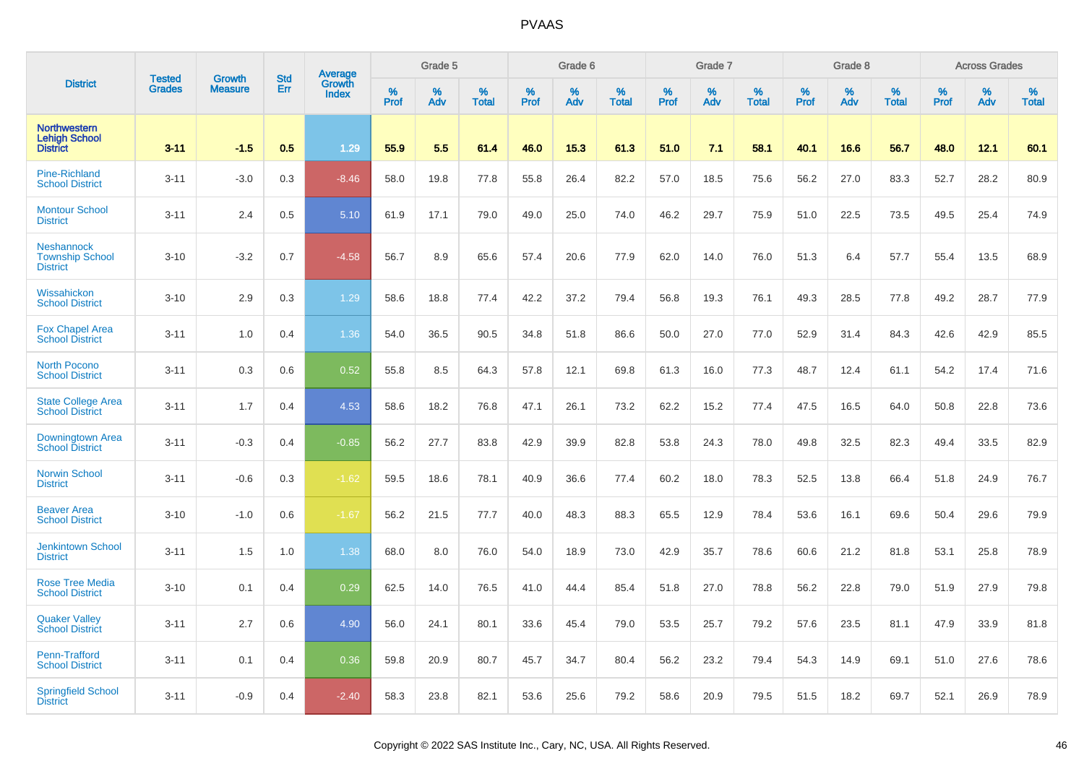|                                                                | <b>Tested</b> | <b>Growth</b>  | <b>Std</b> |                                   |                     | Grade 5  |                   |              | Grade 6  |                   |              | Grade 7  |                   |           | Grade 8  |                   |                  | <b>Across Grades</b> |                   |
|----------------------------------------------------------------|---------------|----------------|------------|-----------------------------------|---------------------|----------|-------------------|--------------|----------|-------------------|--------------|----------|-------------------|-----------|----------|-------------------|------------------|----------------------|-------------------|
| <b>District</b>                                                | <b>Grades</b> | <b>Measure</b> | Err        | Average<br>Growth<br><b>Index</b> | $\%$<br><b>Prof</b> | %<br>Adv | %<br><b>Total</b> | $\%$<br>Prof | %<br>Adv | %<br><b>Total</b> | $\%$<br>Prof | %<br>Adv | %<br><b>Total</b> | %<br>Prof | %<br>Adv | %<br><b>Total</b> | %<br><b>Prof</b> | %<br>Adv             | %<br><b>Total</b> |
| <b>Northwestern</b><br><b>Lehigh School</b><br><b>District</b> | $3 - 11$      | $-1.5$         | 0.5        | 1.29                              | 55.9                | 5.5      | 61.4              | 46.0         | 15.3     | 61.3              | 51.0         | 7.1      | 58.1              | 40.1      | 16.6     | 56.7              | 48.0             | 12.1                 | 60.1              |
| <b>Pine-Richland</b><br><b>School District</b>                 | $3 - 11$      | $-3.0$         | 0.3        | $-8.46$                           | 58.0                | 19.8     | 77.8              | 55.8         | 26.4     | 82.2              | 57.0         | 18.5     | 75.6              | 56.2      | 27.0     | 83.3              | 52.7             | 28.2                 | 80.9              |
| <b>Montour School</b><br><b>District</b>                       | $3 - 11$      | 2.4            | 0.5        | 5.10                              | 61.9                | 17.1     | 79.0              | 49.0         | 25.0     | 74.0              | 46.2         | 29.7     | 75.9              | 51.0      | 22.5     | 73.5              | 49.5             | 25.4                 | 74.9              |
| Neshannock<br><b>Township School</b><br><b>District</b>        | $3 - 10$      | $-3.2$         | 0.7        | $-4.58$                           | 56.7                | 8.9      | 65.6              | 57.4         | 20.6     | 77.9              | 62.0         | 14.0     | 76.0              | 51.3      | 6.4      | 57.7              | 55.4             | 13.5                 | 68.9              |
| Wissahickon<br><b>School District</b>                          | $3 - 10$      | 2.9            | 0.3        | 1.29                              | 58.6                | 18.8     | 77.4              | 42.2         | 37.2     | 79.4              | 56.8         | 19.3     | 76.1              | 49.3      | 28.5     | 77.8              | 49.2             | 28.7                 | 77.9              |
| <b>Fox Chapel Area</b><br><b>School District</b>               | $3 - 11$      | 1.0            | 0.4        | 1.36                              | 54.0                | 36.5     | 90.5              | 34.8         | 51.8     | 86.6              | 50.0         | 27.0     | 77.0              | 52.9      | 31.4     | 84.3              | 42.6             | 42.9                 | 85.5              |
| <b>North Pocono</b><br><b>School District</b>                  | $3 - 11$      | 0.3            | 0.6        | 0.52                              | 55.8                | 8.5      | 64.3              | 57.8         | 12.1     | 69.8              | 61.3         | 16.0     | 77.3              | 48.7      | 12.4     | 61.1              | 54.2             | 17.4                 | 71.6              |
| <b>State College Area</b><br><b>School District</b>            | $3 - 11$      | 1.7            | 0.4        | 4.53                              | 58.6                | 18.2     | 76.8              | 47.1         | 26.1     | 73.2              | 62.2         | 15.2     | 77.4              | 47.5      | 16.5     | 64.0              | 50.8             | 22.8                 | 73.6              |
| Downingtown Area<br><b>School District</b>                     | $3 - 11$      | $-0.3$         | 0.4        | $-0.85$                           | 56.2                | 27.7     | 83.8              | 42.9         | 39.9     | 82.8              | 53.8         | 24.3     | 78.0              | 49.8      | 32.5     | 82.3              | 49.4             | 33.5                 | 82.9              |
| <b>Norwin School</b><br><b>District</b>                        | $3 - 11$      | $-0.6$         | 0.3        | $-1.62$                           | 59.5                | 18.6     | 78.1              | 40.9         | 36.6     | 77.4              | 60.2         | 18.0     | 78.3              | 52.5      | 13.8     | 66.4              | 51.8             | 24.9                 | 76.7              |
| <b>Beaver Area</b><br><b>School District</b>                   | $3 - 10$      | $-1.0$         | 0.6        | $-1.67$                           | 56.2                | 21.5     | 77.7              | 40.0         | 48.3     | 88.3              | 65.5         | 12.9     | 78.4              | 53.6      | 16.1     | 69.6              | 50.4             | 29.6                 | 79.9              |
| <b>Jenkintown School</b><br><b>District</b>                    | $3 - 11$      | 1.5            | 1.0        | 1.38                              | 68.0                | 8.0      | 76.0              | 54.0         | 18.9     | 73.0              | 42.9         | 35.7     | 78.6              | 60.6      | 21.2     | 81.8              | 53.1             | 25.8                 | 78.9              |
| <b>Rose Tree Media</b><br><b>School District</b>               | $3 - 10$      | 0.1            | 0.4        | 0.29                              | 62.5                | 14.0     | 76.5              | 41.0         | 44.4     | 85.4              | 51.8         | 27.0     | 78.8              | 56.2      | 22.8     | 79.0              | 51.9             | 27.9                 | 79.8              |
| <b>Quaker Valley</b><br><b>School District</b>                 | $3 - 11$      | 2.7            | 0.6        | 4.90                              | 56.0                | 24.1     | 80.1              | 33.6         | 45.4     | 79.0              | 53.5         | 25.7     | 79.2              | 57.6      | 23.5     | 81.1              | 47.9             | 33.9                 | 81.8              |
| Penn-Trafford<br><b>School District</b>                        | $3 - 11$      | 0.1            | 0.4        | 0.36                              | 59.8                | 20.9     | 80.7              | 45.7         | 34.7     | 80.4              | 56.2         | 23.2     | 79.4              | 54.3      | 14.9     | 69.1              | 51.0             | 27.6                 | 78.6              |
| <b>Springfield School</b><br><b>District</b>                   | $3 - 11$      | $-0.9$         | 0.4        | $-2.40$                           | 58.3                | 23.8     | 82.1              | 53.6         | 25.6     | 79.2              | 58.6         | 20.9     | 79.5              | 51.5      | 18.2     | 69.7              | 52.1             | 26.9                 | 78.9              |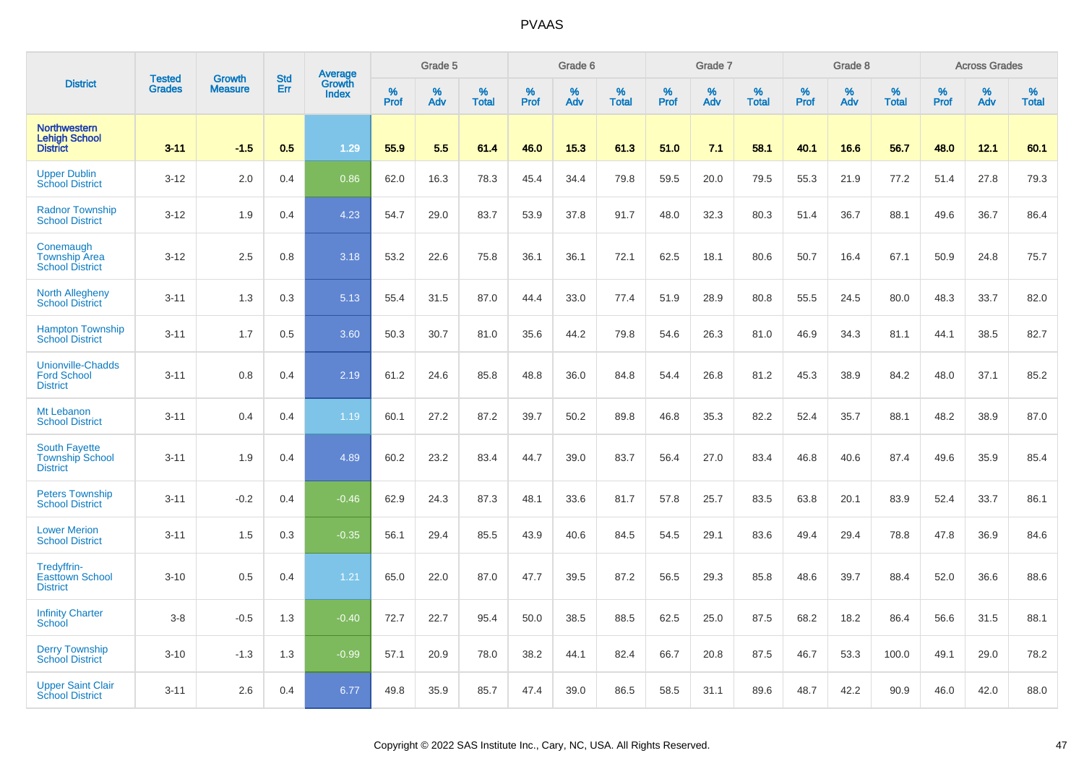|                                                                   |                                | <b>Growth</b>  | <b>Std</b> | <b>Average</b><br>Growth |                     | Grade 5  |                   |           | Grade 6  |                   |           | Grade 7  |                   |           | Grade 8  |                   |                  | <b>Across Grades</b> |                   |
|-------------------------------------------------------------------|--------------------------------|----------------|------------|--------------------------|---------------------|----------|-------------------|-----------|----------|-------------------|-----------|----------|-------------------|-----------|----------|-------------------|------------------|----------------------|-------------------|
| <b>District</b>                                                   | <b>Tested</b><br><b>Grades</b> | <b>Measure</b> | Err        | <b>Index</b>             | $\%$<br><b>Prof</b> | %<br>Adv | %<br><b>Total</b> | %<br>Prof | %<br>Adv | %<br><b>Total</b> | %<br>Prof | %<br>Adv | %<br><b>Total</b> | %<br>Prof | %<br>Adv | %<br><b>Total</b> | %<br><b>Prof</b> | %<br>Adv             | %<br><b>Total</b> |
| <b>Northwestern</b><br><b>Lehigh School</b><br><b>District</b>    | $3 - 11$                       | $-1.5$         | 0.5        | 1.29                     | 55.9                | 5.5      | 61.4              | 46.0      | 15.3     | 61.3              | 51.0      | 7.1      | 58.1              | 40.1      | 16.6     | 56.7              | 48.0             | 12.1                 | 60.1              |
| <b>Upper Dublin</b><br><b>School District</b>                     | $3 - 12$                       | 2.0            | 0.4        | 0.86                     | 62.0                | 16.3     | 78.3              | 45.4      | 34.4     | 79.8              | 59.5      | 20.0     | 79.5              | 55.3      | 21.9     | 77.2              | 51.4             | 27.8                 | 79.3              |
| <b>Radnor Township</b><br><b>School District</b>                  | $3 - 12$                       | 1.9            | 0.4        | 4.23                     | 54.7                | 29.0     | 83.7              | 53.9      | 37.8     | 91.7              | 48.0      | 32.3     | 80.3              | 51.4      | 36.7     | 88.1              | 49.6             | 36.7                 | 86.4              |
| Conemaugh<br><b>Township Area</b><br><b>School District</b>       | $3 - 12$                       | 2.5            | 0.8        | 3.18                     | 53.2                | 22.6     | 75.8              | 36.1      | 36.1     | 72.1              | 62.5      | 18.1     | 80.6              | 50.7      | 16.4     | 67.1              | 50.9             | 24.8                 | 75.7              |
| <b>North Allegheny</b><br><b>School District</b>                  | $3 - 11$                       | 1.3            | 0.3        | 5.13                     | 55.4                | 31.5     | 87.0              | 44.4      | 33.0     | 77.4              | 51.9      | 28.9     | 80.8              | 55.5      | 24.5     | 80.0              | 48.3             | 33.7                 | 82.0              |
| <b>Hampton Township</b><br><b>School District</b>                 | $3 - 11$                       | 1.7            | 0.5        | 3.60                     | 50.3                | 30.7     | 81.0              | 35.6      | 44.2     | 79.8              | 54.6      | 26.3     | 81.0              | 46.9      | 34.3     | 81.1              | 44.1             | 38.5                 | 82.7              |
| <b>Unionville-Chadds</b><br><b>Ford School</b><br><b>District</b> | $3 - 11$                       | 0.8            | 0.4        | 2.19                     | 61.2                | 24.6     | 85.8              | 48.8      | 36.0     | 84.8              | 54.4      | 26.8     | 81.2              | 45.3      | 38.9     | 84.2              | 48.0             | 37.1                 | 85.2              |
| Mt Lebanon<br><b>School District</b>                              | $3 - 11$                       | 0.4            | 0.4        | 1.19                     | 60.1                | 27.2     | 87.2              | 39.7      | 50.2     | 89.8              | 46.8      | 35.3     | 82.2              | 52.4      | 35.7     | 88.1              | 48.2             | 38.9                 | 87.0              |
| <b>South Fayette</b><br><b>Township School</b><br><b>District</b> | $3 - 11$                       | 1.9            | 0.4        | 4.89                     | 60.2                | 23.2     | 83.4              | 44.7      | 39.0     | 83.7              | 56.4      | 27.0     | 83.4              | 46.8      | 40.6     | 87.4              | 49.6             | 35.9                 | 85.4              |
| <b>Peters Township</b><br><b>School District</b>                  | $3 - 11$                       | $-0.2$         | 0.4        | $-0.46$                  | 62.9                | 24.3     | 87.3              | 48.1      | 33.6     | 81.7              | 57.8      | 25.7     | 83.5              | 63.8      | 20.1     | 83.9              | 52.4             | 33.7                 | 86.1              |
| <b>Lower Merion</b><br><b>School District</b>                     | $3 - 11$                       | 1.5            | 0.3        | $-0.35$                  | 56.1                | 29.4     | 85.5              | 43.9      | 40.6     | 84.5              | 54.5      | 29.1     | 83.6              | 49.4      | 29.4     | 78.8              | 47.8             | 36.9                 | 84.6              |
| Tredyffrin-<br><b>Easttown School</b><br><b>District</b>          | $3 - 10$                       | 0.5            | 0.4        | 1.21                     | 65.0                | 22.0     | 87.0              | 47.7      | 39.5     | 87.2              | 56.5      | 29.3     | 85.8              | 48.6      | 39.7     | 88.4              | 52.0             | 36.6                 | 88.6              |
| <b>Infinity Charter</b><br><b>School</b>                          | $3-8$                          | $-0.5$         | 1.3        | $-0.40$                  | 72.7                | 22.7     | 95.4              | 50.0      | 38.5     | 88.5              | 62.5      | 25.0     | 87.5              | 68.2      | 18.2     | 86.4              | 56.6             | 31.5                 | 88.1              |
| <b>Derry Township</b><br><b>School District</b>                   | $3 - 10$                       | $-1.3$         | 1.3        | $-0.99$                  | 57.1                | 20.9     | 78.0              | 38.2      | 44.1     | 82.4              | 66.7      | 20.8     | 87.5              | 46.7      | 53.3     | 100.0             | 49.1             | 29.0                 | 78.2              |
| <b>Upper Saint Clair</b><br><b>School District</b>                | $3 - 11$                       | 2.6            | 0.4        | 6.77                     | 49.8                | 35.9     | 85.7              | 47.4      | 39.0     | 86.5              | 58.5      | 31.1     | 89.6              | 48.7      | 42.2     | 90.9              | 46.0             | 42.0                 | 88.0              |